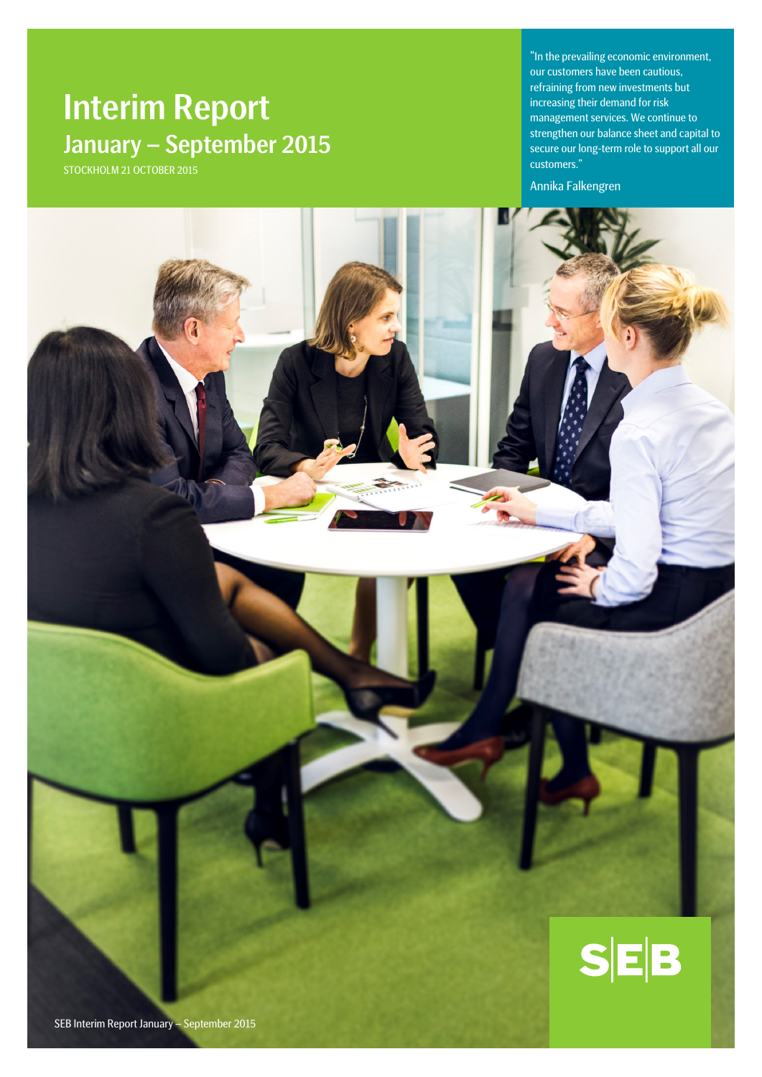# Interim Report January – September 2015

STOCKHOLM 21 OCTOBER 2015

"In the prevailing economic environment, our customers have been cautious, refraining from new investments but increasing their demand for risk management services. We continue to strengthen our balance sheet and capital to secure our long-term role to support all our customers."

Annika Falkengren

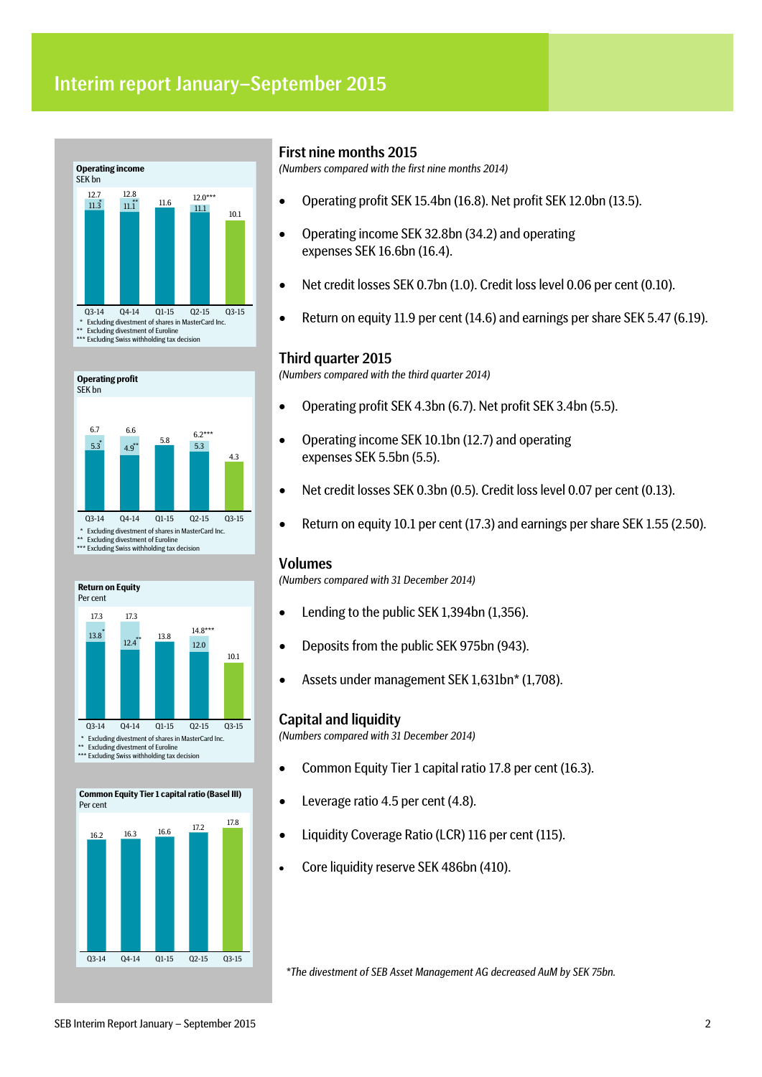## Interim report January–September 2015













#### First nine months 2015

*(Numbers compared with the first nine months 2014)*

- Operating profit SEK 15.4bn (16.8). Net profit SEK 12.0bn (13.5).
- Operating income SEK 32.8bn (34.2) and operating expenses SEK 16.6bn (16.4).
- Net credit losses SEK 0.7bn (1.0). Credit loss level 0.06 per cent (0.10).
- Return on equity 11.9 per cent (14.6) and earnings per share SEK 5.47 (6.19).

#### Third quarter 2015

*(Numbers compared with the third quarter 2014)*

- Operating profit SEK 4.3bn (6.7). Net profit SEK 3.4bn (5.5).
- Operating income SEK 10.1bn (12.7) and operating expenses SEK 5.5bn (5.5).
- Net credit losses SEK 0.3bn (0.5). Credit loss level 0.07 per cent (0.13).
- Return on equity 10.1 per cent (17.3) and earnings per share SEK 1.55 (2.50).

#### Volumes

*(Numbers compared with 31 December 2014)*

- Lending to the public SEK 1,394bn (1,356).
- Deposits from the public SEK 975bn (943).
- Assets under management SEK 1,631bn\* (1,708).

#### Capital and liquidity

*(Numbers compared with 31 December 2014)*

- Common Equity Tier 1 capital ratio 17.8 per cent (16.3).
- Leverage ratio 4.5 per cent (4.8).
- Liquidity Coverage Ratio (LCR) 116 per cent (115).
- Core liquidity reserve SEK 486bn (410).

*\*The divestment of SEB Asset Management AG decreased AuM by SEK 75bn.*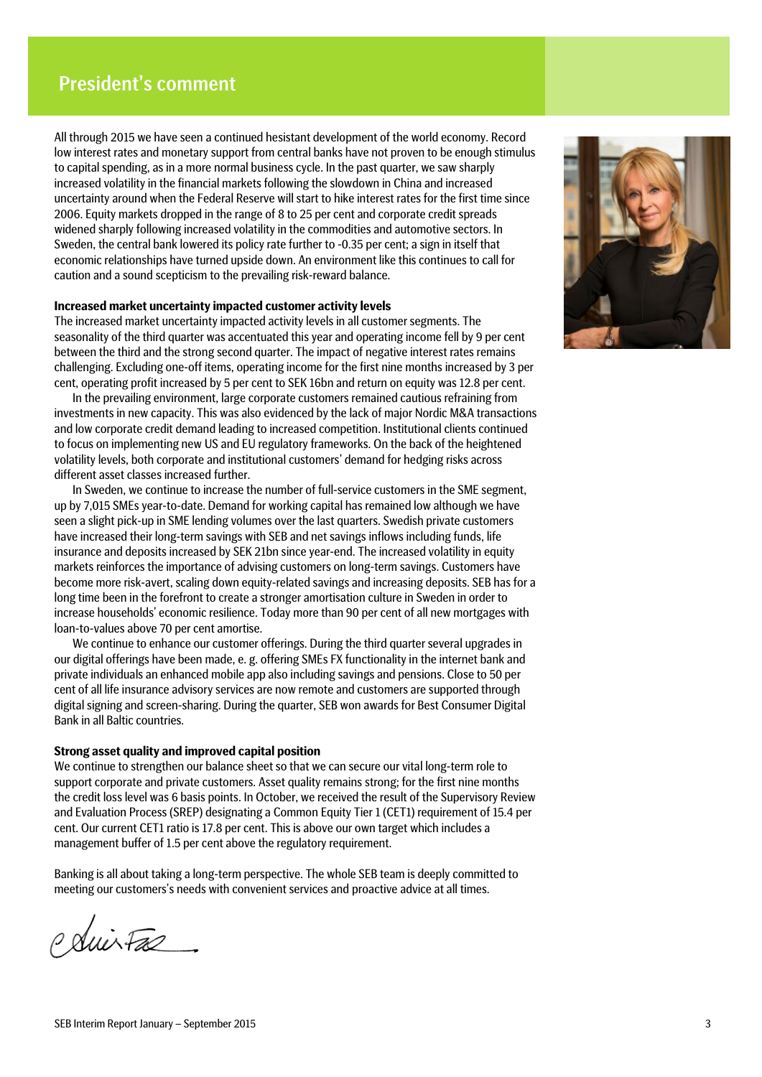## President's comment

All through 2015 we have seen a continued hesistant development of the world economy. Record low interest rates and monetary support from central banks have not proven to be enough stimulus to capital spending, as in a more normal business cycle. In the past quarter, we saw sharply increased volatility in the financial markets following the slowdown in China and increased uncertainty around when the Federal Reserve will start to hike interest rates for the first time since 2006. Equity markets dropped in the range of 8 to 25 per cent and corporate credit spreads widened sharply following increased volatility in the commodities and automotive sectors. In Sweden, the central bank lowered its policy rate further to -0.35 per cent; a sign in itself that economic relationships have turned upside down. An environment like this continues to call for caution and a sound scepticism to the prevailing risk-reward balance.

#### **Increased market uncertainty impacted customer activity levels**

The increased market uncertainty impacted activity levels in all customer segments. The seasonality of the third quarter was accentuated this year and operating income fell by 9 per cent between the third and the strong second quarter. The impact of negative interest rates remains challenging. Excluding one-off items, operating income for the first nine months increased by 3 per cent, operating profit increased by 5 per cent to SEK 16bn and return on equity was 12.8 per cent.

In the prevailing environment, large corporate customers remained cautious refraining from investments in new capacity. This was also evidenced by the lack of major Nordic M&A transactions and low corporate credit demand leading to increased competition. Institutional clients continued to focus on implementing new US and EU regulatory frameworks. On the back of the heightened volatility levels, both corporate and institutional customers' demand for hedging risks across different asset classes increased further.

In Sweden, we continue to increase the number of full-service customers in the SME segment, up by 7,015 SMEs year-to-date. Demand for working capital has remained low although we have seen a slight pick-up in SME lending volumes over the last quarters. Swedish private customers have increased their long-term savings with SEB and net savings inflows including funds, life insurance and deposits increased by SEK 21bn since year-end. The increased volatility in equity markets reinforces the importance of advising customers on long-term savings. Customers have become more risk-avert, scaling down equity-related savings and increasing deposits. SEB has for a long time been in the forefront to create a stronger amortisation culture in Sweden in order to increase households' economic resilience. Today more than 90 per cent of all new mortgages with loan-to-values above 70 per cent amortise.

We continue to enhance our customer offerings. During the third quarter several upgrades in our digital offerings have been made, e. g. offering SMEs FX functionality in the internet bank and private individuals an enhanced mobile app also including savings and pensions. Close to 50 per cent of all life insurance advisory services are now remote and customers are supported through digital signing and screen-sharing. During the quarter, SEB won awards for Best Consumer Digital Bank in all Baltic countries.

#### **Strong asset quality and improved capital position**

We continue to strengthen our balance sheet so that we can secure our vital long-term role to support corporate and private customers. Asset quality remains strong; for the first nine months the credit loss level was 6 basis points. In October, we received the result of the Supervisory Review and Evaluation Process (SREP) designating a Common Equity Tier 1 (CET1) requirement of 15.4 per cent. Our current CET1 ratio is 17.8 per cent. This is above our own target which includes a management buffer of 1.5 per cent above the regulatory requirement.

Banking is all about taking a long-term perspective. The whole SEB team is deeply committed to meeting our customers's needs with convenient services and proactive advice at all times.

suirFae

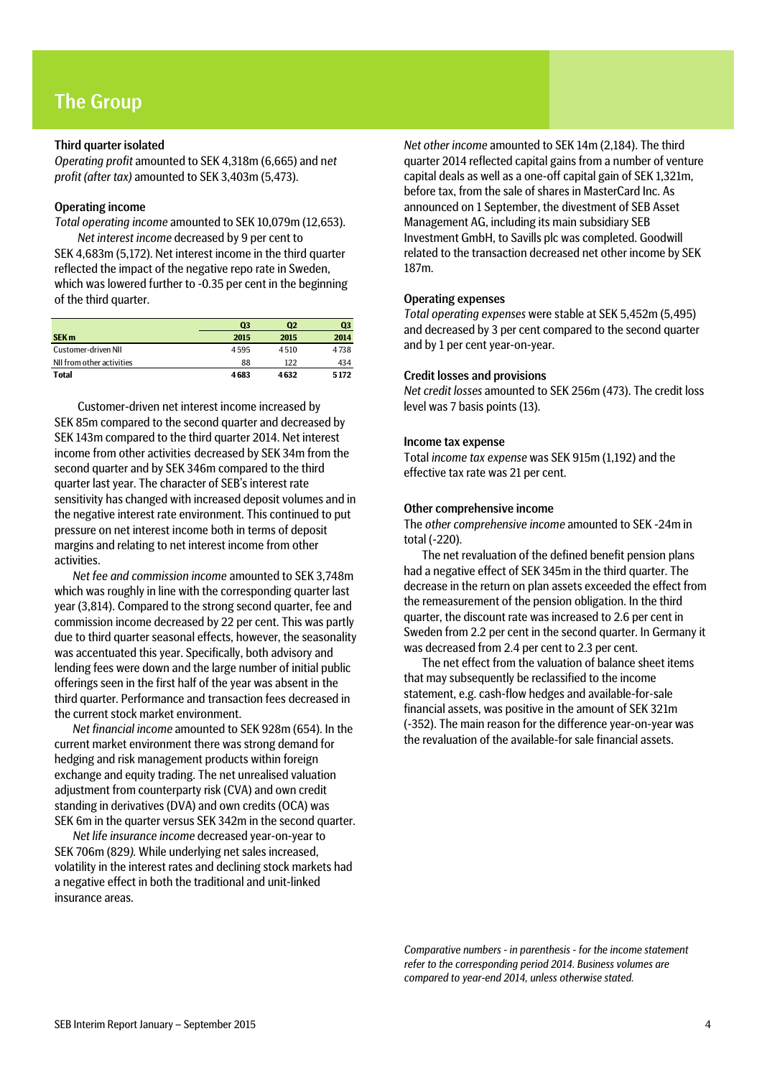## The Group

#### Third quarter isolated

*Operating profit* amounted to SEK 4,318m (6,665) and n*et profit (after tax)* amounted to SEK 3,403m (5,473).

#### Operating income

*Total operating income* amounted to SEK 10,079m (12,653).

*Net interest income* decreased by 9 per cent to SEK 4,683m (5,172). Net interest income in the third quarter reflected the impact of the negative repo rate in Sweden, which was lowered further to -0.35 per cent in the beginning of the third quarter.

|                           | Q <sub>3</sub> | Q2   | Q3   |
|---------------------------|----------------|------|------|
| <b>SEK m</b>              | 2015           | 2015 | 2014 |
| Customer-driven NII       | 4595           | 4510 | 4738 |
| NII from other activities | 88             | 122  | 434  |
| <b>Total</b>              | 4683           | 4632 | 5172 |

Customer-driven net interest income increased by SEK 85m compared to the second quarter and decreased by SEK 143m compared to the third quarter 2014. Net interest income from other activities decreased by SEK 34m from the second quarter and by SEK 346m compared to the third quarter last year. The character of SEB's interest rate sensitivity has changed with increased deposit volumes and in the negative interest rate environment. This continued to put pressure on net interest income both in terms of deposit margins and relating to net interest income from other activities.

*Net fee and commission income* amounted to SEK 3,748m which was roughly in line with the corresponding quarter last year (3,814). Compared to the strong second quarter, fee and commission income decreased by 22 per cent. This was partly due to third quarter seasonal effects, however, the seasonality was accentuated this year. Specifically, both advisory and lending fees were down and the large number of initial public offerings seen in the first half of the year was absent in the third quarter. Performance and transaction fees decreased in the current stock market environment.

*Net financial income* amounted to SEK 928m (654). In the current market environment there was strong demand for hedging and risk management products within foreign exchange and equity trading. The net unrealised valuation adjustment from counterparty risk (CVA) and own credit standing in derivatives (DVA) and own credits (OCA) was SEK 6m in the quarter versus SEK 342m in the second quarter.

*Net life insurance income* decreased year-on-year to SEK 706m (829*).* While underlying net sales increased, volatility in the interest rates and declining stock markets had a negative effect in both the traditional and unit-linked insurance areas.

*Net other income* amounted to SEK 14m (2,184). The third quarter 2014 reflected capital gains from a number of venture capital deals as well as a one-off capital gain of SEK 1,321m, before tax, from the sale of shares in MasterCard Inc. As announced on 1 September, the divestment of SEB Asset Management AG, including its main subsidiary SEB Investment GmbH, to Savills plc was completed. Goodwill related to the transaction decreased net other income by SEK 187m.

#### Operating expenses

*Total operating expenses* were stable at SEK 5,452m (5,495) and decreased by 3 per cent compared to the second quarter and by 1 per cent year-on-year.

#### Credit losses and provisions

*Net credit losses* amounted to SEK 256m (473). The credit loss level was 7 basis points (13).

#### Income tax expense

Total *income tax expense* was SEK 915m (1,192) and the effective tax rate was 21 per cent.

#### Other comprehensive income

The *other comprehensive income* amounted to SEK -24m in total (-220).

The net revaluation of the defined benefit pension plans had a negative effect of SEK 345m in the third quarter. The decrease in the return on plan assets exceeded the effect from the remeasurement of the pension obligation. In the third quarter, the discount rate was increased to 2.6 per cent in Sweden from 2.2 per cent in the second quarter. In Germany it was decreased from 2.4 per cent to 2.3 per cent.

The net effect from the valuation of balance sheet items that may subsequently be reclassified to the income statement, e.g. cash-flow hedges and available-for-sale financial assets, was positive in the amount of SEK 321m (-352). The main reason for the difference year-on-year was the revaluation of the available-for sale financial assets.

*Comparative numbers - in parenthesis - for the income statement refer to the corresponding period 2014. Business volumes are compared to year-end 2014, unless otherwise stated.*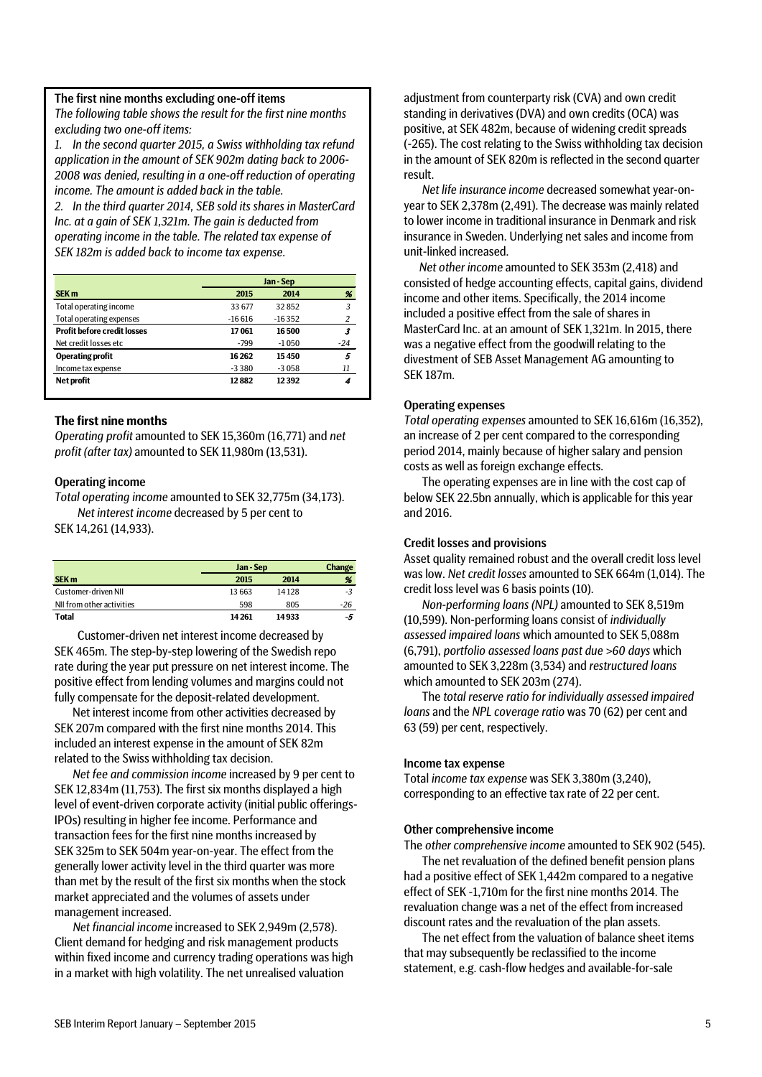#### The first nine months excluding one-off items

*The following table shows the result for the first nine months excluding two one-off items:*

*1. In the second quarter 2015, a Swiss withholding tax refund application in the amount of SEK 902m dating back to 2006- 2008 was denied, resulting in a one-off reduction of operating income. The amount is added back in the table.* 

*2. In the third quarter 2014, SEB sold its shares in MasterCard Inc. at a gain of SEK 1,321m. The gain is deducted from operating income in the table. The related tax expense of SEK 182m is added back to income tax expense.*

|                                    | Jan-Sep  |          |       |  |  |
|------------------------------------|----------|----------|-------|--|--|
| SEK <sub>m</sub>                   | 2015     | 2014     | %     |  |  |
| Total operating income             | 33677    | 32852    | 3     |  |  |
| Total operating expenses           | $-16616$ | $-16352$ | 2     |  |  |
| <b>Profit before credit losses</b> | 17061    | 16500    | 3     |  |  |
| Net credit losses etc.             | $-799$   | $-1050$  | $-24$ |  |  |
| <b>Operating profit</b>            | 16 26 2  | 15450    | 5     |  |  |
| Income tax expense                 | $-3380$  | $-3058$  | 11    |  |  |
| <b>Net profit</b>                  | 12882    | 12392    |       |  |  |

#### **The first nine months**

*Operating profit* amounted to SEK 15,360m (16,771) and *net profit (after tax)* amounted to SEK 11,980m (13,531).

#### Operating income

*Total operating income* amounted to SEK 32,775m (34,173). *Net interest income* decreased by 5 per cent to SEK 14,261 (14,933).

|                           |         | Jan-Sep |      |  |  |
|---------------------------|---------|---------|------|--|--|
| <b>SEK m</b>              | 2015    | 2014    | %    |  |  |
| Customer-driven NII       | 13663   | 14128   | $-3$ |  |  |
| NII from other activities | 598     | 805     | -26  |  |  |
| <b>Total</b>              | 14 2 61 | 14933   | -5   |  |  |

Customer-driven net interest income decreased by SEK 465m. The step-by-step lowering of the Swedish repo rate during the year put pressure on net interest income. The positive effect from lending volumes and margins could not fully compensate for the deposit-related development.

Net interest income from other activities decreased by SEK 207m compared with the first nine months 2014. This included an interest expense in the amount of SEK 82m related to the Swiss withholding tax decision.

*Net fee and commission income* increased by 9 per cent to SEK 12,834m (11,753). The first six months displayed a high level of event-driven corporate activity (initial public offerings-IPOs) resulting in higher fee income. Performance and transaction fees for the first nine months increased by SEK 325m to SEK 504m year-on-year. The effect from the generally lower activity level in the third quarter was more than met by the result of the first six months when the stock market appreciated and the volumes of assets under management increased.

*Net financial income* increased to SEK 2,949m (2,578). Client demand for hedging and risk management products within fixed income and currency trading operations was high in a market with high volatility. The net unrealised valuation

adjustment from counterparty risk (CVA) and own credit standing in derivatives (DVA) and own credits (OCA) was positive, at SEK 482m, because of widening credit spreads (-265). The cost relating to the Swiss withholding tax decision in the amount of SEK 820m is reflected in the second quarter result.

*Net life insurance income* decreased somewhat year-onyear to SEK 2,378m (2,491). The decrease was mainly related to lower income in traditional insurance in Denmark and risk insurance in Sweden. Underlying net sales and income from unit-linked increased.

*Net other income* amounted to SEK 353m (2,418) and consisted of hedge accounting effects, capital gains, dividend income and other items. Specifically, the 2014 income included a positive effect from the sale of shares in MasterCard Inc. at an amount of SEK 1,321m. In 2015, there was a negative effect from the goodwill relating to the divestment of SEB Asset Management AG amounting to SEK 187m.

#### Operating expenses

*Total operating expenses* amounted to SEK 16,616m (16,352), an increase of 2 per cent compared to the corresponding period 2014, mainly because of higher salary and pension costs as well as foreign exchange effects.

The operating expenses are in line with the cost cap of below SEK 22.5bn annually, which is applicable for this year and 2016.

#### Credit losses and provisions

Asset quality remained robust and the overall credit loss level was low. *Net credit losses* amounted to SEK 664m (1,014). The credit loss level was 6 basis points (10).

*Non-performing loans (NPL)* amounted to SEK 8,519m (10,599). Non-performing loans consist of *individually assessed impaired loans* which amounted to SEK 5,088m (6,791), *portfolio assessed loans past due >60 days* which amounted to SEK 3,228m (3,534) and *restructured loans* which amounted to SEK 203m (274).

The *total reserve ratio for individually assessed impaired loans* and the *NPL coverage ratio* was 70 (62) per cent and 63 (59) per cent, respectively.

#### Income tax expense

Total *income tax expense* was SEK 3,380m (3,240), corresponding to an effective tax rate of 22 per cent.

#### Other comprehensive income

The *other comprehensive income* amounted to SEK 902 (545).

The net revaluation of the defined benefit pension plans had a positive effect of SEK 1,442m compared to a negative effect of SEK -1,710m for the first nine months 2014. The revaluation change was a net of the effect from increased discount rates and the revaluation of the plan assets.

The net effect from the valuation of balance sheet items that may subsequently be reclassified to the income statement, e.g. cash-flow hedges and available-for-sale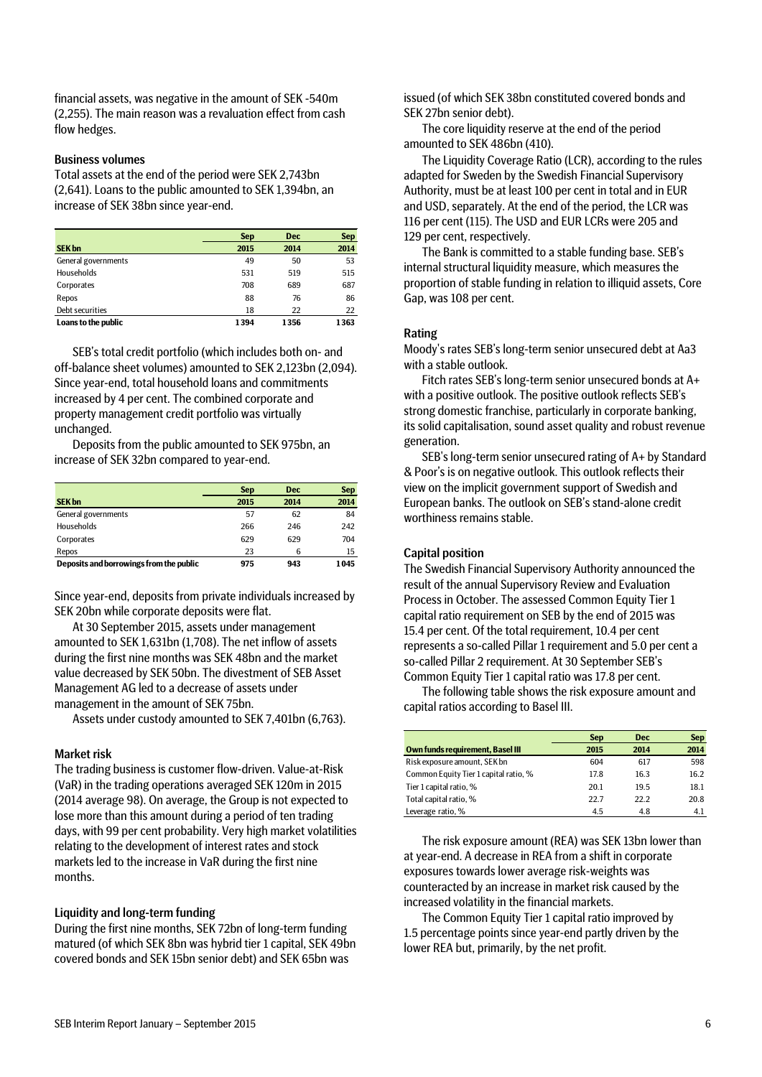financial assets, was negative in the amount of SEK -540m (2,255). The main reason was a revaluation effect from cash flow hedges.

#### Business volumes

Total assets at the end of the period were SEK 2,743bn (2,641). Loans to the public amounted to SEK 1,394bn, an increase of SEK 38bn since year-end.

|                     | <b>Sep</b> | <b>Dec</b> | <b>Sep</b> |
|---------------------|------------|------------|------------|
| <b>SEK bn</b>       | 2015       | 2014       | 2014       |
| General governments | 49         | 50         | 53         |
| Households          | 531        | 519        | 515        |
| Corporates          | 708        | 689        | 687        |
| Repos               | 88         | 76         | 86         |
| Debt securities     | 18         | 22         | 22         |
| Loans to the public | 1394       | 1356       | 1363       |

SEB's total credit portfolio (which includes both on- and off-balance sheet volumes) amounted to SEK 2,123bn (2,094). Since year-end, total household loans and commitments increased by 4 per cent. The combined corporate and property management credit portfolio was virtually unchanged.

Deposits from the public amounted to SEK 975bn, an increase of SEK 32bn compared to year-end.

|                                         | <b>Sep</b> | <b>Dec</b> | <b>Sep</b> |
|-----------------------------------------|------------|------------|------------|
| <b>SEK bn</b>                           | 2015       | 2014       | 2014       |
| General governments                     | 57         | 62         | 84         |
| <b>Households</b>                       | 266        | 246        | 242        |
| Corporates                              | 629        | 629        | 704        |
| Repos                                   | 23         | 6          | 15         |
| Deposits and borrowings from the public | 975        | 943        | 1045       |

Since year-end, deposits from private individuals increased by SEK 20bn while corporate deposits were flat.

At 30 September 2015, assets under management amounted to SEK 1,631bn (1,708). The net inflow of assets during the first nine months was SEK 48bn and the market value decreased by SEK 50bn. The divestment of SEB Asset Management AG led to a decrease of assets under management in the amount of SEK 75bn.

Assets under custody amounted to SEK 7,401bn (6,763).

#### Market risk

The trading business is customer flow-driven. Value-at-Risk (VaR) in the trading operations averaged SEK 120m in 2015 (2014 average 98). On average, the Group is not expected to lose more than this amount during a period of ten trading days, with 99 per cent probability. Very high market volatilities relating to the development of interest rates and stock markets led to the increase in VaR during the first nine months.

#### Liquidity and long-term funding

During the first nine months, SEK 72bn of long-term funding matured (of which SEK 8bn was hybrid tier 1 capital, SEK 49bn covered bonds and SEK 15bn senior debt) and SEK 65bn was

issued (of which SEK 38bn constituted covered bonds and SEK 27bn senior debt).

The core liquidity reserve at the end of the period amounted to SEK 486bn (410).

The Liquidity Coverage Ratio (LCR), according to the rules adapted for Sweden by the Swedish Financial Supervisory Authority, must be at least 100 per cent in total and in EUR and USD, separately. At the end of the period, the LCR was 116 per cent (115). The USD and EUR LCRs were 205 and 129 per cent, respectively.

The Bank is committed to a stable funding base. SEB's internal structural liquidity measure, which measures the proportion of stable funding in relation to illiquid assets, Core Gap, was 108 per cent.

#### Rating

Moody's rates SEB's long-term senior unsecured debt at Aa3 with a stable outlook.

Fitch rates SEB's long-term senior unsecured bonds at A+ with a positive outlook. The positive outlook reflects SEB's strong domestic franchise, particularly in corporate banking, its solid capitalisation, sound asset quality and robust revenue generation.

SEB's long-term senior unsecured rating of A+ by Standard & Poor's is on negative outlook. This outlook reflects their view on the implicit government support of Swedish and European banks. The outlook on SEB's stand-alone credit worthiness remains stable.

### Capital position

The Swedish Financial Supervisory Authority announced the result of the annual Supervisory Review and Evaluation Process in October. The assessed Common Equity Tier 1 capital ratio requirement on SEB by the end of 2015 was 15.4 per cent. Of the total requirement, 10.4 per cent represents a so-called Pillar 1 requirement and 5.0 per cent a so-called Pillar 2 requirement. At 30 September SEB's Common Equity Tier 1 capital ratio was 17.8 per cent.

The following table shows the risk exposure amount and capital ratios according to Basel III.

|                                         | <b>Sep</b> | <b>Dec</b>  | <b>Sep</b> |
|-----------------------------------------|------------|-------------|------------|
| <b>Own funds requirement, Basel III</b> | 2015       | 2014        | 2014       |
| Risk exposure amount, SEK bn            | 604        | 617         | 598        |
| Common Equity Tier 1 capital ratio, %   | 17.8       | 16.3        | 16.2       |
| Tier 1 capital ratio, %                 | 20.1       | 19.5        | 18.1       |
| Total capital ratio, %                  | 22.7       | <b>22 D</b> | 20.8       |
| Leverage ratio, %                       | 4.5        | 4.8         | 4.1        |

The risk exposure amount (REA) was SEK 13bn lower than at year-end. A decrease in REA from a shift in corporate exposures towards lower average risk-weights was counteracted by an increase in market risk caused by the increased volatility in the financial markets.

The Common Equity Tier 1 capital ratio improved by 1.5 percentage points since year-end partly driven by the lower REA but, primarily, by the net profit.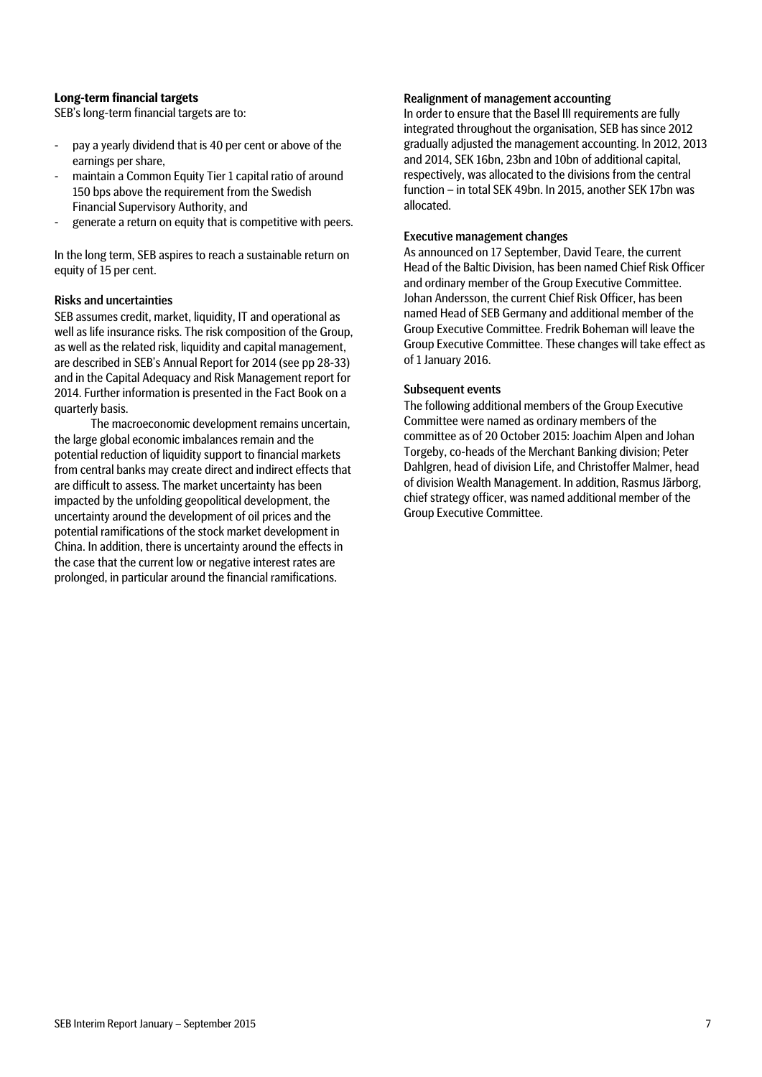#### **Long-term financial targets**

SEB's long-term financial targets are to:

- pay a yearly dividend that is 40 per cent or above of the earnings per share,
- maintain a Common Equity Tier 1 capital ratio of around 150 bps above the requirement from the Swedish Financial Supervisory Authority, and
- generate a return on equity that is competitive with peers.

In the long term, SEB aspires to reach a sustainable return on equity of 15 per cent.

#### Risks and uncertainties

SEB assumes credit, market, liquidity, IT and operational as well as life insurance risks. The risk composition of the Group, as well as the related risk, liquidity and capital management, are described in SEB's Annual Report for 2014 (see pp 28-33) and in the Capital Adequacy and Risk Management report for 2014. Further information is presented in the Fact Book on a quarterly basis.

The macroeconomic development remains uncertain, the large global economic imbalances remain and the potential reduction of liquidity support to financial markets from central banks may create direct and indirect effects that are difficult to assess. The market uncertainty has been impacted by the unfolding geopolitical development, the uncertainty around the development of oil prices and the potential ramifications of the stock market development in China. In addition, there is uncertainty around the effects in the case that the current low or negative interest rates are prolonged, in particular around the financial ramifications.

#### Realignment of management accounting

In order to ensure that the Basel III requirements are fully integrated throughout the organisation, SEB has since 2012 gradually adjusted the management accounting. In 2012, 2013 and 2014, SEK 16bn, 23bn and 10bn of additional capital, respectively, was allocated to the divisions from the central function – in total SEK 49bn. In 2015, another SEK 17bn was allocated.

#### Executive management changes

As announced on 17 September, David Teare, the current Head of the Baltic Division, has been named Chief Risk Officer and ordinary member of the Group Executive Committee. Johan Andersson, the current Chief Risk Officer, has been named Head of SEB Germany and additional member of the Group Executive Committee. Fredrik Boheman will leave the Group Executive Committee. These changes will take effect as of 1 January 2016.

#### Subsequent events

The following additional members of the Group Executive Committee were named as ordinary members of the committee as of 20 October 2015: Joachim Alpen and Johan Torgeby, co-heads of the Merchant Banking division; Peter Dahlgren, head of division Life, and Christoffer Malmer, head of division Wealth Management. In addition, Rasmus Järborg, chief strategy officer, was named additional member of the Group Executive Committee.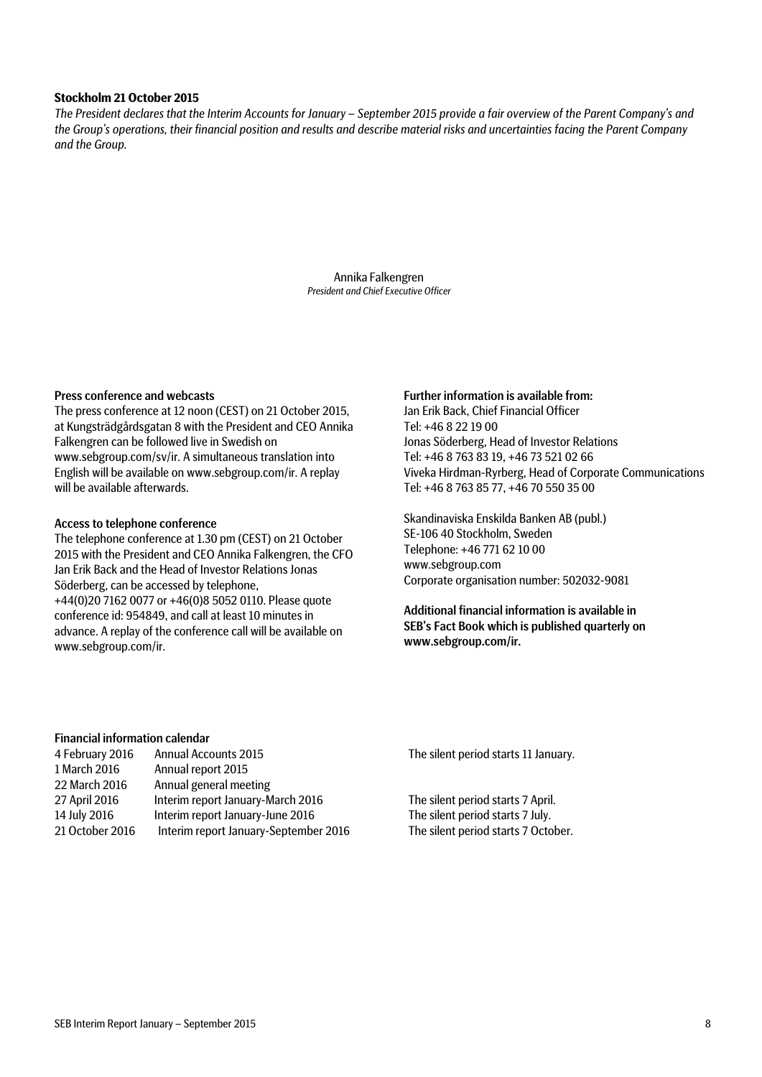#### **Stockholm 21 October 2015**

*The President declares that the Interim Accounts for January – September 2015 provide a fair overview of the Parent Company's and the Group's operations, their financial position and results and describe material risks and uncertainties facing the Parent Company and the Group.*

> Annika Falkengren *President and Chief Executive Officer*

#### Press conference and webcasts

The press conference at 12 noon (CEST) on 21 October 2015, at Kungsträdgårdsgatan 8 with the President and CEO Annika Falkengren can be followed live in Swedish on www.sebgroup.com/sv/ir. A simultaneous translation into English will be available on www.sebgroup.com/ir. A replay will be available afterwards.

#### Access to telephone conference

The telephone conference at 1.30 pm (CEST) on 21 October 2015 with the President and CEO Annika Falkengren, the CFO Jan Erik Back and the Head of Investor Relations Jonas Söderberg, can be accessed by telephone, +44(0)20 7162 0077 or +46(0)8 5052 0110. Please quote conference id: 954849, and call at least 10 minutes in advance. A replay of the conference call will be available on www.sebgroup.com/ir.

#### Further information is available from:

Jan Erik Back, Chief Financial Officer Tel: +46 8 22 19 00 Jonas Söderberg, Head of Investor Relations Tel: +46 8 763 83 19, +46 73 521 02 66 Viveka Hirdman-Ryrberg, Head of Corporate Communications Tel: +46 8 763 85 77, +46 70 550 35 00

Skandinaviska Enskilda Banken AB (publ.) SE-106 40 Stockholm, Sweden Telephone: +46 771 62 10 00 www.sebgroup.com Corporate organisation number: 502032-9081

Additional financial information is available in SEB's Fact Book which is published quarterly on www.sebgroup.com/ir.

#### Financial information calendar

| 4 February 2016 | <b>Annual Accounts 2015</b>           |
|-----------------|---------------------------------------|
| 1 March 2016    | Annual report 2015                    |
| 22 March 2016   | Annual general meeting                |
| 27 April 2016   | Interim report January-March 2016     |
| 14 July 2016    | Interim report January-June 2016      |
| 21 October 2016 | Interim report January-September 2016 |

The silent period starts 11 January.

The silent period starts 7 April. The silent period starts 7 July. 6 The silent period starts 7 October.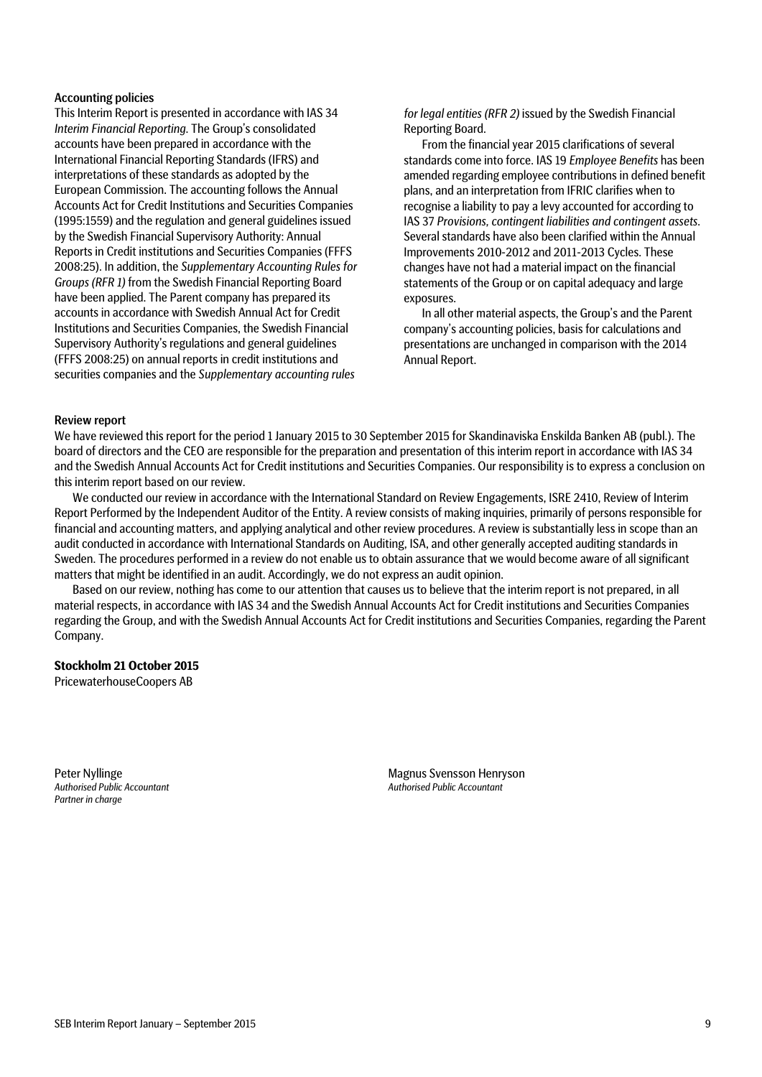#### Accounting policies

This Interim Report is presented in accordance with IAS 34 *Interim Financial Reporting*. The Group's consolidated accounts have been prepared in accordance with the International Financial Reporting Standards (IFRS) and interpretations of these standards as adopted by the European Commission. The accounting follows the Annual Accounts Act for Credit Institutions and Securities Companies (1995:1559) and the regulation and general guidelines issued by the Swedish Financial Supervisory Authority: Annual Reports in Credit institutions and Securities Companies (FFFS 2008:25). In addition, the *Supplementary Accounting Rules for Groups (RFR 1)* from the Swedish Financial Reporting Board have been applied. The Parent company has prepared its accounts in accordance with Swedish Annual Act for Credit Institutions and Securities Companies, the Swedish Financial Supervisory Authority's regulations and general guidelines (FFFS 2008:25) on annual reports in credit institutions and securities companies and the *Supplementary accounting rules* 

*for legal entities (RFR 2)* issued by the Swedish Financial Reporting Board.

From the financial year 2015 clarifications of several standards come into force. IAS 19 *Employee Benefits* has been amended regarding employee contributions in defined benefit plans, and an interpretation from IFRIC clarifies when to recognise a liability to pay a levy accounted for according to IAS 37 *Provisions, contingent liabilities and contingent assets*. Several standards have also been clarified within the Annual Improvements 2010-2012 and 2011-2013 Cycles. These changes have not had a material impact on the financial statements of the Group or on capital adequacy and large exposures.

In all other material aspects, the Group's and the Parent company's accounting policies, basis for calculations and presentations are unchanged in comparison with the 2014 Annual Report.

#### Review report

We have reviewed this report for the period 1 January 2015 to 30 September 2015 for Skandinaviska Enskilda Banken AB (publ.). The board of directors and the CEO are responsible for the preparation and presentation of this interim report in accordance with IAS 34 and the Swedish Annual Accounts Act for Credit institutions and Securities Companies. Our responsibility is to express a conclusion on this interim report based on our review.

We conducted our review in accordance with the International Standard on Review Engagements, ISRE 2410, Review of Interim Report Performed by the Independent Auditor of the Entity. A review consists of making inquiries, primarily of persons responsible for financial and accounting matters, and applying analytical and other review procedures. A review is substantially less in scope than an audit conducted in accordance with International Standards on Auditing, ISA, and other generally accepted auditing standards in Sweden. The procedures performed in a review do not enable us to obtain assurance that we would become aware of all significant matters that might be identified in an audit. Accordingly, we do not express an audit opinion.

Based on our review, nothing has come to our attention that causes us to believe that the interim report is not prepared, in all material respects, in accordance with IAS 34 and the Swedish Annual Accounts Act for Credit institutions and Securities Companies regarding the Group, and with the Swedish Annual Accounts Act for Credit institutions and Securities Companies, regarding the Parent Company.

#### **Stockholm 21 October 2015**

PricewaterhouseCoopers AB

*Partner in charge*

Peter Nyllinge **Magnus Svensson Henryson**<br>
Authorised Public Accountant **Magnus Svensson Henryson**<br>
Authorised Public Accountant *Authorised Public Accountant Authorised Public Accountant*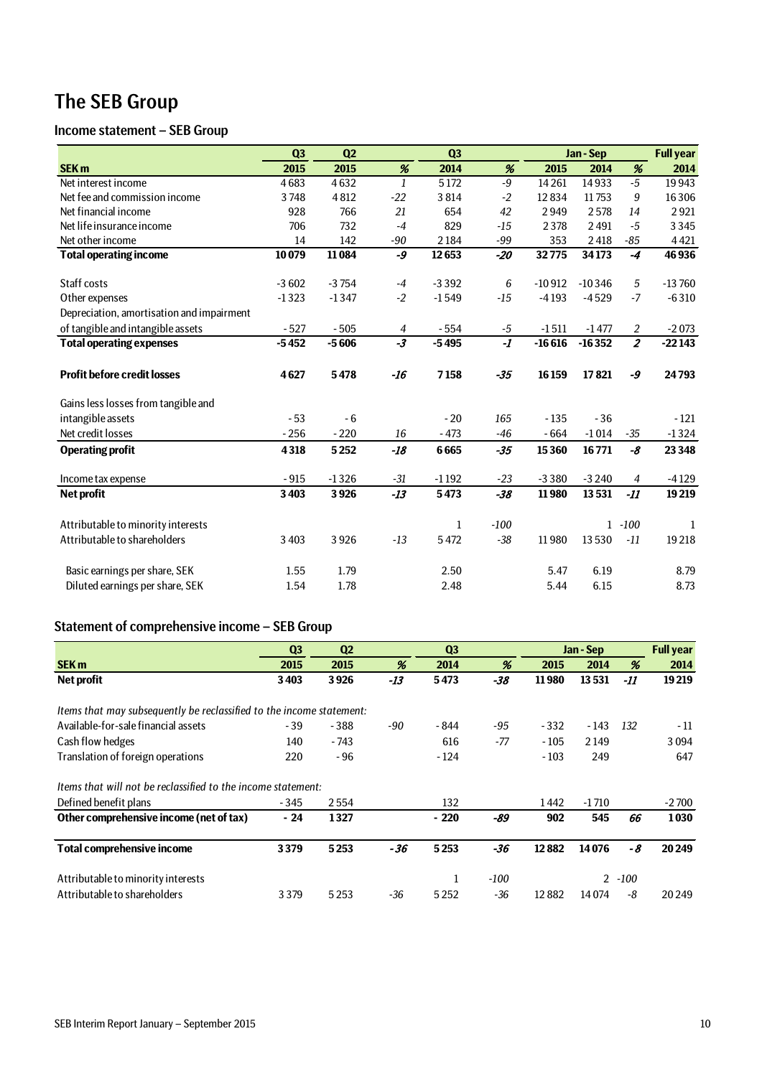## The SEB Group

## Income statement – SEB Group

|                                           | Q3      | Q2      |                | Q <sub>3</sub> |                         |          | Jan-Sep      |                         | <b>Full year</b> |
|-------------------------------------------|---------|---------|----------------|----------------|-------------------------|----------|--------------|-------------------------|------------------|
| <b>SEK m</b>                              | 2015    | 2015    | %              | 2014           | %                       | 2015     | 2014         | %                       | 2014             |
| Net interest income                       | 4683    | 4632    | $\mathbf{1}$   | 5172           | $-9$                    | 14261    | 14933        | $-5$                    | 19943            |
| Net fee and commission income             | 3748    | 4812    | $-22$          | 3814           | $-2$                    | 12834    | 11753        | 9                       | 16306            |
| Net financial income                      | 928     | 766     | 21             | 654            | 42                      | 2949     | 2578         | 14                      | 2921             |
| Net life insurance income                 | 706     | 732     | $-4$           | 829            | $-15$                   | 2378     | 2491         | $-5$                    | 3345             |
| Net other income                          | 14      | 142     | $-90$          | 2184           | $-99$                   | 353      | 2418         | $-85$                   | 4421             |
| <b>Total operating income</b>             | 10079   | 11084   | -9             | 12653          | $-20$                   | 32775    | 34173        | $-4$                    | 46936            |
| Staff costs                               | $-3602$ | $-3754$ | $-4$           | $-3392$        | 6                       | $-10912$ | $-10346$     | 5                       | $-13760$         |
| Other expenses                            | $-1323$ | $-1347$ | $-2$           | $-1549$        | $-15$                   | $-4193$  | $-4529$      | $-7$                    | $-6310$          |
| Depreciation, amortisation and impairment |         |         |                |                |                         |          |              |                         |                  |
| of tangible and intangible assets         | $-527$  | $-505$  | $\overline{4}$ | $-554$         | -5                      | $-1511$  | $-1477$      | 2                       | $-2073$          |
| <b>Total operating expenses</b>           | $-5452$ | $-5606$ | $-3$           | $-5495$        | $\overline{\mathbf{I}}$ | $-16616$ | $-16352$     | $\overline{\mathbf{z}}$ | $-22143$         |
| <b>Profit before credit losses</b>        | 4627    | 5478    | $-16$          | 7158           | $-35$                   | 16159    | 17821        | -9                      | 24793            |
| Gains less losses from tangible and       |         |         |                |                |                         |          |              |                         |                  |
| intangible assets                         | $-53$   | $-6$    |                | $-20$          | 165                     | $-135$   | $-36$        |                         | $-121$           |
| Net credit losses                         | $-256$  | $-220$  | 16             | $-473$         | $-46$                   | $-664$   | $-1014$      | $-35$                   | $-1324$          |
| <b>Operating profit</b>                   | 4318    | 5252    | $-18$          | 6665           | $-35$                   | 15360    | 16771        | -8                      | 23 3 48          |
| Income tax expense                        | $-915$  | $-1326$ | $-31$          | $-1192$        | $-23$                   | $-3380$  | $-3240$      | 4                       | $-4129$          |
| Net profit                                | 3403    | 3926    | $-13$          | 5473           | $-38$                   | 11980    | 13531        | $-11$                   | 19219            |
| Attributable to minority interests        |         |         |                | 1              | $-100$                  |          | $\mathbf{1}$ | $-100$                  | 1                |
| Attributable to shareholders              | 3 4 0 3 | 3926    | $-13$          | 5472           | $-38$                   | 11980    | 13530        | $-11$                   | 19218            |
| Basic earnings per share, SEK             | 1.55    | 1.79    |                | 2.50           |                         | 5.47     | 6.19         |                         | 8.79             |
| Diluted earnings per share, SEK           | 1.54    | 1.78    |                | 2.48           |                         | 5.44     | 6.15         |                         | 8.73             |

## Statement of comprehensive income – SEB Group

|                                                                      | Q <sub>3</sub> | Q <sub>2</sub> |       | Q <sub>3</sub> |        | Jan - Sep |               | <b>Full year</b> |         |
|----------------------------------------------------------------------|----------------|----------------|-------|----------------|--------|-----------|---------------|------------------|---------|
| <b>SEK m</b>                                                         | 2015           | 2015           | %     | 2014           | %      | 2015      | 2014          | %                | 2014    |
| <b>Net profit</b>                                                    | 3403           | 3926           | $-13$ | 5473           | -38    | 11980     | 13531         | -11              | 19219   |
| Items that may subsequently be reclassified to the income statement: |                |                |       |                |        |           |               |                  |         |
| Available-for-sale financial assets                                  | $-39$          | $-388$         | -90   | - 844          | -95    | $-332$    | $-143$        | 132              | - 11    |
| Cash flow hedges                                                     | 140            | $-743$         |       | 616            | -77    | $-105$    | 2149          |                  | 3094    |
| Translation of foreign operations                                    | 220            | $-96$          |       | $-124$         |        | $-103$    | 249           |                  | 647     |
| Items that will not be reclassified to the income statement:         |                |                |       |                |        |           |               |                  |         |
| Defined benefit plans                                                | $-345$         | 2554           |       | 132            |        | 1442      | $-1710$       |                  | $-2700$ |
| Other comprehensive income (net of tax)                              | $-24$          | 1327           |       | $-220$         | -89    | 902       | 545           | 66               | 1030    |
| <b>Total comprehensive income</b>                                    | 3379           | 5253           | $-36$ | 5253           | $-36$  | 12882     | 14076         | -8               | 20249   |
| Attributable to minority interests                                   |                |                |       | $\mathbf{1}$   | $-100$ |           | $\mathcal{P}$ | -100             |         |
| Attributable to shareholders                                         | 3379           | 5253           | -36   | 5252           | -36    | 12882     | 14074         | -8               | 20249   |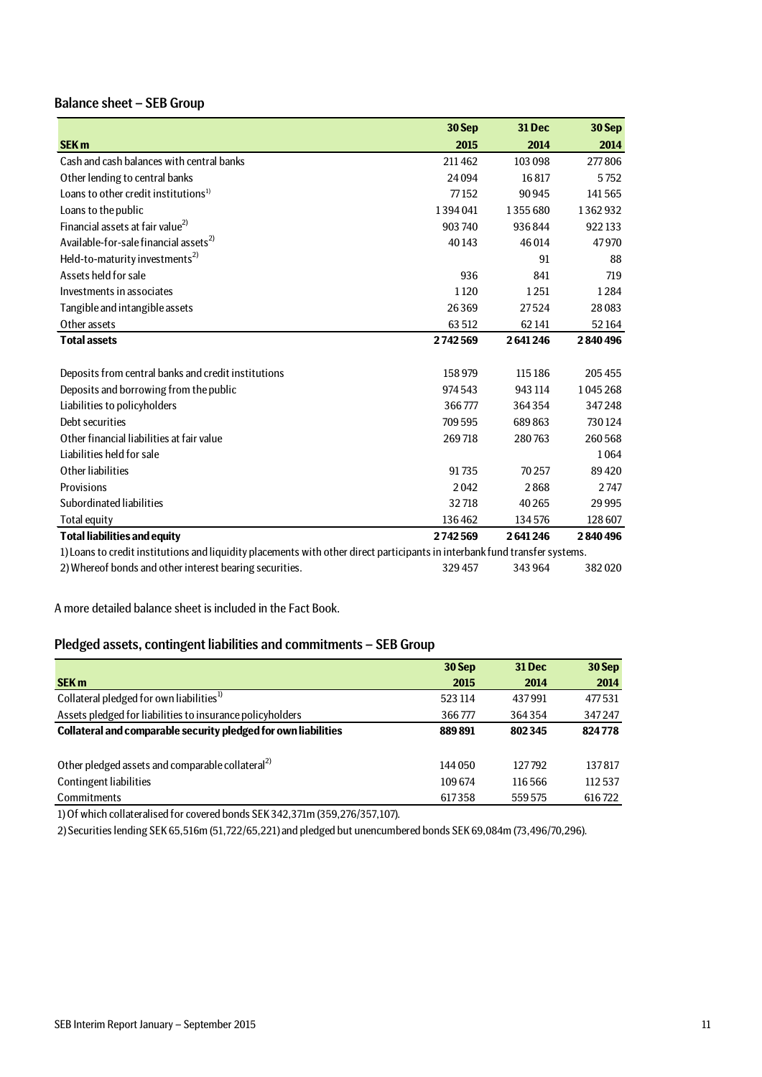## Balance sheet – SEB Group

|                                                                                                                             | 30 Sep  | 31 Dec  | 30 Sep  |
|-----------------------------------------------------------------------------------------------------------------------------|---------|---------|---------|
| <b>SEK m</b>                                                                                                                | 2015    | 2014    | 2014    |
| Cash and cash balances with central banks                                                                                   | 211462  | 103 098 | 277806  |
| Other lending to central banks                                                                                              | 24094   | 16817   | 5752    |
| Loans to other credit institutions <sup>1)</sup>                                                                            | 77152   | 90945   | 141565  |
| Loans to the public                                                                                                         | 1394041 | 1355680 | 1362932 |
| Financial assets at fair value <sup>2)</sup>                                                                                | 903 740 | 936844  | 922133  |
| Available-for-sale financial assets <sup>2)</sup>                                                                           | 40143   | 46014   | 47970   |
| Held-to-maturity investments <sup>2)</sup>                                                                                  |         | 91      | 88      |
| Assets held for sale                                                                                                        | 936     | 841     | 719     |
| Investments in associates                                                                                                   | 1120    | 1251    | 1284    |
| Tangible and intangible assets                                                                                              | 26369   | 27524   | 28083   |
| Other assets                                                                                                                | 63 512  | 62141   | 52164   |
| <b>Total assets</b>                                                                                                         | 2742569 | 2641246 | 2840496 |
|                                                                                                                             |         |         |         |
| Deposits from central banks and credit institutions                                                                         | 158979  | 115186  | 205 455 |
| Deposits and borrowing from the public                                                                                      | 974 543 | 943 114 | 1045268 |
| Liabilities to policyholders                                                                                                | 366777  | 364354  | 347248  |
| Debt securities                                                                                                             | 709 595 | 689863  | 730124  |
| Other financial liabilities at fair value                                                                                   | 269718  | 280763  | 260568  |
| Liabilities held for sale                                                                                                   |         |         | 1064    |
| Other liabilities                                                                                                           | 91735   | 70257   | 89420   |
| Provisions                                                                                                                  | 2042    | 2868    | 2747    |
| Subordinated liabilities                                                                                                    | 32718   | 40265   | 29995   |
| <b>Total equity</b>                                                                                                         | 136462  | 134576  | 128 607 |
| <b>Total liabilities and equity</b>                                                                                         | 2742569 | 2641246 | 2840496 |
| 1) Loans to credit institutions and liquidity placements with other direct participants in interbank fund transfer systems. |         |         |         |
| 2) Whereof bonds and other interest bearing securities.                                                                     | 329457  | 343 964 | 382020  |

A more detailed balance sheet is included in the Fact Book.

## Pledged assets, contingent liabilities and commitments – SEB Group

|                                                                | 30 Sep  | <b>31 Dec</b> | 30 Sep |
|----------------------------------------------------------------|---------|---------------|--------|
| <b>SEK m</b>                                                   | 2015    | 2014          | 2014   |
| Collateral pledged for own liabilities <sup>1)</sup>           | 523 114 | 437991        | 477531 |
| Assets pledged for liabilities to insurance policyholders      | 366777  | 364354        | 347247 |
| Collateral and comparable security pledged for own liabilities | 889891  | 802345        | 824778 |
|                                                                |         |               |        |
| Other pledged assets and comparable collateral <sup>2)</sup>   | 144 050 | 127792        | 137817 |
| <b>Contingent liabilities</b>                                  | 109674  | 116566        | 112537 |
| Commitments                                                    | 617358  | 559575        | 616722 |

1) Of which collateralised for covered bonds SEK 342,371m (359,276/357,107).

2) Securities lending SEK 65,516m (51,722/65,221) and pledged but unencumbered bonds SEK 69,084m (73,496/70,296).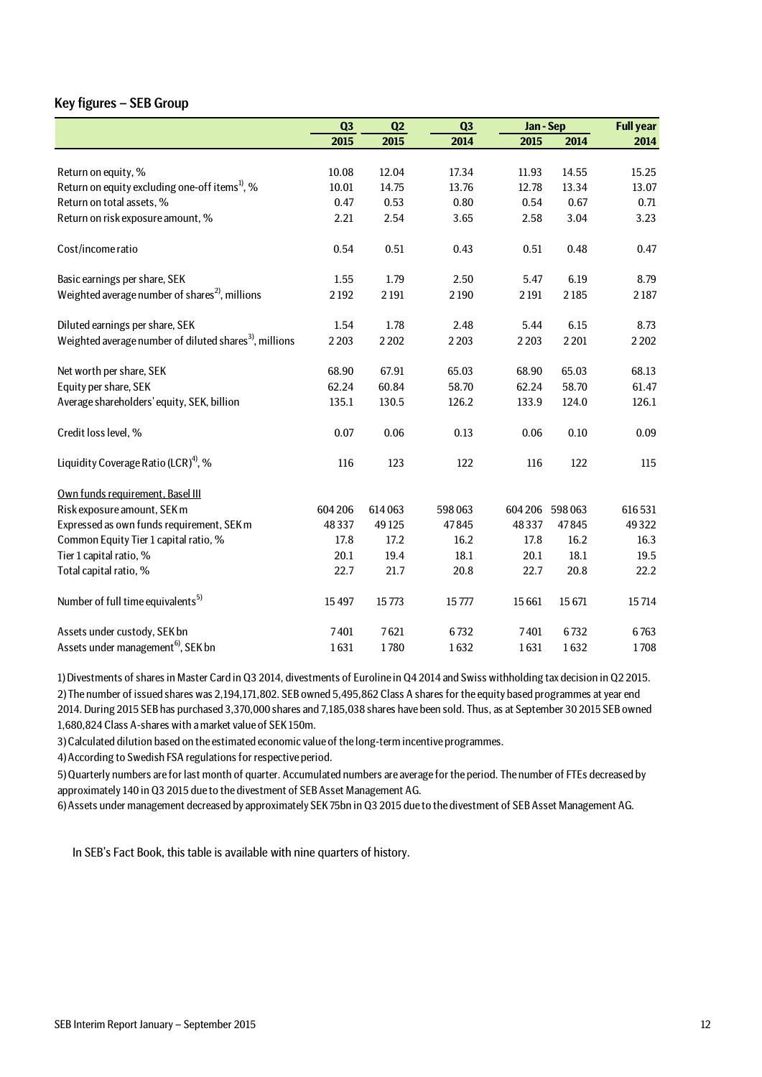### Key figures – SEB Group

|                                                                   | Q <sub>3</sub> | Q <sub>2</sub> | Q3      |         | Jan - Sep       |         |
|-------------------------------------------------------------------|----------------|----------------|---------|---------|-----------------|---------|
|                                                                   | 2015           | 2015           | 2014    | 2015    | 2014            | 2014    |
|                                                                   |                |                |         |         |                 |         |
| Return on equity, %                                               | 10.08          | 12.04          | 17.34   | 11.93   | 14.55           | 15.25   |
| Return on equity excluding one-off items <sup>1</sup> , %         | 10.01          | 14.75          | 13.76   | 12.78   | 13.34           | 13.07   |
| Return on total assets, %                                         | 0.47           | 0.53           | 0.80    | 0.54    | 0.67            | 0.71    |
| Return on risk exposure amount, %                                 | 2.21           | 2.54           | 3.65    | 2.58    | 3.04            | 3.23    |
| Cost/income ratio                                                 | 0.54           | 0.51           | 0.43    | 0.51    | 0.48            | 0.47    |
| Basic earnings per share, SEK                                     | 1.55           | 1.79           | 2.50    | 5.47    | 6.19            | 8.79    |
| Weighted average number of shares <sup>2</sup> , millions         | 2192           | 2 1 9 1        | 2190    | 2 1 9 1 | 2185            | 2187    |
| Diluted earnings per share, SEK                                   | 1.54           | 1.78           | 2.48    | 5.44    | 6.15            | 8.73    |
| Weighted average number of diluted shares <sup>3</sup> , millions | 2203           | 2 2 0 2        | 2 2 0 3 | 2 2 0 3 | 2 2 0 1         | 2 2 0 2 |
| Net worth per share, SEK                                          | 68.90          | 67.91          | 65.03   | 68.90   | 65.03           | 68.13   |
| Equity per share, SEK                                             | 62.24          | 60.84          | 58.70   | 62.24   | 58.70           | 61.47   |
| Average shareholders' equity, SEK, billion                        | 135.1          | 130.5          | 126.2   | 133.9   | 124.0           | 126.1   |
| Credit loss level, %                                              | 0.07           | 0.06           | 0.13    | 0.06    | 0.10            | 0.09    |
| Liquidity Coverage Ratio (LCR) <sup>4)</sup> , %                  | 116            | 123            | 122     | 116     | 122             | 115     |
| Own funds requirement, Basel III                                  |                |                |         |         |                 |         |
| Risk exposure amount, SEK m                                       | 604 206        | 614063         | 598063  |         | 604 206 598 063 | 616531  |
| Expressed as own funds requirement, SEK m                         | 48337          | 49125          | 47845   | 48337   | 47845           | 49322   |
| Common Equity Tier 1 capital ratio, %                             | 17.8           | 17.2           | 16.2    | 17.8    | 16.2            | 16.3    |
| Tier 1 capital ratio, %                                           | 20.1           | 19.4           | 18.1    | 20.1    | 18.1            | 19.5    |
| Total capital ratio, %                                            | 22.7           | 21.7           | 20.8    | 22.7    | 20.8            | 22.2    |
| Number of full time equivalents <sup>5)</sup>                     | 15497          | 15773          | 15777   | 15 6 61 | 15671           | 15714   |
| Assets under custody, SEK bn                                      | 7401           | 7621           | 6732    | 7401    | 6732            | 6763    |
| Assets under management <sup>6</sup> , SEK bn                     | 1631           | 1780           | 1632    | 1631    | 1632            | 1708    |

2) The number of issued shares was 2,194,171,802. SEB owned 5,495,862 Class A shares for the equity based programmes at year end 2014. During 2015 SEB has purchased 3,370,000 shares and 7,185,038 shares have been sold. Thus, as at September 30 2015 SEB owned 1,680,824 Class A-shares with a market value of SEK 150m. 1) Divestments of shares in Master Card in Q3 2014, divestments of Euroline in Q4 2014 and Swiss withholding tax decision in Q2 2015.

3) Calculated dilution based on the estimated economic value of the long-term incentive programmes.

4) According to Swedish FSA regulations for respective period.

5) Quarterly numbers are for last month of quarter. Accumulated numbers are average for the period. The number of FTEs decreased by approximately 140 in Q3 2015 due to the divestment of SEB Asset Management AG.

6) Assets under management decreased by approximately SEK 75bn in Q3 2015 due to the divestment of SEB Asset Management AG.

In SEB's Fact Book, this table is available with nine quarters of history.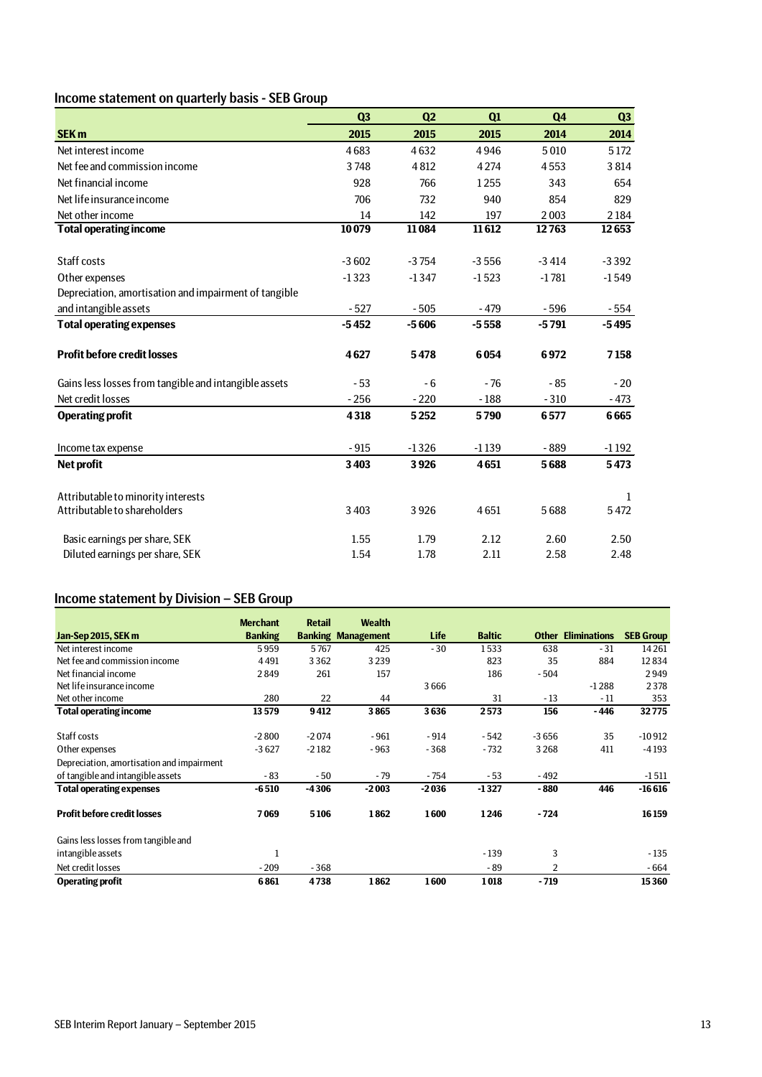## Income statement on quarterly basis - SEB Group

|                                                       | Q <sub>3</sub> | Q2      | Q1      | Q <sub>4</sub> | Q <sub>3</sub> |
|-------------------------------------------------------|----------------|---------|---------|----------------|----------------|
| <b>SEK m</b>                                          | 2015           | 2015    | 2015    | 2014           | 2014           |
| Net interest income                                   | 4683           | 4632    | 4946    | 5010           | 5172           |
| Net fee and commission income                         | 3748           | 4812    | 4274    | 4553           | 3814           |
| Net financial income                                  | 928            | 766     | 1255    | 343            | 654            |
| Net life insurance income                             | 706            | 732     | 940     | 854            | 829            |
| Net other income                                      | 14             | 142     | 197     | 2003           | 2184           |
| <b>Total operating income</b>                         | 10079          | 11084   | 11612   | 12763          | 12653          |
|                                                       |                |         |         |                |                |
| Staff costs                                           | $-3602$        | $-3754$ | $-3556$ | $-3414$        | $-3392$        |
| Other expenses                                        | $-1323$        | $-1347$ | $-1523$ | $-1781$        | $-1549$        |
| Depreciation, amortisation and impairment of tangible |                |         |         |                |                |
| and intangible assets                                 | $-527$         | $-505$  | $-479$  | $-596$         | $-554$         |
| <b>Total operating expenses</b>                       | $-5452$        | $-5606$ | $-5558$ | $-5791$        | $-5495$        |
| <b>Profit before credit losses</b>                    | 4627           | 5478    | 6054    | 6972           | 7158           |
| Gains less losses from tangible and intangible assets | $-53$          | $-6$    | $-76$   | $-85$          | $-20$          |
| Net credit losses                                     | $-256$         | $-220$  | $-188$  | $-310$         | $-473$         |
| <b>Operating profit</b>                               | 4318           | 5252    | 5790    | 6577           | 6665           |
| Income tax expense                                    | $-915$         | $-1326$ | $-1139$ | $-889$         | $-1192$        |
| Net profit                                            | 3 4 0 3        | 3926    | 4651    | 5688           | 5473           |
| Attributable to minority interests                    |                |         |         |                | 1              |
| Attributable to shareholders                          | 3 4 0 3        | 3926    | 4651    | 5688           | 5472           |
| Basic earnings per share, SEK                         | 1.55           | 1.79    | 2.12    | 2.60           | 2.50           |
| Diluted earnings per share, SEK                       | 1.54           | 1.78    | 2.11    | 2.58           | 2.48           |

## Income statement by Division – SEB Group

|                                           | <b>Merchant</b> | <b>Retail</b> | <b>Wealth</b>             |             |               |         |                           |                  |
|-------------------------------------------|-----------------|---------------|---------------------------|-------------|---------------|---------|---------------------------|------------------|
| Jan-Sep 2015, SEK m                       | <b>Banking</b>  |               | <b>Banking Management</b> | <b>Life</b> | <b>Baltic</b> |         | <b>Other Eliminations</b> | <b>SEB Group</b> |
| Net interest income                       | 5959            | 5767          | 425                       | $-30$       | 1533          | 638     | $-31$                     | 14 2 61          |
| Net fee and commission income             | 4491            | 3362          | 3 2 3 9                   |             | 823           | 35      | 884                       | 12834            |
| Net financial income                      | 2849            | 261           | 157                       |             | 186           | $-504$  |                           | 2949             |
| Net life insurance income                 |                 |               |                           | 3666        |               |         | $-1288$                   | 2378             |
| Net other income                          | 280             | 22            | 44                        |             | 31            | $-13$   | $-11$                     | 353              |
| <b>Total operating income</b>             | 13579           | 9412          | 3865                      | 3636        | 2573          | 156     | - 446                     | 32775            |
|                                           |                 |               |                           |             |               |         |                           |                  |
| Staff costs                               | $-2800$         | $-2074$       | $-961$                    | $-914$      | $-542$        | $-3656$ | 35                        | $-10912$         |
| Other expenses                            | $-3627$         | $-2182$       | $-963$                    | $-368$      | - 732         | 3 2 6 8 | 411                       | $-4193$          |
| Depreciation, amortisation and impairment |                 |               |                           |             |               |         |                           |                  |
| of tangible and intangible assets         | $-83$           | $-50$         | - 79                      | $-754$      | $-53$         | $-492$  |                           | $-1511$          |
| <b>Total operating expenses</b>           | $-6510$         | $-4306$       | $-2003$                   | $-2036$     | $-1327$       | $-880$  | 446                       | $-16616$         |
| <b>Profit before credit losses</b>        | 7069            | 5106          | 1862                      | 1600        | 1246          | $-724$  |                           | 16159            |
| Gains less losses from tangible and       |                 |               |                           |             |               |         |                           |                  |
| intangible assets                         | T               |               |                           |             | $-139$        | 3       |                           | - 135            |
| Net credit losses                         | $-209$          | $-368$        |                           |             | - 89          | 2       |                           | $-664$           |
| <b>Operating profit</b>                   | 6861            | 4738          | 1862                      | 1600        | 1018          | - 719   |                           | 15360            |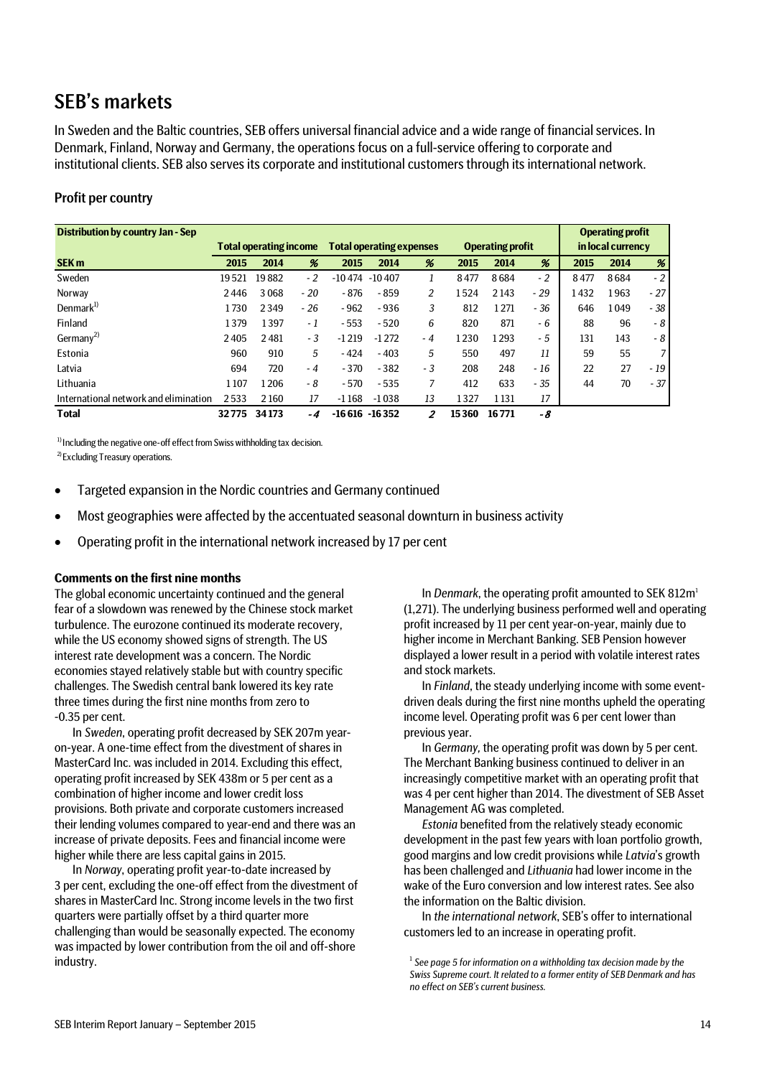## SEB's markets

In Sweden and the Baltic countries, SEB offers universal financial advice and a wide range of financial services. In Denmark, Finland, Norway and Germany, the operations focus on a full-service offering to corporate and institutional clients. SEB also serves its corporate and institutional customers through its international network.

## Profit per country

| <b>Distribution by country Jan - Sep</b> |       |                               |       |                  |                                 |      |       |                         |       |                   | <b>Operating profit</b> |       |
|------------------------------------------|-------|-------------------------------|-------|------------------|---------------------------------|------|-------|-------------------------|-------|-------------------|-------------------------|-------|
|                                          |       | <b>Total operating income</b> |       |                  | <b>Total operating expenses</b> |      |       | <b>Operating profit</b> |       | in local currency |                         |       |
| <b>SEK m</b>                             | 2015  | 2014                          | %     | 2015             | 2014                            | %    | 2015  | 2014                    | %     | 2015              | 2014                    | %     |
| Sweden                                   | 19521 | 19882                         | $-2$  | $-10474 - 10407$ |                                 |      | 8477  | 8684                    | $-2$  | 8477              | 8684                    | $-2$  |
| Norway                                   | 2446  | 3068                          | $-20$ | - 876            | $-859$                          | 2    | 1524  | 2 1 4 3                 | $-29$ | 1432              | 1963                    | $-27$ |
| Denmark <sup>1)</sup>                    | 1730  | 2349                          | - 26  | $-962$           | $-936$                          | 3    | 812   | 1271                    | - 36  | 646               | 1049                    | - 38  |
| Finland                                  | 1379  | 1397                          | - 1   | $-553$           | $-520$                          | 6    | 820   | 871                     | - 6   | 88                | 96                      | - 8   |
| Germany <sup>2)</sup>                    | 2405  | 2481                          | - 3   | $-1219$          | $-1272$                         | $-4$ | 1230  | 1293                    | - 5   | 131               | 143                     | - 8   |
| Estonia                                  | 960   | 910                           | 5     | $-424$           | $-403$                          | 5    | 550   | 497                     | 11    | 59                | 55                      | 7     |
| Latvia                                   | 694   | 720                           | $-4$  | $-370$           | $-382$                          | - 3  | 208   | 248                     | - 16  | 22                | 27                      | - 19  |
| Lithuania                                | 1107  | 1206                          | - 8   | $-570$           | $-535$                          | 7    | 412   | 633                     | - 35  | 44                | 70                      | $-37$ |
| International network and elimination    | 2533  | 2160                          | 17    | $-1168$          | $-1038$                         | 13   | 1327  | 1131                    | 17    |                   |                         |       |
| <b>Total</b>                             | 32775 | 34173                         | -4    | $-16616 - 16352$ |                                 | 2    | 15360 | 16771                   | -8    |                   |                         |       |

 $1)$  Including the negative one-off effect from Swiss withholding tax decision.

2) Excluding Treasury operations.

- Targeted expansion in the Nordic countries and Germany continued
- Most geographies were affected by the accentuated seasonal downturn in business activity
- Operating profit in the international network increased by 17 per cent

### **Comments on the first nine months**

The global economic uncertainty continued and the general fear of a slowdown was renewed by the Chinese stock market turbulence. The eurozone continued its moderate recovery, while the US economy showed signs of strength. The US interest rate development was a concern. The Nordic economies stayed relatively stable but with country specific challenges. The Swedish central bank lowered its key rate three times during the first nine months from zero to -0.35 per cent.

In *Sweden*, operating profit decreased by SEK 207m yearon-year. A one-time effect from the divestment of shares in MasterCard Inc. was included in 2014. Excluding this effect, operating profit increased by SEK 438m or 5 per cent as a combination of higher income and lower credit loss provisions. Both private and corporate customers increased their lending volumes compared to year-end and there was an increase of private deposits. Fees and financial income were higher while there are less capital gains in 2015.

In *Norway*, operating profit year-to-date increased by 3 per cent, excluding the one-off effect from the divestment of shares in MasterCard Inc. Strong income levels in the two first quarters were partially offset by a third quarter more challenging than would be seasonally expected. The economy was impacted by lower contribution from the oil and off-shore industry.

In *Denmark*, the operating profit amounted to SEK 812m<sup>1</sup> (1,271). The underlying business performed well and operating profit increased by 11 per cent year-on-year, mainly due to higher income in Merchant Banking. SEB Pension however displayed a lower result in a period with volatile interest rates and stock markets.

In *Finland*, the steady underlying income with some eventdriven deals during the first nine months upheld the operating income level. Operating profit was 6 per cent lower than previous year.

In *Germany,* the operating profit was down by 5 per cent. The Merchant Banking business continued to deliver in an increasingly competitive market with an operating profit that was 4 per cent higher than 2014. The divestment of SEB Asset Management AG was completed.

*Estonia* benefited from the relatively steady economic development in the past few years with loan portfolio growth, good margins and low credit provisions while *Latvia*'s growth has been challenged and *Lithuania* had lower income in the wake of the Euro conversion and low interest rates. See also the information on the Baltic division.

In *the international network*, SEB's offer to international customers led to an increase in operating profit.

<sup>&</sup>lt;sup>1</sup> See page 5 for information on a withholding tax decision made by the *Swiss Supreme court. It related to a former entity of SEB Denmark and has no effect on SEB's current business.*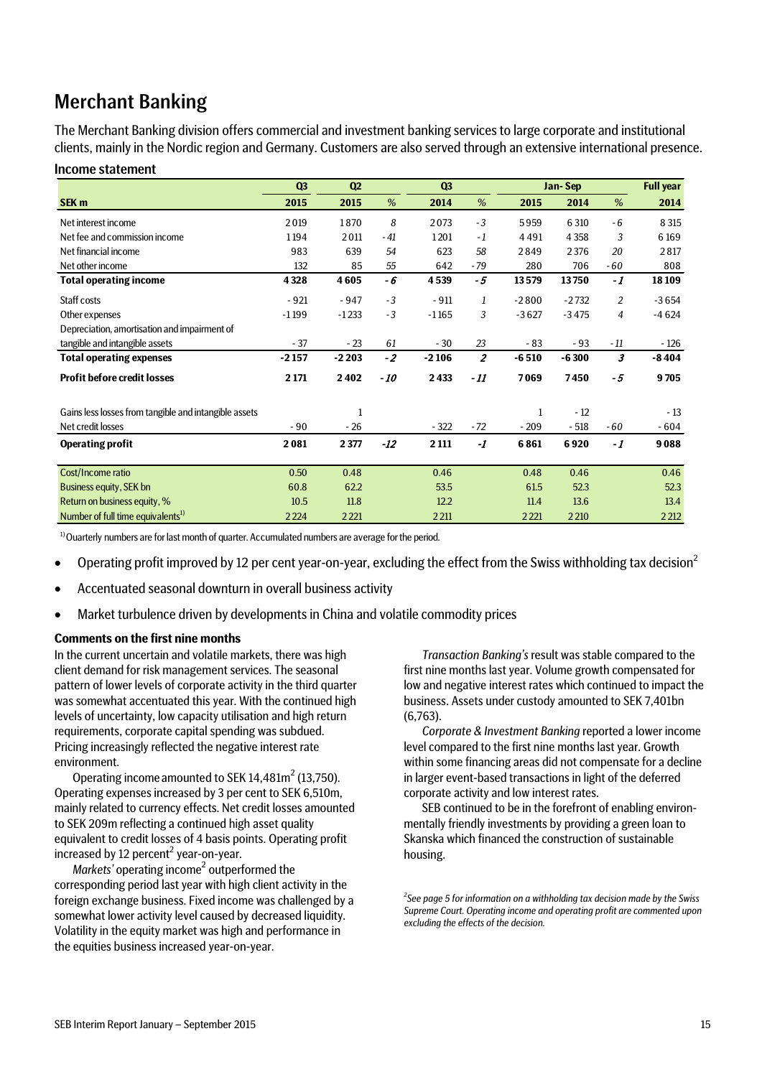## Merchant Banking

Income statement

The Merchant Banking division offers commercial and investment banking services to large corporate and institutional clients, mainly in the Nordic region and Germany. Customers are also served through an extensive international presence.

|                                                       | Q3      | Q2      |       | Q3      |                |              | Jan-Sep |       | <b>Full year</b> |
|-------------------------------------------------------|---------|---------|-------|---------|----------------|--------------|---------|-------|------------------|
| SEK <sub>m</sub>                                      | 2015    | 2015    | %     | 2014    | %              | 2015         | 2014    | %     | 2014             |
| Net interest income                                   | 2019    | 1870    | 8     | 2073    | $-3$           | 5959         | 6 3 10  | $-6$  | 8 3 1 5          |
| Net fee and commission income                         | 1194    | 2011    | $-41$ | 1201    | - 1            | 4491         | 4 3 5 8 | 3     | 6169             |
| Net financial income                                  | 983     | 639     | 54    | 623     | 58             | 2849         | 2376    | 20    | 2817             |
| Net other income                                      | 132     | 85      | 55    | 642     | $-79$          | 280          | 706     | $-60$ | 808              |
| <b>Total operating income</b>                         | 4 3 2 8 | 4605    | - 6   | 4539    | - 5            | 13579        | 13750   | $-1$  | 18 109           |
| Staff costs                                           | $-921$  | $-947$  | $-3$  | $-911$  | 1              | $-2800$      | $-2732$ | 2     | $-3654$          |
| Other expenses                                        | $-1199$ | $-1233$ | $-3$  | $-1165$ | 3              | $-3627$      | $-3475$ | 4     | $-4624$          |
| Depreciation, amortisation and impairment of          |         |         |       |         |                |              |         |       |                  |
| tangible and intangible assets                        | $-37$   | $-23$   | 61    | $-30$   | 23             | $-83$        | $-93$   | - 11  | - 126            |
| <b>Total operating expenses</b>                       | $-2157$ | $-2203$ | $-2$  | $-2106$ | $\overline{2}$ | $-6510$      | $-6300$ | 3     | $-8404$          |
| <b>Profit before credit losses</b>                    | 2171    | 2402    | - 10  | 2433    | $-11$          | 7069         | 7450    | $-5$  | 9705             |
| Gains less losses from tangible and intangible assets |         |         |       |         |                | $\mathbf{1}$ | $-12$   |       | $-13$            |
| Net credit losses                                     | $-90$   | $-26$   |       | $-322$  | $-72$          | $-209$       | $-518$  | - 60  | $-604$           |
| <b>Operating profit</b>                               | 2081    | 2 3 7 7 | $-12$ | 2 1 1 1 | $-1$           | 6861         | 6920    | $-I$  | 9088             |
| Cost/Income ratio                                     | 0.50    | 0.48    |       | 0.46    |                | 0.48         | 0.46    |       | 0.46             |
| Business equity, SEK bn                               | 60.8    | 62.2    |       | 53.5    |                | 61.5         | 52.3    |       | 52.3             |
| Return on business equity, %                          | 10.5    | 11.8    |       | 12.2    |                | 11.4         | 13.6    |       | 13.4             |
| Number of full time equivalents <sup>1)</sup>         | 2224    | 2 2 2 1 |       | 2 2 1 1 |                | 2 2 2 1      | 2 2 10  |       | 2 2 1 2          |

 $1)$  Ouarterly numbers are for last month of quarter. Accumulated numbers are average for the period.

- Operating profit improved by 12 per cent year-on-year, excluding the effect from the Swiss withholding tax decision<sup>2</sup>
- Accentuated seasonal downturn in overall business activity
- Market turbulence driven by developments in China and volatile commodity prices

#### **Comments on the first nine months**

In the current uncertain and volatile markets, there was high client demand for risk management services. The seasonal pattern of lower levels of corporate activity in the third quarter was somewhat accentuated this year. With the continued high levels of uncertainty, low capacity utilisation and high return requirements, corporate capital spending was subdued. Pricing increasingly reflected the negative interest rate environment.

Operating income amounted to SEK  $14.481\text{m}^2$  (13.750). Operating expenses increased by 3 per cent to SEK 6,510m, mainly related to currency effects. Net credit losses amounted to SEK 209m reflecting a continued high asset quality equivalent to credit losses of 4 basis points. Operating profit increased by 12 percent<sup>2</sup> year-on-year.

*Markets'* operating income<sup>2</sup> outperformed the corresponding period last year with high client activity in the foreign exchange business. Fixed income was challenged by a somewhat lower activity level caused by decreased liquidity. Volatility in the equity market was high and performance in the equities business increased year-on-year.

*Transaction Banking's* result was stable compared to the first nine months last year. Volume growth compensated for low and negative interest rates which continued to impact the business. Assets under custody amounted to SEK 7,401bn (6,763).

*Corporate & Investment Banking* reported a lower income level compared to the first nine months last year. Growth within some financing areas did not compensate for a decline in larger event-based transactions in light of the deferred corporate activity and low interest rates.

SEB continued to be in the forefront of enabling environmentally friendly investments by providing a green loan to Skanska which financed the construction of sustainable housing.

*2 See page 5 for information on a withholding tax decision made by the Swiss Supreme Court. Operating income and operating profit are commented upon excluding the effects of the decision.*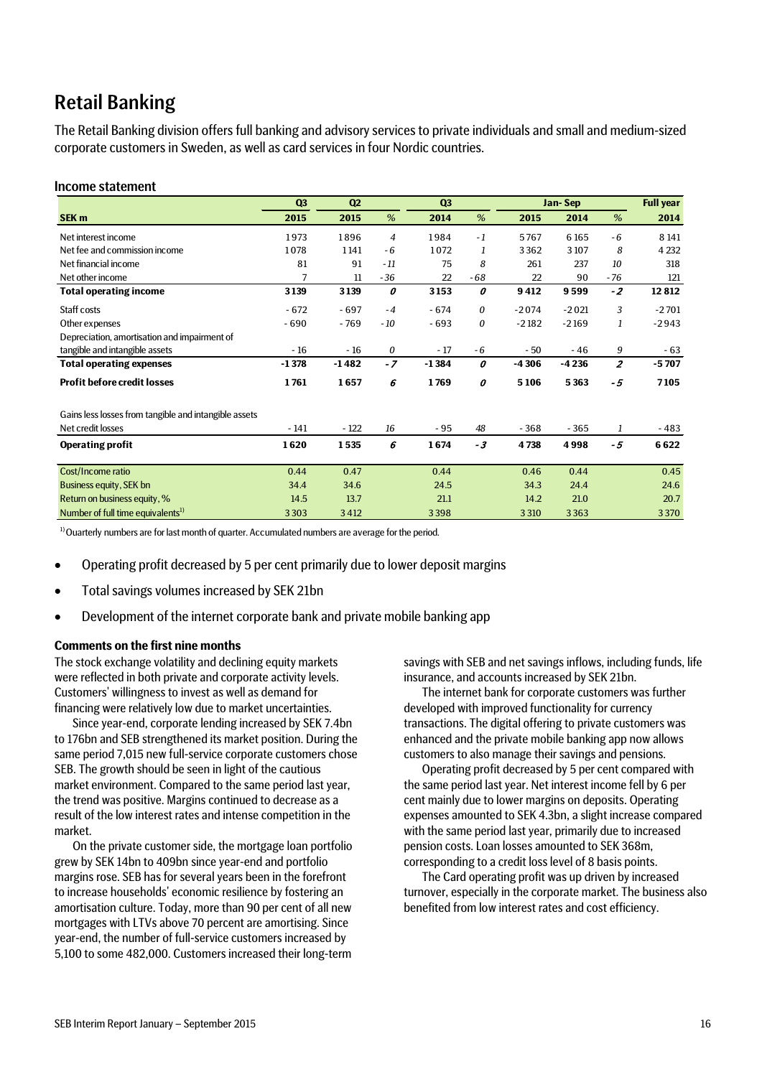## Retail Banking

The Retail Banking division offers full banking and advisory services to private individuals and small and medium-sized corporate customers in Sweden, as well as card services in four Nordic countries.

#### Income statement

|                                                       | Q <sub>3</sub> | Q2      |                | Q3      |       |         | Jan-Sep |                | <b>Full year</b> |
|-------------------------------------------------------|----------------|---------|----------------|---------|-------|---------|---------|----------------|------------------|
| SEK <sub>m</sub>                                      | 2015           | 2015    | %              | 2014    | %     | 2015    | 2014    | %              | 2014             |
| Net interest income                                   | 1973           | 1896    | $\overline{4}$ | 1984    | $-1$  | 5767    | 6165    | - 6            | 8 1 4 1          |
| Net fee and commission income                         | 1078           | 1141    | - 6            | 1072    | 1     | 3362    | 3107    | 8              | 4 2 3 2          |
| Net financial income                                  | 81             | 91      | $-11$          | 75      | 8     | 261     | 237     | 10             | 318              |
| Net other income                                      | 7              | 11      | $-36$          | 22      | $-68$ | 22      | 90      | - 76           | 121              |
| <b>Total operating income</b>                         | 3139           | 3139    | 0              | 3153    | 0     | 9412    | 9599    | $-2$           | 12812            |
| Staff costs                                           | $-672$         | $-697$  | $-4$           | $-674$  | 0     | $-2074$ | $-2021$ | 3              | $-2701$          |
| Other expenses                                        | $-690$         | $-769$  | $-10$          | $-693$  | 0     | $-2182$ | $-2169$ | 1              | $-2943$          |
| Depreciation, amortisation and impairment of          |                |         |                |         |       |         |         |                |                  |
| tangible and intangible assets                        | $-16$          | $-16$   | 0              | $-17$   | - 6   | - 50    | $-46$   | 9              | $-63$            |
| <b>Total operating expenses</b>                       | $-1378$        | $-1482$ | $-7$           | $-1384$ | 0     | $-4306$ | $-4236$ | $\overline{z}$ | -5707            |
| <b>Profit before credit losses</b>                    | 1761           | 1657    | 6              | 1769    | 0     | 5106    | 5 3 6 3 | - 5            | 7105             |
| Gains less losses from tangible and intangible assets |                |         |                |         |       |         |         |                |                  |
| Net credit losses                                     | $-141$         | $-122$  | 16             | $-95$   | 48    | $-368$  | $-365$  | 1              | $-483$           |
| <b>Operating profit</b>                               | 1620           | 1535    | 6              | 1674    | $-3$  | 4738    | 4998    | $-5$           | 6622             |
| Cost/Income ratio                                     | 0.44           | 0.47    |                | 0.44    |       | 0.46    | 0.44    |                | 0.45             |
| Business equity, SEK bn                               | 34.4           | 34.6    |                | 24.5    |       | 34.3    | 24.4    |                | 24.6             |
| Return on business equity, %                          | 14.5           | 13.7    |                | 21.1    |       | 14.2    | 21.0    |                | 20.7             |
|                                                       |                |         |                |         |       |         |         |                |                  |
| Number of full time equivalents <sup>1)</sup>         | 3303           | 3412    |                | 3398    |       | 3310    | 3363    |                | 3370             |

 $1)$  Ouarterly numbers are for last month of quarter. Accumulated numbers are average for the period.

- Operating profit decreased by 5 per cent primarily due to lower deposit margins
- Total savings volumes increased by SEK 21bn
- Development of the internet corporate bank and private mobile banking app

#### **Comments on the first nine months**

The stock exchange volatility and declining equity markets were reflected in both private and corporate activity levels. Customers' willingness to invest as well as demand for financing were relatively low due to market uncertainties.

Since year-end, corporate lending increased by SEK 7.4bn to 176bn and SEB strengthened its market position. During the same period 7,015 new full-service corporate customers chose SEB. The growth should be seen in light of the cautious market environment. Compared to the same period last year, the trend was positive. Margins continued to decrease as a result of the low interest rates and intense competition in the market.

On the private customer side, the mortgage loan portfolio grew by SEK 14bn to 409bn since year-end and portfolio margins rose. SEB has for several years been in the forefront to increase households' economic resilience by fostering an amortisation culture. Today, more than 90 per cent of all new mortgages with LTVs above 70 percent are amortising. Since year-end, the number of full-service customers increased by 5,100 to some 482,000. Customers increased their long-term

savings with SEB and net savings inflows, including funds, life insurance, and accounts increased by SEK 21bn.

The internet bank for corporate customers was further developed with improved functionality for currency transactions. The digital offering to private customers was enhanced and the private mobile banking app now allows customers to also manage their savings and pensions.

Operating profit decreased by 5 per cent compared with the same period last year. Net interest income fell by 6 per cent mainly due to lower margins on deposits. Operating expenses amounted to SEK 4.3bn, a slight increase compared with the same period last year, primarily due to increased pension costs. Loan losses amounted to SEK 368m, corresponding to a credit loss level of 8 basis points.

The Card operating profit was up driven by increased turnover, especially in the corporate market. The business also benefited from low interest rates and cost efficiency.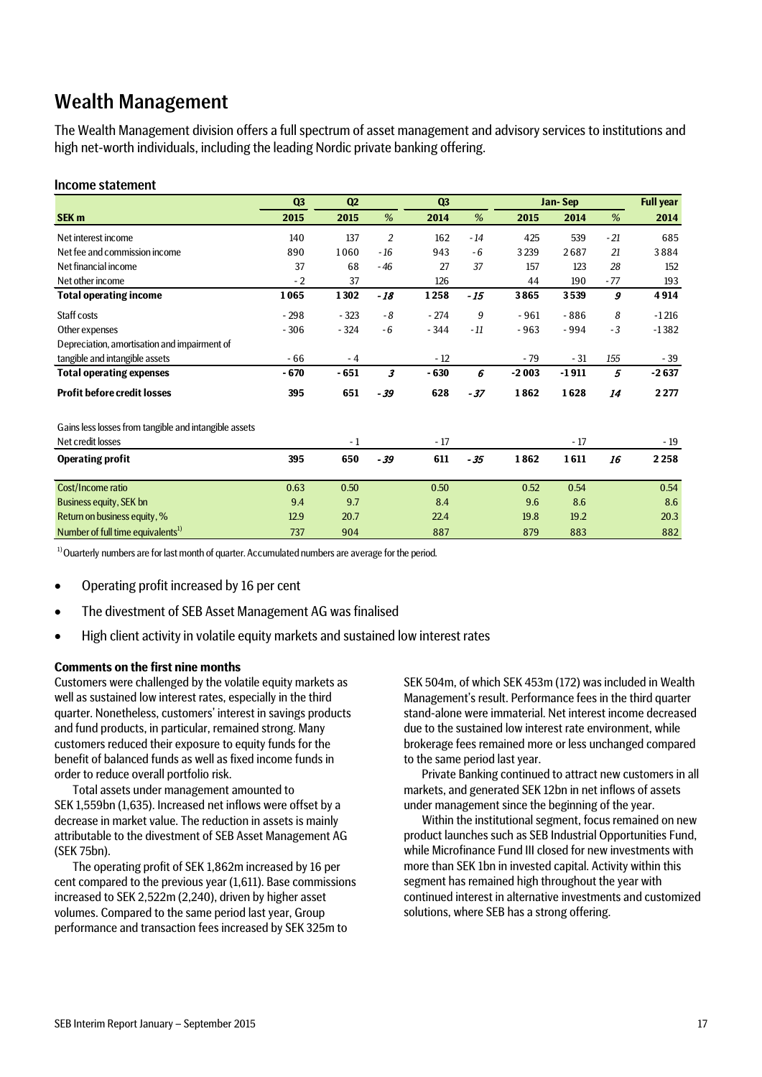## Wealth Management

The Wealth Management division offers a full spectrum of asset management and advisory services to institutions and high net-worth individuals, including the leading Nordic private banking offering.

#### Income statement

|                                                       | Q <sub>3</sub> | Q2     |                | Q3     |       |         | Jan-Sep |       | <b>Full year</b> |
|-------------------------------------------------------|----------------|--------|----------------|--------|-------|---------|---------|-------|------------------|
| SEK <sub>m</sub>                                      | 2015           | 2015   | %              | 2014   | %     | 2015    | 2014    | %     | 2014             |
| Net interest income                                   | 140            | 137    | $\overline{2}$ | 162    | $-14$ | 425     | 539     | $-21$ | 685              |
| Net fee and commission income                         | 890            | 1060   | $-16$          | 943    | $-6$  | 3 2 3 9 | 2687    | 21    | 3884             |
| Net financial income                                  | 37             | 68     | $-46$          | 27     | 37    | 157     | 123     | 28    | 152              |
| Net other income                                      | $-2$           | 37     |                | 126    |       | 44      | 190     | $-77$ | 193              |
| <b>Total operating income</b>                         | 1065           | 1302   | $-18$          | 1258   | $-15$ | 3865    | 3539    | 9     | 4914             |
| Staff costs                                           | $-298$         | $-323$ | $-8$           | $-274$ | 9     | $-961$  | $-886$  | 8     | $-1216$          |
| Other expenses                                        | $-306$         | $-324$ | $-6$           | $-344$ | $-11$ | $-963$  | $-994$  | $-3$  | $-1382$          |
| Depreciation, amortisation and impairment of          |                |        |                |        |       |         |         |       |                  |
| tangible and intangible assets                        | $-66$          | $-4$   |                | $-12$  |       | $-79$   | - 31    | 155   | $-39$            |
| <b>Total operating expenses</b>                       | $-670$         | - 651  | 3              | $-630$ | 6     | $-2003$ | $-1911$ | 5     | $-2637$          |
| <b>Profit before credit losses</b>                    | 395            | 651    | - 39           | 628    | $-37$ | 1862    | 1628    | 14    | 2 2 7 7          |
| Gains less losses from tangible and intangible assets |                |        |                |        |       |         |         |       |                  |
| Net credit losses                                     |                | $-1$   |                | $-17$  |       |         | $-17$   |       | $-19$            |
| <b>Operating profit</b>                               | 395            | 650    | - 39           | 611    | $-35$ | 1862    | 1611    | 16    | 2 2 5 8          |
| Cost/Income ratio                                     | 0.63           | 0.50   |                | 0.50   |       | 0.52    | 0.54    |       | 0.54             |
| Business equity, SEK bn                               | 9.4            | 9.7    |                | 8.4    |       | 9.6     | 8.6     |       | 8.6              |
| Return on business equity, %                          | 12.9           | 20.7   |                | 22.4   |       | 19.8    | 19.2    |       | 20.3             |
| Number of full time equivalents <sup>1)</sup>         | 737            | 904    |                | 887    |       | 879     | 883     |       | 882              |

<sup>1)</sup> Ouarterly numbers are for last month of quarter. Accumulated numbers are average for the period.

- Operating profit increased by 16 per cent
- The divestment of SEB Asset Management AG was finalised
- High client activity in volatile equity markets and sustained low interest rates

#### **Comments on the first nine months**

Customers were challenged by the volatile equity markets as well as sustained low interest rates, especially in the third quarter. Nonetheless, customers' interest in savings products and fund products, in particular, remained strong. Many customers reduced their exposure to equity funds for the benefit of balanced funds as well as fixed income funds in order to reduce overall portfolio risk.

Total assets under management amounted to SEK 1,559bn (1,635). Increased net inflows were offset by a decrease in market value. The reduction in assets is mainly attributable to the divestment of SEB Asset Management AG (SEK 75bn).

The operating profit of SEK 1,862m increased by 16 per cent compared to the previous year (1,611). Base commissions increased to SEK 2,522m (2,240), driven by higher asset volumes. Compared to the same period last year, Group performance and transaction fees increased by SEK 325m to

SEK 504m, of which SEK 453m (172) was included in Wealth Management's result. Performance fees in the third quarter stand-alone were immaterial. Net interest income decreased due to the sustained low interest rate environment, while brokerage fees remained more or less unchanged compared to the same period last year.

Private Banking continued to attract new customers in all markets, and generated SEK 12bn in net inflows of assets under management since the beginning of the year.

Within the institutional segment, focus remained on new product launches such as SEB Industrial Opportunities Fund, while Microfinance Fund III closed for new investments with more than SEK 1bn in invested capital. Activity within this segment has remained high throughout the year with continued interest in alternative investments and customized solutions, where SEB has a strong offering.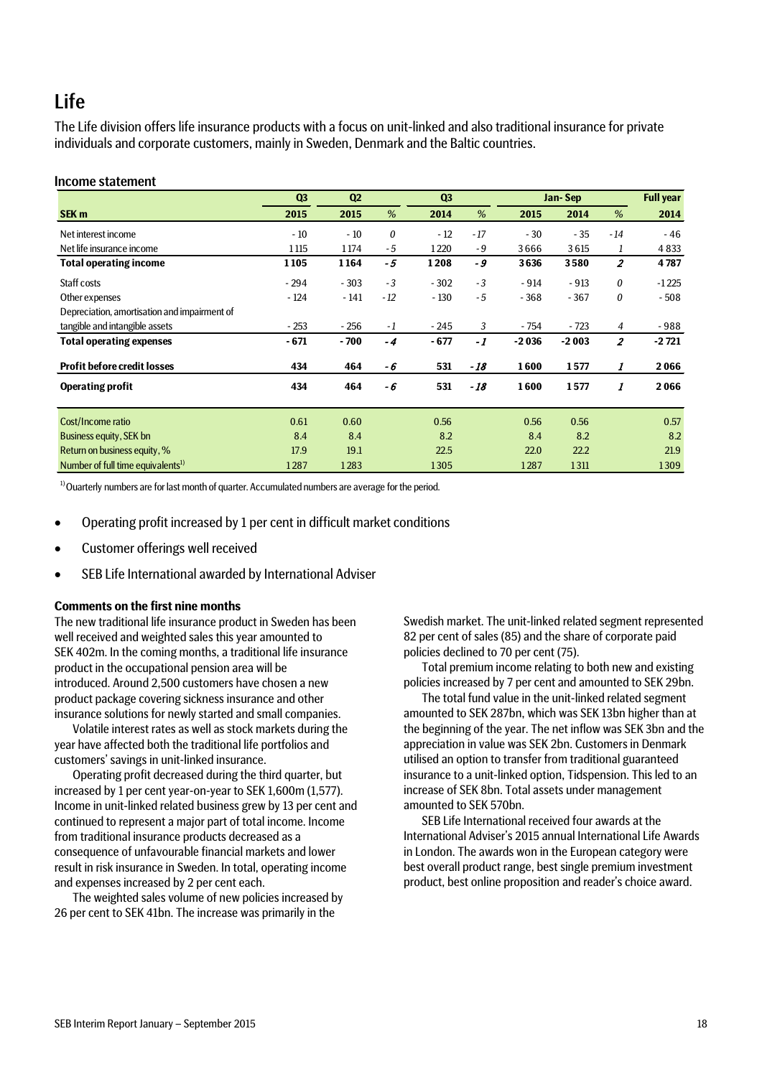## Life

The Life division offers life insurance products with a focus on unit-linked and also traditional insurance for private individuals and corporate customers, mainly in Sweden, Denmark and the Baltic countries.

#### Income statement

|                                               | Q <sub>3</sub> | Q2     |       | Q3     | Jan-Sep |         |         | <b>Full year</b> |         |
|-----------------------------------------------|----------------|--------|-------|--------|---------|---------|---------|------------------|---------|
| SEK <sub>m</sub>                              | 2015           | 2015   | %     | 2014   | %       | 2015    | 2014    | %                | 2014    |
| Net interest income                           | $-10$          | $-10$  | 0     | $-12$  | $-17$   | $-30$   | $-35$   | $-14$            | - 46    |
| Net life insurance income                     | 1115           | 1174   | - 5   | 1220   | $-9$    | 3666    | 3615    | 1                | 4833    |
| <b>Total operating income</b>                 | 1105           | 1164   | $-5$  | 1208   | - 9     | 3636    | 3580    | $\overline{z}$   | 4787    |
| Staff costs                                   | $-294$         | $-303$ | $-3$  | $-302$ | $-3$    | $-914$  | $-913$  | $\theta$         | $-1225$ |
| Other expenses                                | $-124$         | $-141$ | $-12$ | $-130$ | - 5     | $-368$  | $-367$  | 0                | $-508$  |
| Depreciation, amortisation and impairment of  |                |        |       |        |         |         |         |                  |         |
| tangible and intangible assets                | $-253$         | $-256$ | $-1$  | $-245$ | 3       | - 754   | $-723$  | 4                | $-988$  |
| <b>Total operating expenses</b>               | $-671$         | $-700$ | $-4$  | $-677$ | -1      | $-2036$ | $-2003$ | $\overline{z}$   | $-2721$ |
| <b>Profit before credit losses</b>            | 434            | 464    | - 6   | 531    | - 18    | 1600    | 1577    | 1                | 2066    |
| <b>Operating profit</b>                       | 434            | 464    | - 6   | 531    | $-18$   | 1600    | 1577    | 1                | 2066    |
| Cost/Income ratio                             | 0.61           | 0.60   |       | 0.56   |         | 0.56    | 0.56    |                  | 0.57    |
| Business equity, SEK bn                       | 8.4            | 8.4    |       | 8.2    |         | 8.4     | 8.2     |                  | 8.2     |
| Return on business equity, %                  | 17.9           | 19.1   |       | 22.5   |         | 22.0    | 22.2    |                  | 21.9    |
| Number of full time equivalents <sup>1)</sup> | 1287           | 1283   |       | 1305   |         | 1287    | 1311    |                  | 1309    |

 $1)$  Ouarterly numbers are for last month of quarter. Accumulated numbers are average for the period.

- Operating profit increased by 1 per cent in difficult market conditions
- Customer offerings well received
- SEB Life International awarded by International Adviser

#### **Comments on the first nine months**

The new traditional life insurance product in Sweden has been well received and weighted sales this year amounted to SEK 402m. In the coming months, a traditional life insurance product in the occupational pension area will be introduced. Around 2,500 customers have chosen a new product package covering sickness insurance and other insurance solutions for newly started and small companies.

Volatile interest rates as well as stock markets during the year have affected both the traditional life portfolios and customers' savings in unit-linked insurance.

Operating profit decreased during the third quarter, but increased by 1 per cent year-on-year to SEK 1,600m (1,577). Income in unit-linked related business grew by 13 per cent and continued to represent a major part of total income. Income from traditional insurance products decreased as a consequence of unfavourable financial markets and lower result in risk insurance in Sweden. In total, operating income and expenses increased by 2 per cent each.

The weighted sales volume of new policies increased by 26 per cent to SEK 41bn. The increase was primarily in the

Swedish market. The unit-linked related segment represented 82 per cent of sales (85) and the share of corporate paid policies declined to 70 per cent (75).

Total premium income relating to both new and existing policies increased by 7 per cent and amounted to SEK 29bn.

The total fund value in the unit-linked related segment amounted to SEK 287bn, which was SEK 13bn higher than at the beginning of the year. The net inflow was SEK 3bn and the appreciation in value was SEK 2bn. Customers in Denmark utilised an option to transfer from traditional guaranteed insurance to a unit-linked option, Tidspension. This led to an increase of SEK 8bn. Total assets under management amounted to SEK 570bn.

SEB Life International received four awards at the International Adviser's 2015 annual International Life Awards in London. The awards won in the European category were best overall product range, best single premium investment product, best online proposition and reader's choice award.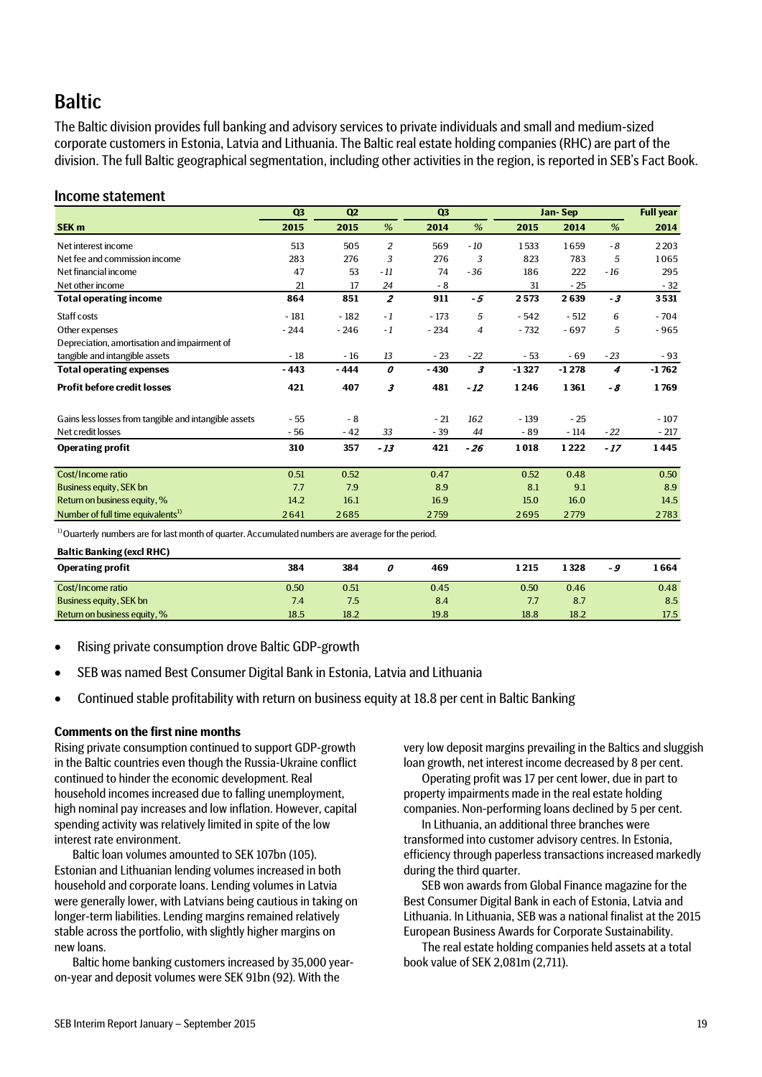## **Baltic**

The Baltic division provides full banking and advisory services to private individuals and small and medium-sized corporate customers in Estonia, Latvia and Lithuania. The Baltic real estate holding companies (RHC) are part of the division. The full Baltic geographical segmentation, including other activities in the region, is reported in SEB's Fact Book.

### Income statement

|                                                       | Q <sub>3</sub> | Q <sub>2</sub> |                | Q3     |                      |         | Jan-Sep |       | <b>Full year</b> |
|-------------------------------------------------------|----------------|----------------|----------------|--------|----------------------|---------|---------|-------|------------------|
| <b>SEK m</b>                                          | 2015           | 2015           | %              | 2014   | %                    | 2015    | 2014    | %     | 2014             |
| Net interest income                                   | 513            | 505            | $\overline{2}$ | 569    | - 10                 | 1533    | 1659    | - 8   | 2203             |
| Net fee and commission income                         | 283            | 276            | 3              | 276    | 3                    | 823     | 783     | 5     | 1065             |
| Net financial income                                  | 47             | 53             | - 11           | 74     | $-36$                | 186     | 222     | $-16$ | 295              |
| Net other income                                      | 21             | 17             | 24             | - 8    |                      | 31      | $-25$   |       | $-32$            |
| <b>Total operating income</b>                         | 864            | 851            | $\overline{z}$ | 911    | $-5$                 | 2573    | 2639    | $-3$  | 3531             |
| Staff costs                                           | $-181$         | $-182$         | $-1$           | $-173$ | 5                    | $-542$  | $-512$  | 6     | $-704$           |
| Other expenses                                        | $-244$         | $-246$         | $-1$           | $-234$ | $\overline{4}$       | $-732$  | $-697$  | 5     | $-965$           |
| Depreciation, amortisation and impairment of          |                |                |                |        |                      |         |         |       |                  |
| tangible and intangible assets                        | $-18$          | $-16$          | 13             | $-23$  | $-22$                | $-53$   | $-69$   | $-23$ | $-93$            |
| <b>Total operating expenses</b>                       | $-443$         | $-444$         | 0              | $-430$ | $\boldsymbol{\beta}$ | $-1327$ | $-1278$ | 4     | $-1762$          |
| <b>Profit before credit losses</b>                    | 421            | 407            | 3              | 481    | $-12$                | 1246    | 1361    | - 8   | 1769             |
| Gains less losses from tangible and intangible assets | $-55$          | $-8$           |                | $-21$  | 162                  | $-139$  | $-25$   |       | $-107$           |
| Net credit losses                                     | - 56           | $-42$          | 33             | $-39$  | 44                   | $-89$   | $-114$  | $-22$ | $-217$           |
| <b>Operating profit</b>                               | 310            | 357            | $-13$          | 421    | $-26$                | 1018    | 1222    | $-17$ | 1445             |
| Cost/Income ratio                                     | 0.51           | 0.52           |                | 0.47   |                      | 0.52    | 0.48    |       | 0.50             |
| Business equity, SEK bn                               | 7.7            | 7.9            |                | 8.9    |                      | 8.1     | 9.1     |       | 8.9              |
| Return on business equity, %                          | 14.2           | 16.1           |                | 16.9   |                      | 15.0    | 16.0    |       | 14.5             |
| Number of full time equivalents <sup>1)</sup>         | 2641           | 2685           |                | 2759   |                      | 2695    | 2779    |       | 2783             |

<sup>1)</sup> Ouarterly numbers are for last month of quarter. Accumulated numbers are average for the period.

**Baltic Banking (excl RHC)**

| <b>Operating profit</b>        | 384  | 384  | 469  | 1 2 1 5 | 1328 | -9 | 1 664 |
|--------------------------------|------|------|------|---------|------|----|-------|
| Cost/Income ratio              | 0.50 | 0.51 | 0.45 | 0.50    | 0.46 |    | 0.48  |
| <b>Business equity, SEK bn</b> | 7.4  | 7.5  | 8.4  |         | 8.7  |    | 8.5   |
| Return on business equity, %   | 18.5 | 18.2 | 19.8 | 18.8    | 18.2 |    | 17.5  |
|                                |      |      |      |         |      |    |       |

- Rising private consumption drove Baltic GDP-growth
- SEB was named Best Consumer Digital Bank in Estonia, Latvia and Lithuania
- Continued stable profitability with return on business equity at 18.8 per cent in Baltic Banking

#### **Comments on the first nine months**

Rising private consumption continued to support GDP-growth in the Baltic countries even though the Russia-Ukraine conflict continued to hinder the economic development. Real household incomes increased due to falling unemployment, high nominal pay increases and low inflation. However, capital spending activity was relatively limited in spite of the low interest rate environment.

Baltic loan volumes amounted to SEK 107bn (105). Estonian and Lithuanian lending volumes increased in both household and corporate loans. Lending volumes in Latvia were generally lower, with Latvians being cautious in taking on longer-term liabilities. Lending margins remained relatively stable across the portfolio, with slightly higher margins on new loans.

Baltic home banking customers increased by 35,000 yearon-year and deposit volumes were SEK 91bn (92). With the

very low deposit margins prevailing in the Baltics and sluggish loan growth, net interest income decreased by 8 per cent.

Operating profit was 17 per cent lower, due in part to property impairments made in the real estate holding companies. Non-performing loans declined by 5 per cent.

In Lithuania, an additional three branches were transformed into customer advisory centres. In Estonia, efficiency through paperless transactions increased markedly during the third quarter.

SEB won awards from Global Finance magazine for the Best Consumer Digital Bank in each of Estonia, Latvia and Lithuania. In Lithuania, SEB was a national finalist at the 2015 European Business Awards for Corporate Sustainability.

The real estate holding companies held assets at a total book value of SEK 2,081m (2,711).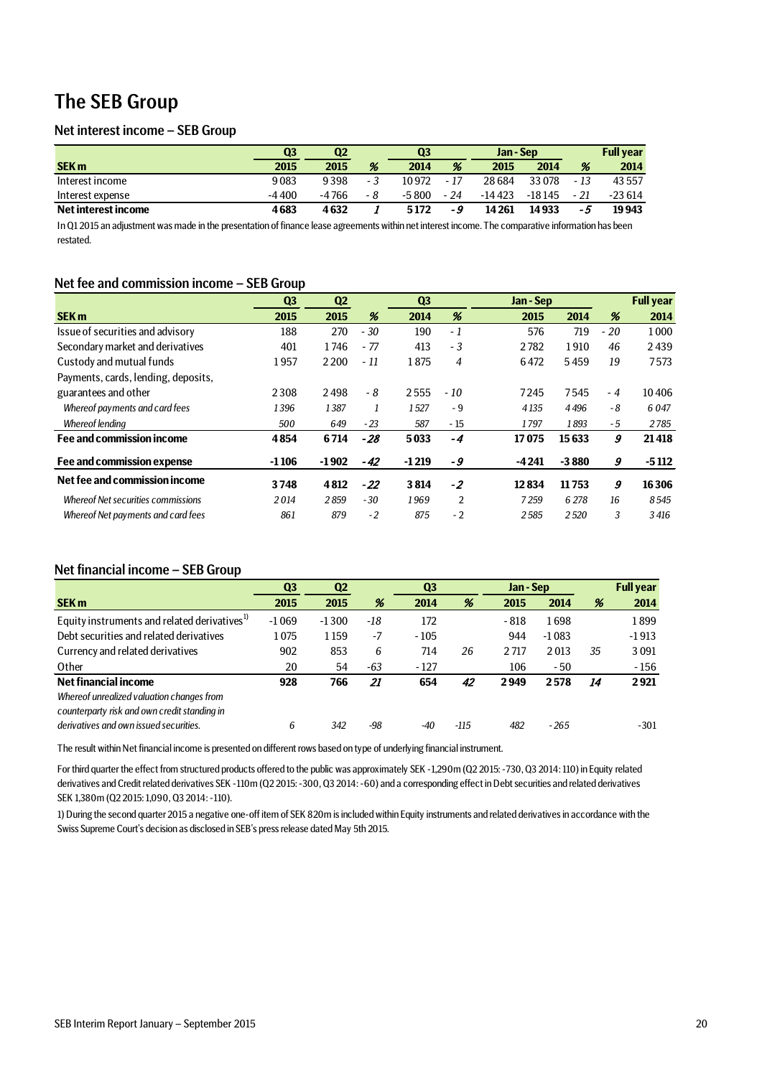## The SEB Group

### Net interest income – SEB Group

|                     | Q3      | Q2      |     | Q3     |      | Jan - Sep |          |       | <b>Full year</b> |
|---------------------|---------|---------|-----|--------|------|-----------|----------|-------|------------------|
| <b>SEK m</b>        | 2015    | 2015    | %   | 2014   | %    | 2015      | 2014     | %     | 2014             |
| Interest income     | 9083    | 9398    | - 3 | 10972  | - 17 | 28684     | 33078    | - 13  | 43 5 5 7         |
| Interest expense    | $-4400$ | $-4766$ | - 8 | -5 800 | - 24 | $-14423$  | $-18145$ | $-21$ | $-23614$         |
| Net interest income | 4683    | 4632    |     | 5172   | -9   | 14 2 61   | 14933    | -5    | 19943            |

In Q1 2015 an adjustment was made in the presentation of finance lease agreements within net interest income. The comparative information has been restated.

### Net fee and commission income – SEB Group

|                                     | Q <sub>3</sub> | Q <sub>2</sub> |       | Q <sub>3</sub> |                | Jan - Sep |         |       | <b>Full year</b> |
|-------------------------------------|----------------|----------------|-------|----------------|----------------|-----------|---------|-------|------------------|
| <b>SEK m</b>                        | 2015           | 2015           | %     | 2014           | %              | 2015      | 2014    | %     | 2014             |
| Issue of securities and advisory    | 188            | 270            | $-30$ | 190            | $-1$           | 576       | 719     | $-20$ | 1000             |
| Secondary market and derivatives    | 401            | 1746           | - 77  | 413            | $-3$           | 2782      | 1910    | 46    | 2439             |
| Custody and mutual funds            | 1957           | 2 2 0 0        | - 11  | 1875           | 4              | 6472      | 5459    | 19    | 7573             |
| Payments, cards, lending, deposits, |                |                |       |                |                |           |         |       |                  |
| guarantees and other                | 2308           | 2498           | - 8   | 2555           | $-10$          | 7245      | 7545    | $-4$  | 10406            |
| Whereof payments and card fees      | 1396           | 1387           | 1     | 1527           | - 9            | 4135      | 4496    | - 8   | 6047             |
| <b>Whereof lending</b>              | 500            | 649            | $-23$ | 587            | $-15$          | 1797      | 1893    | $-5$  | 2785             |
| Fee and commission income           | 4854           | 6714           | $-28$ | 5033           | $-4$           | 17075     | 15633   | 9     | 21418            |
| Fee and commission expense          | $-1106$        | $-1902$        | $-42$ | $-1219$        | -9             | $-4241$   | $-3880$ | 9     | $-5112$          |
| Net fee and commission income       | 3748           | 4812           | $-22$ | 3814           | $-2$           | 12834     | 11753   | 9     | 16306            |
| Whereof Net securities commissions  | 2014           | 2859           | $-30$ | 1969           | $\overline{2}$ | 7259      | 6 278   | 16    | 8545             |
| Whereof Net payments and card fees  | 861            | 879            | $-2$  | 875            | $-2$           | 2585      | 2520    | 3     | 3 4 16           |

### Net financial income – SEB Group

|                                                                                           | Q <sub>3</sub> | Q <sub>2</sub> |       | Q <sub>3</sub> |      | Jan - Sep |         |    | <b>Full year</b> |
|-------------------------------------------------------------------------------------------|----------------|----------------|-------|----------------|------|-----------|---------|----|------------------|
| <b>SEK m</b>                                                                              | 2015           | 2015           | %     | 2014           | %    | 2015      | 2014    | %  | 2014             |
| Equity instruments and related derivatives <sup>1)</sup>                                  | $-1069$        | $-1300$        | -18   | 172            |      | $-818$    | 1698    |    | 1899             |
| Debt securities and related derivatives                                                   | 1075           | 1159           | $-7$  | $-105$         |      | 944       | $-1083$ |    | $-1913$          |
| Currency and related derivatives                                                          | 902            | 853            | 6     | 714            | 26   | 2717      | 2013    | 35 | 3 0 9 1          |
| Other                                                                                     | 20             | 54             | $-63$ | $-127$         |      | 106       | - 50    |    | $-156$           |
| Net financial income                                                                      | 928            | 766            | 21    | 654            | 42   | 2949      | 2578    | 14 | 2921             |
| Whereof unrealized valuation changes from<br>counterparty risk and own credit standing in |                |                |       |                |      |           |         |    |                  |
| derivatives and own issued securities.                                                    | 6              | 342            | -98   | -40            | -115 | 482       | $-265$  |    | $-301$           |

The result within Net financial income is presented on different rows based on type of underlying financial instrument.

For third quarter the effect from structured products offered to the public was approximately SEK -1,290m (Q2 2015: -730, Q3 2014: 110) in Equity related derivatives and Credit related derivatives SEK -110m (Q2 2015: -300, Q3 2014: -60) and a corresponding effect in Debt securities and related derivatives SEK 1,380m (Q2 2015: 1,090, Q3 2014: -110).

1) During the second quarter 2015 a negative one-off item of SEK 820m is included within Equity instruments and related derivatives in accordance with the Swiss Supreme Court's decision as disclosed in SEB's press release dated May 5th 2015.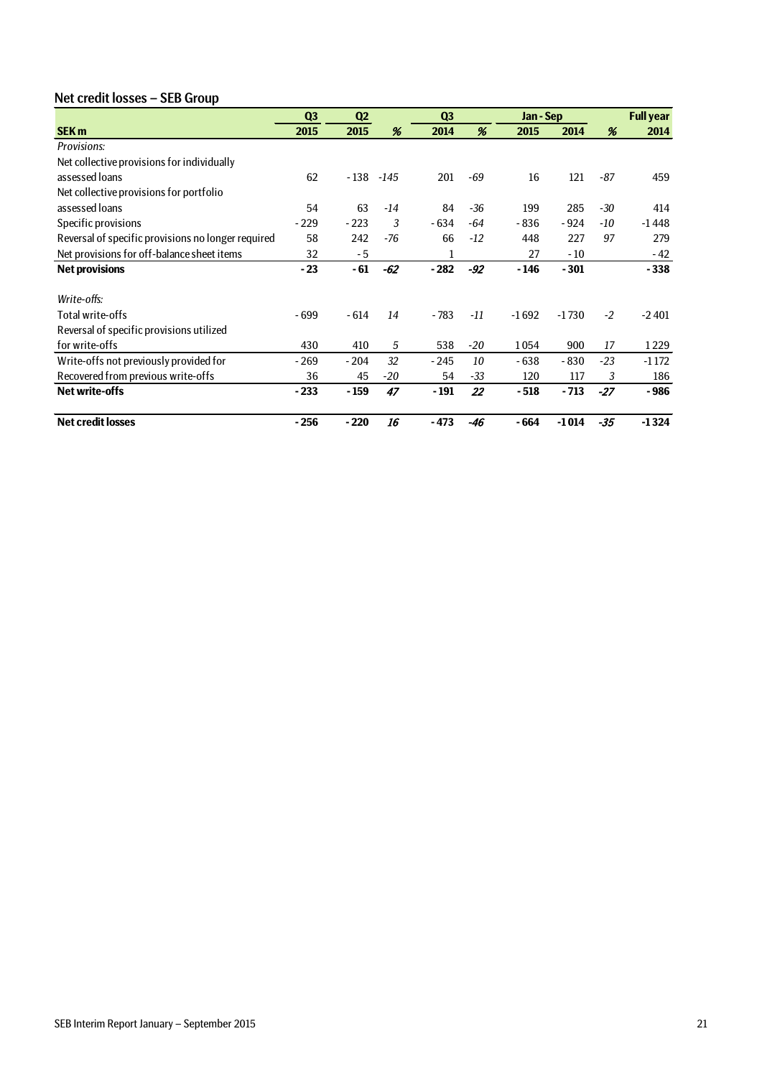## Net credit losses – SEB Group

|                                                    | Q <sub>3</sub> | Q <sub>2</sub> |        | Q <sub>3</sub> |       | Jan - Sep |         |       | <b>Full year</b> |
|----------------------------------------------------|----------------|----------------|--------|----------------|-------|-----------|---------|-------|------------------|
| <b>SEK m</b>                                       | 2015           | 2015           | %      | 2014           | %     | 2015      | 2014    | %     | 2014             |
| Provisions:                                        |                |                |        |                |       |           |         |       |                  |
| Net collective provisions for individually         |                |                |        |                |       |           |         |       |                  |
| assessed loans                                     | 62             | - 138          | $-145$ | 201            | $-69$ | 16        | 121     | -87   | 459              |
| Net collective provisions for portfolio            |                |                |        |                |       |           |         |       |                  |
| assessed loans                                     | 54             | 63             | $-14$  | 84             | -36   | 199       | 285     | $-30$ | 414              |
| Specific provisions                                | $-229$         | $-223$         | 3      | $-634$         | -64   | $-836$    | $-924$  | -10   | $-1448$          |
| Reversal of specific provisions no longer required | 58             | 242            | $-76$  | 66             | $-12$ | 448       | 227     | 97    | 279              |
| Net provisions for off-balance sheet items         | 32             | - 5            |        |                |       | 27        | $-10$   |       | $-42$            |
| <b>Net provisions</b>                              | $-23$          | $-61$          | -62    | $-282$         | $-92$ | $-146$    | $-301$  |       | $-338$           |
|                                                    |                |                |        |                |       |           |         |       |                  |
| Write-offs:                                        |                |                |        |                |       |           |         |       |                  |
| Total write-offs                                   | - 699          | $-614$         | 14     | $-783$         | $-11$ | $-1692$   | $-1730$ | $-2$  | $-2401$          |
| Reversal of specific provisions utilized           |                |                |        |                |       |           |         |       |                  |
| for write-offs                                     | 430            | 410            | 5      | 538            | $-20$ | 1054      | 900     | 17    | 1229             |
| Write-offs not previously provided for             | $-269$         | $-204$         | 32     | $-245$         | 10    | $-638$    | $-830$  | $-23$ | $-1172$          |
| Recovered from previous write-offs                 | 36             | 45             | $-20$  | 54             | $-33$ | 120       | 117     | 3     | 186              |
| <b>Net write-offs</b>                              | $-233$         | $-159$         | 47     | $-191$         | 22    | $-518$    | $-713$  | $-27$ | $-986$           |
| <b>Net credit losses</b>                           | $-256$         | $-220$         | 16     | $-473$         | -46   | - 664     | $-1014$ | $-35$ | $-1324$          |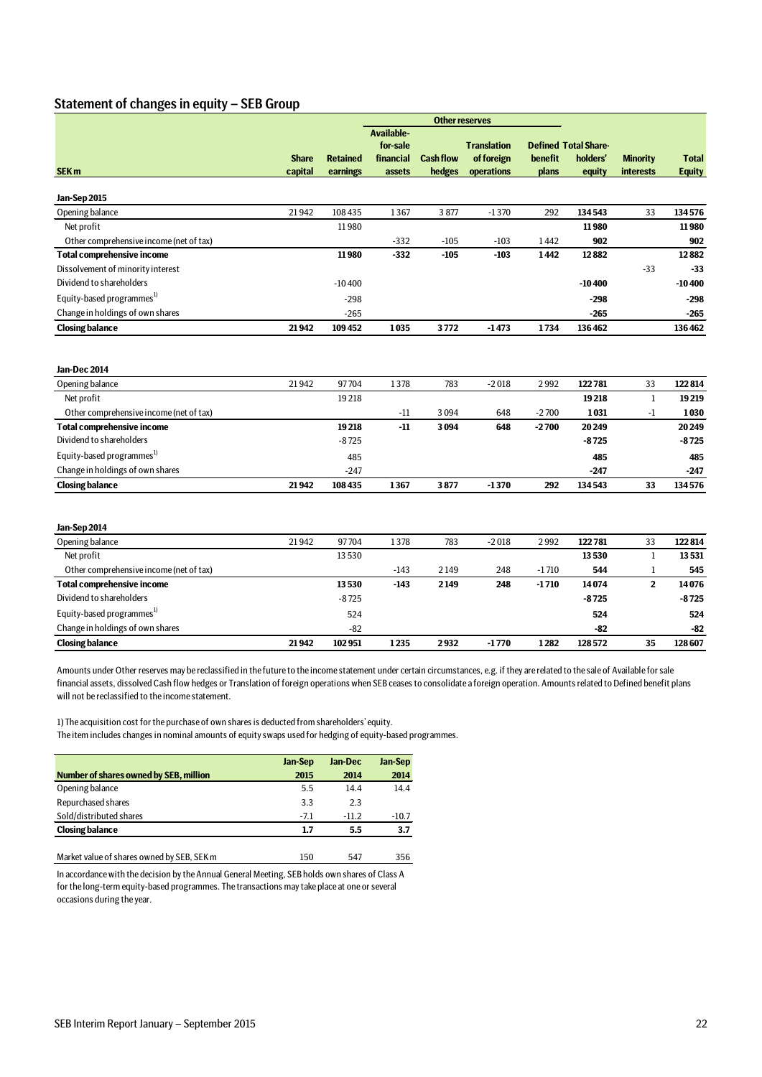### Statement of changes in equity – SEB Group

|                                         |                         |                 |                     |                            | <b>Other reserves</b>    |                  |                             |                                     |                               |
|-----------------------------------------|-------------------------|-----------------|---------------------|----------------------------|--------------------------|------------------|-----------------------------|-------------------------------------|-------------------------------|
|                                         |                         |                 | <b>Available-</b>   |                            |                          |                  |                             |                                     |                               |
|                                         |                         |                 | for-sale            |                            | <b>Translation</b>       |                  | <b>Defined Total Share-</b> |                                     |                               |
| SEK <sub>m</sub>                        | <b>Share</b><br>capital | <b>Retained</b> | financial<br>assets | <b>Cash flow</b><br>hedges | of foreign<br>operations | benefit<br>plans | holders'                    | <b>Minority</b><br><b>interests</b> | <b>Total</b><br><b>Equity</b> |
|                                         |                         | earnings        |                     |                            |                          |                  | equity                      |                                     |                               |
| Jan-Sep 2015                            |                         |                 |                     |                            |                          |                  |                             |                                     |                               |
| Opening balance                         | 21942                   | 108435          | 1367                | 3877                       | $-1370$                  | 292              | 134543                      | 33                                  | 134576                        |
| Net profit                              |                         | 11980           |                     |                            |                          |                  | 11980                       |                                     | 11980                         |
| Other comprehensive income (net of tax) |                         |                 | $-332$              | $-105$                     | $-103$                   | 1442             | 902                         |                                     | 902                           |
| <b>Total comprehensive income</b>       |                         | 11980           | $-332$              | $-105$                     | $-103$                   | 1442             | 12882                       |                                     | 12882                         |
| Dissolvement of minority interest       |                         |                 |                     |                            |                          |                  |                             | $-33$                               | $-33$                         |
| Dividend to shareholders                |                         | $-10400$        |                     |                            |                          |                  | $-10400$                    |                                     | $-10400$                      |
| Equity-based programmes <sup>1)</sup>   |                         | $-298$          |                     |                            |                          |                  | $-298$                      |                                     | $-298$                        |
| Change in holdings of own shares        |                         | $-265$          |                     |                            |                          |                  | $-265$                      |                                     | $-265$                        |
| <b>Closing balance</b>                  | 21942                   | 109452          | 1035                | 3772                       | $-1473$                  | 1734             | 136462                      |                                     | 136462                        |
| Jan-Dec 2014                            |                         |                 |                     |                            |                          |                  |                             |                                     |                               |
| Opening balance                         | 21942                   | 97704           | 1378                | 783                        | $-2018$                  | 2992             | 122781                      | 33                                  | 122814                        |
| Net profit                              |                         | 19218           |                     |                            |                          |                  | 19218                       | $\mathbf{1}$                        | 19219                         |
| Other comprehensive income (net of tax) |                         |                 | $-11$               | 3094                       | 648                      | $-2700$          | 1031                        | $-1$                                | 1030                          |
| <b>Total comprehensive income</b>       |                         | 19218           | $-11$               | 3094                       | 648                      | $-2700$          | 20249                       |                                     | 20249                         |
| Dividend to shareholders                |                         | $-8725$         |                     |                            |                          |                  | $-8725$                     |                                     | $-8725$                       |
| Equity-based programmes <sup>1)</sup>   |                         | 485             |                     |                            |                          |                  | 485                         |                                     | 485                           |
| Change in holdings of own shares        |                         | $-247$          |                     |                            |                          |                  | $-247$                      |                                     | $-247$                        |
| <b>Closing balance</b>                  | 21942                   | 108435          | 1367                | 3877                       | $-1370$                  | 292              | 134543                      | 33                                  | 134576                        |
| Jan-Sep 2014                            |                         |                 |                     |                            |                          |                  |                             |                                     |                               |
| Opening balance                         | 21942                   | 97704           | 1378                | 783                        | $-2018$                  | 2992             | 122781                      | 33                                  | 122814                        |
| Net profit                              |                         | 13530           |                     |                            |                          |                  | 13530                       | $\mathbf{1}$                        | 13531                         |
| Other comprehensive income (net of tax) |                         |                 | $-143$              | 2149                       | 248                      | $-1710$          | 544                         | $\mathbf{1}$                        | 545                           |
| <b>Total comprehensive income</b>       |                         | 13530           | $-143$              | 2149                       | 248                      | $-1710$          | 14074                       | $\overline{2}$                      | 14076                         |
| Dividend to shareholders                |                         | $-8725$         |                     |                            |                          |                  | $-8725$                     |                                     | $-8725$                       |
| Equity-based programmes <sup>1)</sup>   |                         | 524             |                     |                            |                          |                  | 524                         |                                     | 524                           |
| Change in holdings of own shares        |                         | $-82$           |                     |                            |                          |                  | -82                         |                                     | $-82$                         |
| <b>Closing balance</b>                  | 21942                   | 102951          | 1235                | 2932                       | $-1770$                  | 1282             | 128572                      | 35                                  | 128607                        |
|                                         |                         |                 |                     |                            |                          |                  |                             |                                     |                               |

Amounts under Other reserves may be reclassified in the future to the income statement under certain circumstances, e.g. if they are related to the sale of Available for sale financial assets, dissolved Cash flow hedges or Translation of foreign operations when SEB ceases to consolidate a foreign operation. Amounts related to Defined benefit plans will not be reclassified to the income statement.

1) The acquisition cost for the purchase of own shares is deducted from shareholders' equity. The item includes changes in nominal amounts of equity swaps used for hedging of equity-based programmes.

|                                        | Jan-Sep | <b>Jan-Dec</b> | Jan-Sep |
|----------------------------------------|---------|----------------|---------|
| Number of shares owned by SEB, million | 2015    | 2014           | 2014    |
| Opening balance                        | 5.5     | 14.4           | 14.4    |
| Repurchased shares                     | 3.3     | 2.3            |         |
| Sold/distributed shares                | $-7.1$  | $-11.2$        | $-10.7$ |
| <b>Closing balance</b>                 | 1.7     | 5.5            | 3.7     |
|                                        |         |                |         |

Market value of shares owned by SEB, SEK m 150 547 356

In accordance with the decision by the Annual General Meeting, SEB holds own shares of Class A for the long-term equity-based programmes. The transactions may take place at one or several occasions during the year.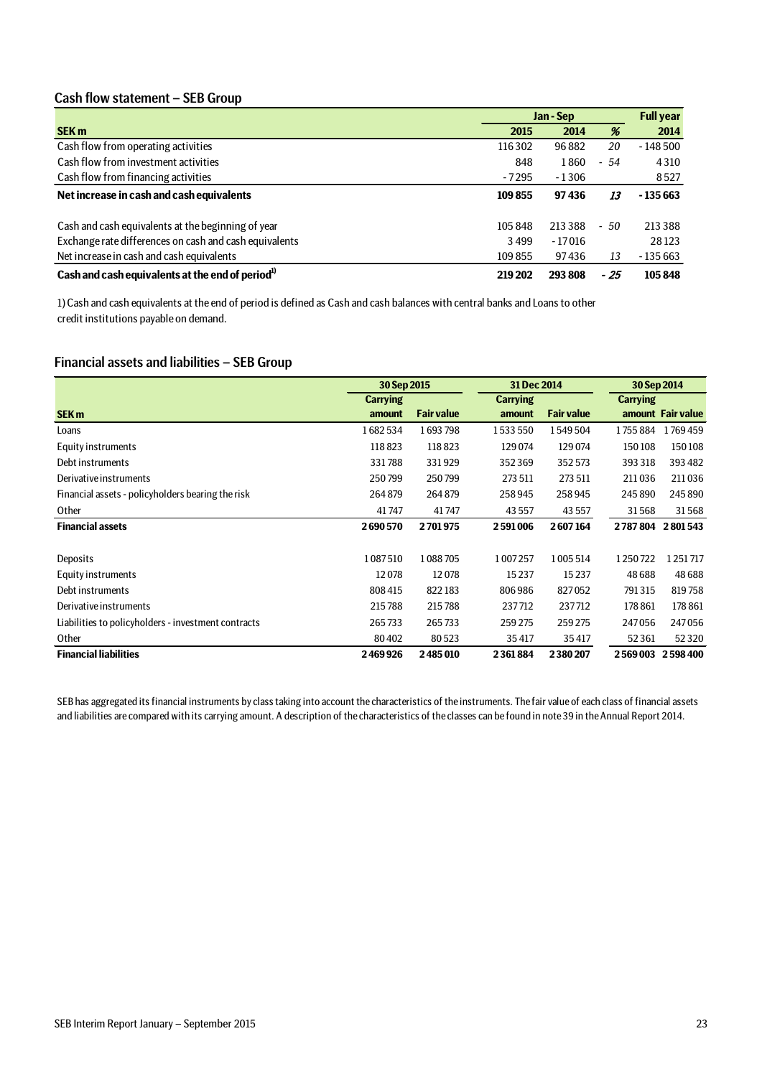## Cash flow statement – SEB Group

|                                                              | Jan - Sep |          | <b>Full year</b> |           |
|--------------------------------------------------------------|-----------|----------|------------------|-----------|
| <b>SEK m</b>                                                 | 2015      | 2014     | %                | 2014      |
| Cash flow from operating activities                          | 116302    | 96882    | 20               | $-148500$ |
| Cash flow from investment activities                         | 848       | 1860     | - 54             | 4310      |
| Cash flow from financing activities                          | $-7295$   | $-1306$  |                  | 8527      |
| Net increase in cash and cash equivalents                    | 109855    | 97436    | 13               | $-135663$ |
| Cash and cash equivalents at the beginning of year           | 105848    | 213 388  | $-50$            | 213 388   |
| Exchange rate differences on cash and cash equivalents       | 3499      | $-17016$ |                  | 28123     |
| Net increase in cash and cash equivalents                    | 109855    | 97436    | 13               | $-135663$ |
| Cash and cash equivalents at the end of period <sup>1)</sup> | 219 202   | 293808   | - 25             | 105848    |

1) Cash and cash equivalents at the end of period is defined as Cash and cash balances with central banks and Loans to other credit institutions payable on demand.

## Financial assets and liabilities – SEB Group

|                                                     | 30 Sep 2015     |                   | 31 Dec 2014     |                   | 30 Sep 2014     |                   |
|-----------------------------------------------------|-----------------|-------------------|-----------------|-------------------|-----------------|-------------------|
|                                                     | <b>Carrying</b> |                   | <b>Carrying</b> |                   | <b>Carrying</b> |                   |
| SEK <sub>m</sub>                                    | amount          | <b>Fair value</b> | amount          | <b>Fair value</b> |                 | amount Fair value |
| Loans                                               | 1682534         | 1693798           | 1533550         | 1549504           | 1755884         | 1769459           |
| Equity instruments                                  | 118823          | 118823            | 129 074         | 129 074           | 150108          | 150108            |
| Debt instruments                                    | 331788          | 331929            | 352369          | 352 573           | 393318          | 393 482           |
| Derivative instruments                              | 250799          | 250799            | 273 511         | 273 511           | 211036          | 211036            |
| Financial assets - policyholders bearing the risk   | 264879          | 264879            | 258945          | 258945            | 245890          | 245890            |
| Other                                               | 41747           | 41747             | 43 5 57         | 43 5 57           | 31568           | 31568             |
| <b>Financial assets</b>                             | 2690570         | 2701975           | 2591006         | 2607164           |                 | 2787804 2801543   |
|                                                     |                 |                   |                 |                   |                 |                   |
| Deposits                                            | 1087510         | 1088705           | 1007257         | 1005514           | 1250722         | 1251717           |
| Equity instruments                                  | 12078           | 12078             | 15237           | 15 2 37           | 48688           | 48688             |
| Debt instruments                                    | 808 415         | 822183            | 806986          | 827052            | 791315          | 819758            |
| Derivative instruments                              | 215788          | 215788            | 237712          | 237712            | 178 861         | 178 861           |
| Liabilities to policyholders - investment contracts | 265733          | 265733            | 259275          | 259 275           | 247056          | 247056            |
| Other                                               | 80402           | 80523             | 35417           | 35417             | 52361           | 52320             |
| <b>Financial liabilities</b>                        | 2469926         | 2485010           | 2361884         | 2380207           | 2569003         | 2598400           |

SEB has aggregated its financial instruments by class taking into account the characteristics of the instruments. The fair value of each class of financial assets and liabilities are compared with its carrying amount. A description of the characteristics of the classes can be found in note 39 in the Annual Report 2014.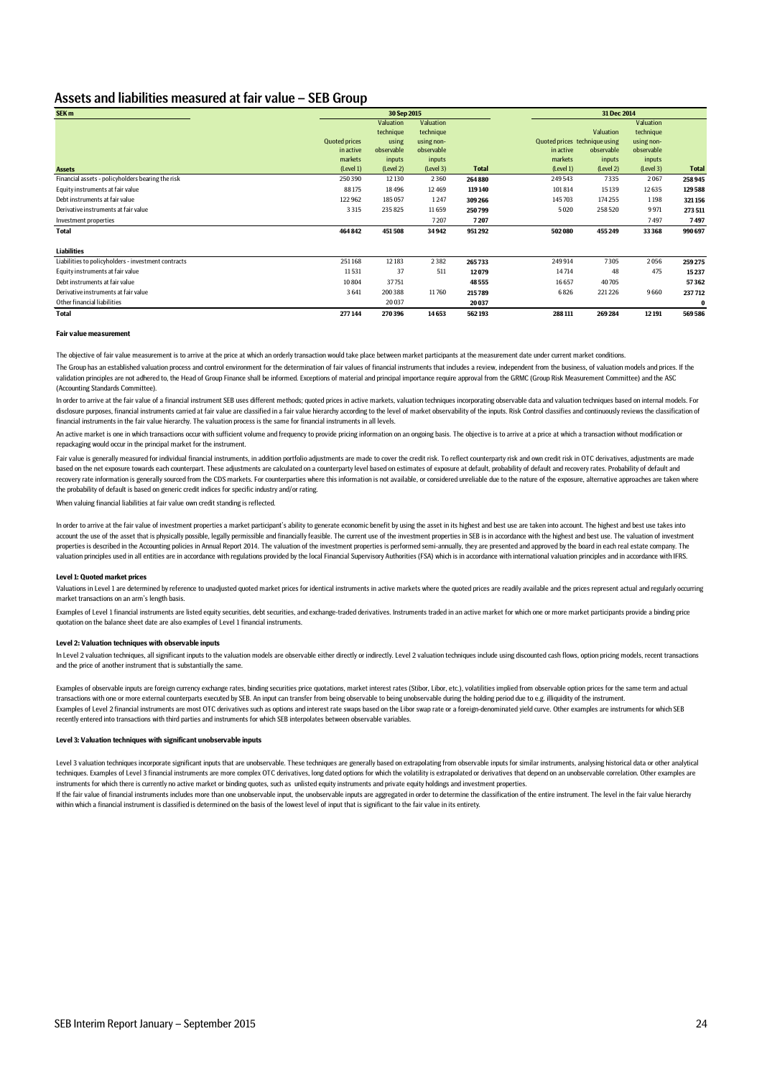#### Assets and liabilities measured at fair value – SEB Group

| SEK <sub>m</sub>                                    |                      | 30 Sep 2015 |            |              |                               | 31 Dec 2014 |            |              |  |
|-----------------------------------------------------|----------------------|-------------|------------|--------------|-------------------------------|-------------|------------|--------------|--|
|                                                     |                      | Valuation   | Valuation  |              |                               |             | Valuation  |              |  |
|                                                     |                      | technique   | technique  |              |                               | Valuation   | technique  |              |  |
|                                                     | <b>Quoted prices</b> | using       | using non- |              | Quoted prices technique using |             | using non- |              |  |
|                                                     | in active            | observable  | observable |              | in active                     | observable  | observable |              |  |
|                                                     | markets              | inputs      | inputs     |              | markets                       | inputs      | inputs     |              |  |
| <b>Assets</b>                                       | (Level 1)            | (Level 2)   | (Level 3)  | <b>Total</b> | (Level 1)                     | (Level 2)   | (Level 3)  | <b>Total</b> |  |
| Financial assets - policyholders bearing the risk   | 250390               | 12 130      | 2360       | 264880       | 249543                        | 7335        | 2067       | 258945       |  |
| Equity instruments at fair value                    | 88175                | 18496       | 12469      | 119 140      | 101814                        | 15139       | 12635      | 129588       |  |
| Debt instruments at fair value                      | 122962               | 185 057     | 1247       | 309 266      | 145 703                       | 174255      | 1198       | 321156       |  |
| Derivative instruments at fair value                | 3315                 | 235825      | 11659      | 250799       | 5020                          | 258520      | 9971       | 273 511      |  |
| Investment properties                               |                      |             | 7207       | 7207         |                               |             | 7497       | 7497         |  |
| <b>Total</b>                                        | 464842               | 451508      | 34942      | 951292       | 502080                        | 455249      | 33 3 68    | 990697       |  |
| <b>Liabilities</b>                                  |                      |             |            |              |                               |             |            |              |  |
| Liabilities to policyholders - investment contracts | 251168               | 12183       | 2382       | 265733       | 249 914                       | 7305        | 2056       | 259275       |  |
| Equity instruments at fair value                    | 11531                | 37          | 511        | 12079        | 14714                         | 48          | 475        | 15237        |  |
| Debt instruments at fair value                      | 10804                | 37751       |            | 48555        | 16657                         | 40705       |            | 57362        |  |
| Derivative instruments at fair value                | 3641                 | 200388      | 11760      | 215789       | 6826                          | 221226      | 9660       | 237712       |  |
| Other financial liabilities                         |                      | 20 03 7     |            | 20 037       |                               |             |            | $\bf{0}$     |  |
| <b>Total</b>                                        | 277144               | 270396      | 14653      | 562193       | 288 111                       | 269284      | 12191      | 569586       |  |

#### **Fair value measure**

The objective of fair value measurement is to arrive at the price at which an orderly transaction would take place between market participants at the measurement date under current market conditions. The Group has an established valuation process and control environment for the determination of fair values of financial instruments that includes a review, independent from the business, of valuation models and prices, If validation principles are not adhered to, the Head of Group Finance shall be informed. Exceptions of material and principal importance require approval from the GRMC (Group Risk Measurement Committee) and the ASC (Accounting Standards Committee).

In order to arrive at the fair value of a financial instrument SEB uses different methods; quoted prices in active markets, valuation techniques incorporating observable data and valuation techniques based on internal mode disclosure purposes, financial instruments carried at fair value are classified in a fair value hierarchy according to the level of market observability of the inputs. Risk Control classifies and continuously reviews the c financial instruments in the fair value hierarchy. The valuation process is the same for financial instruments in all levels.

An active market is one in which transactions occur with sufficient volume and frequency to provide pricing information on an ongoing basis. The objective is to arrive at a price at which a transaction without modification repackaging would occur in the principal market for the instrument.

Fair value is generally measured for individual financial instruments, in addition portfolio adjustments are made to cover the credit risk. To reflect counterparty risk and own credit risk in OTC derivatives, adjustments a based on the net exposure towards each counterpart. These adjustments are calculated on a counterparty level based on estimates of exposure at default, probability of default and recovery rates. Probability of default and recovery rate information is generally sourced from the CDS markets. For counterparties where this information is not available, or considered unreliable due to the nature of the exposure, alternative approaches are taken the probability of default is based on generic credit indices for specific industry and/or rating.

When valuing financial liabilities at fair value own credit standing is reflected.

In order to arrive at the fair value of investment properties a market participant's ability to generate economic benefit by using the asset in its highest and best use are taken into account. The highest and best use take account the use of the asset that is physically possible, legally permissible and financially feasible. The current use of the investment properties in SEB is in accordance with the highest and best use. The valuation of i properties is described in the Accounting policies in Annual Report 2014. The valuation of the investment properties is performed semi-annually, they are presented and approved by the board in each real estate company. The valuation principles used in all entities are in accordance with regulations provided by the local Financial Supervisory Authorities (FSA) which is in accordance with international valuation principles and in accordance wi

#### **Level 1: Quoted market prices**

Valuations in Level 1 are determined by reference to unadjusted quoted market prices for identical instruments in active markets where the quoted prices are readily available and the prices represent actual and regularly o market transactions on an arm's length basis.

Examples of Level 1 financial instruments are listed equity securities, debt securities, and exchange-traded derivatives, Instruments traded in an active market for which one or more market participants provide a binding p quotation on the balance sheet date are also examples of Level 1 financial instruments.

#### **Level 2: Valuation techniques with observable inputs**

In Level 2 valuation techniques, all significant inputs to the valuation models are observable either directly or indirectly. Level 2 valuation techniques include using discounted cash flows, option pricing models, recent and the price of another instrument that is substantially the same.

Examples of Level 2 financial instruments are most OTC derivatives such as options and interest rate swaps based on the Libor swap rate or a foreign-denominated yield curve. Other examples are instruments for which SEB recently entered into transactions with third parties and instruments for which SEB interpolates between observable variables. Examples of observable inputs are foreign currency exchange rates, binding securities price quotations, market interest rates (Stibor, Libor, etc.), volatilities implied from observable option prices for the same term and transactions with one or more external counterparts executed by SEB. An input can transfer from being observable to being unobservable during the holding period due to e.g. illiquidity of the instrument.

#### **Level 3: Valuation techniques with significant unobservable inputs**

If the fair value of financial instruments includes more than one unobservable input, the unobservable inputs are aggregated in order to determine the classification of the entire instrument. The level in the fair value hi within which a financial instrument is classified is determined on the basis of the lowest level of input that is significant to the fair value in its entirety. Level 3 valuation techniques incorporate significant inputs that are unobservable. These techniques are generally based on extrapolating from observable inputs for similar instruments, analysing historical data or other an techniques. Examples of Level 3 financial instruments are more complex OTC derivatives, long dated options for which the volatility is extrapolated or derivatives that depend on an unobservable correlation. Other examples instruments for which there is currently no active market or binding quotes, such as unlisted equity instruments and private equity holdings and investment properties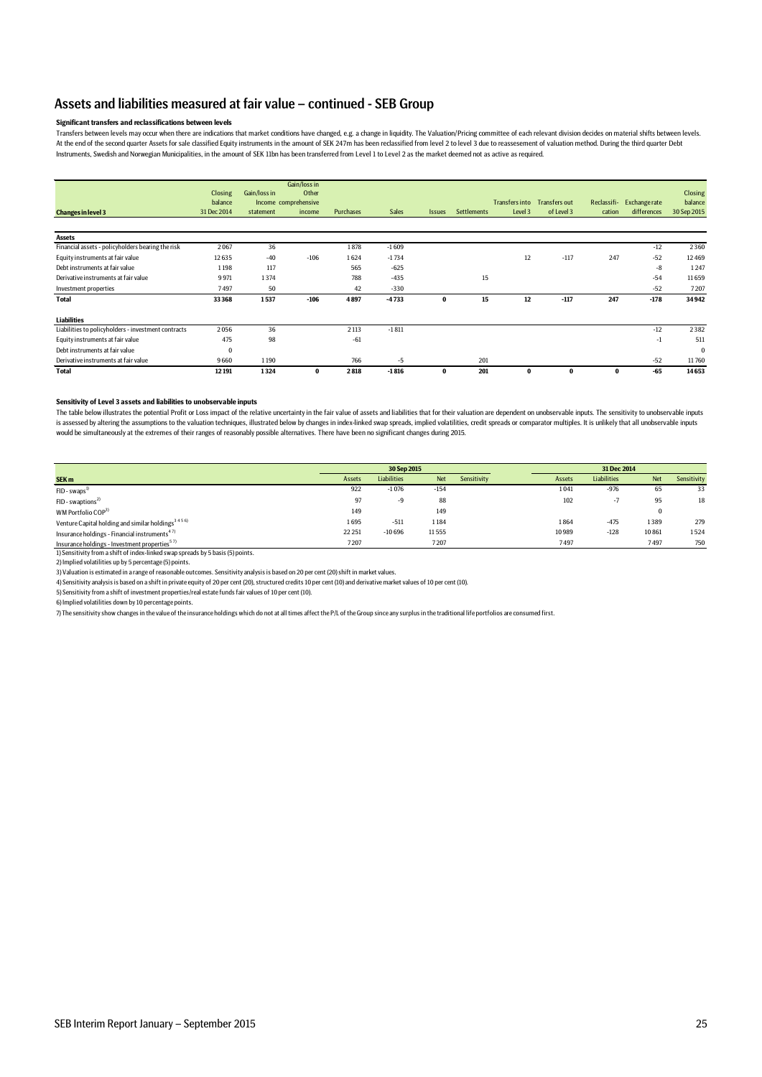#### Assets and liabilities measured at fair value – continued - SEB Group

#### **Significant transfers and reclassifications between levels**

Iransters between levels may occur when there are indications that market conditions have changed, e.g. a change in liquidity. The Valuation/Pricing committee of each relevant division decides on material shifts between le At the end of the second quarter Assets for sale classified Equity instruments in the amount of SEK 247m has been reclassified from level 2 to level 3 due to reassesement of valuation method. During the third quarter Debt Instruments, Swedish and Norwegian Municipalities, in the amount of SEK 11bn has been transferred from Level 1 to Level 2 as the market deemed not as active as required.

| <b>Changes in level 3</b>                           | Closing<br>balance<br>31 Dec 2014 | Gain/loss in<br>statement | Gain/loss in<br>Other<br>Income comprehensive<br>income | <b>Purchases</b> | <b>Sales</b> | <b>Issues</b> | <b>Settlements</b> | Level 3  | Transfers into Transfers out<br>of Level 3 | cation | Reclassifi- Exchange rate<br>differences | <b>Closing</b><br>balance<br>30 Sep 2015 |
|-----------------------------------------------------|-----------------------------------|---------------------------|---------------------------------------------------------|------------------|--------------|---------------|--------------------|----------|--------------------------------------------|--------|------------------------------------------|------------------------------------------|
| <b>Assets</b>                                       |                                   |                           |                                                         |                  |              |               |                    |          |                                            |        |                                          |                                          |
| Financial assets - policyholders bearing the risk   | 2067                              | 36                        |                                                         | 1878             | $-1609$      |               |                    |          |                                            |        | $-12$                                    | 2360                                     |
| Equity instruments at fair value                    | 12635                             | $-40$                     | $-106$                                                  | 1624             | $-1734$      |               |                    | 12       | $-117$                                     | 247    | $-52$                                    | 12469                                    |
| Debt instruments at fair value                      | 1198                              | 117                       |                                                         | 565              | $-625$       |               |                    |          |                                            |        | $-8$                                     | 1247                                     |
| Derivative instruments at fair value                | 9971                              | 1374                      |                                                         | 788              | $-435$       |               | 15                 |          |                                            |        | $-54$                                    | 11659                                    |
| Investment properties                               | 7497                              | 50                        |                                                         | 42               | $-330$       |               |                    |          |                                            |        | $-52$                                    | 7207                                     |
| <b>Total</b>                                        | 33368                             | 1537                      | $-106$                                                  | 4897             | $-4733$      | $\bf{0}$      | 15                 | 12       | $-117$                                     | 247    | $-178$                                   | 34942                                    |
| <b>Liabilities</b>                                  |                                   |                           |                                                         |                  |              |               |                    |          |                                            |        |                                          |                                          |
| Liabilities to policyholders - investment contracts | 2056                              | 36                        |                                                         | 2 1 1 3          | $-1811$      |               |                    |          |                                            |        | $-12$                                    | 2382                                     |
| Equity instruments at fair value                    | 475                               | 98                        |                                                         | $-61$            |              |               |                    |          |                                            |        | $-1$                                     | 511                                      |
| Debt instruments at fair value                      | $\Omega$                          |                           |                                                         |                  |              |               |                    |          |                                            |        |                                          | $\Omega$                                 |
| Derivative instruments at fair value                | 9660                              | 1190                      |                                                         | 766              | $-5$         |               | 201                |          |                                            |        | $-52$                                    | 11760                                    |
| <b>Total</b>                                        | 12191                             | 1324                      | $\bf{0}$                                                | 2818             | $-1816$      | $\bf{0}$      | 201                | $\bf{0}$ | $\Omega$                                   | o      | $-65$                                    | 14653                                    |

#### **Sensitivity of Level 3 assets and liabilities to unobservable inputs**

The table below illustrates the potential Profit or Loss impact of the relative uncertainty in the fair value of assets and liabilities that for their valuation are dependent on unobservable inputs. The sensitivity to unob is assessed by altering the assumptions to the valuation techniques, illustrated below by changes in index-linked swap spreads, implied volatilities, credit spreads or comparator multiples. It is unlikely that all unobserv would be simultaneously at the extremes of their ranges of reasonably possible alternatives. There have been no significant changes during 2015.

|                                                                                 |         | 30 Sep 2015 |            |             |        | 31 Dec 2014              |            |             |
|---------------------------------------------------------------------------------|---------|-------------|------------|-------------|--------|--------------------------|------------|-------------|
| SEK <sub>m</sub>                                                                | Assets  | Liabilities | <b>Net</b> | Sensitivity | Assets | <b>Liabilities</b>       | <b>Net</b> | Sensitivity |
| $FID - swaps1$                                                                  | 922     | $-1076$     | $-154$     |             | 1041   | $-976$                   | 65         | 33          |
| $FID - swaptions2$                                                              | 97      | -9          | 88         |             | 102    | $\overline{\phantom{a}}$ | 95         | 18          |
| WM Portfolio $COP3$                                                             | 149     |             | 149        |             |        |                          | 0          |             |
| Venture Capital holding and similar holdings <sup>3456</sup>                    | 1695    | $-511$      | 1184       |             | 1864   | $-475$                   | 1389       | 279         |
| Insurance holdings - Financial instruments <sup>47)</sup>                       | 22 25 1 | $-10696$    | 11555      |             | 10989  | $-128$                   | 10861      | 1524        |
| Insurance holdings - Investment properties <sup>57)</sup>                       | 7207    |             | 7207       |             | 7497   |                          | 7497       | 750         |
| 1) Sensitivity from a shift of index-linked swap spreads by 5 basis (5) points. |         |             |            |             |        |                          |            |             |

2) Implied volatilities up by 5 percentage (5) points.

3) Valuation is estimated in a range of reasonable outcomes. Sensitivity analysis is based on 20 per cent (20) shift in market values.

4) Sensitivity analysis is based on a shift in private equity of 20 per cent (20), structured credits 10 per cent (10) and derivative market values of 10 per cent (10).

5) Sensitivity from a shift of investment properties/real estate funds fair values of 10 per cent (10).

6) Implied volatilities down by 10 percentage points.

7) The sensitivity show changes in the value of the insurance holdings which do not at all times affect the P/L of the Group since any surplus in the traditional life portfolios are consumed first.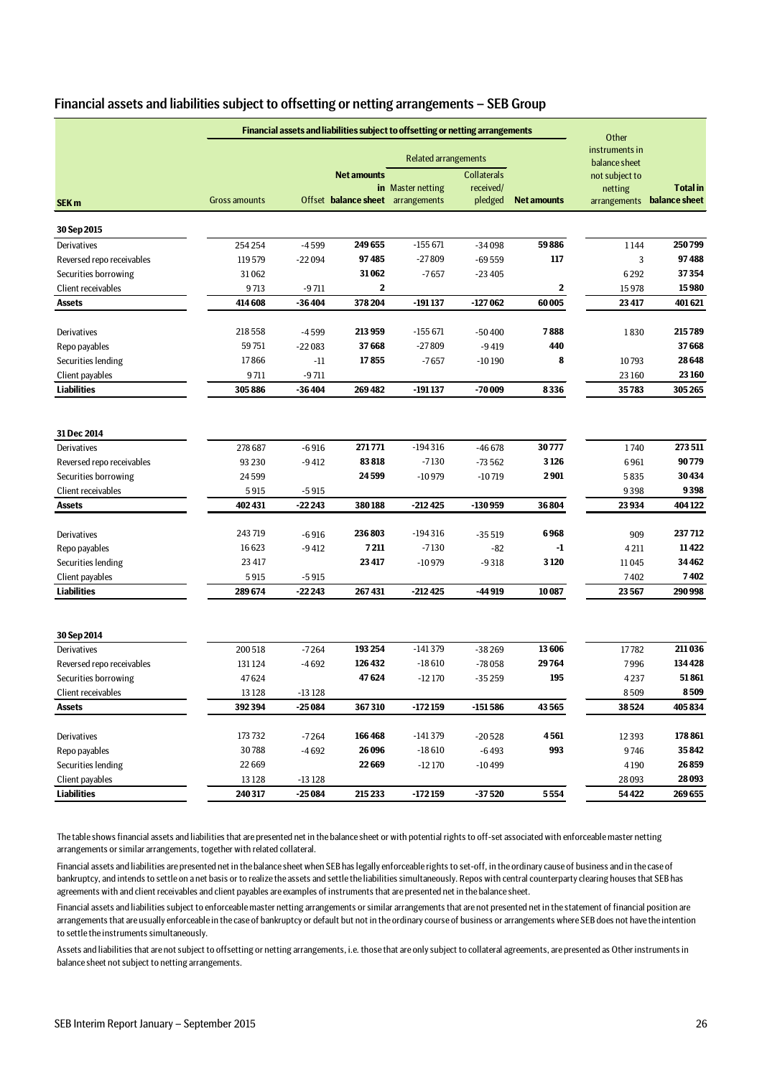| Financial assets and liabilities subject to offsetting or netting arrangements - SEB Group |  |  |
|--------------------------------------------------------------------------------------------|--|--|
|--------------------------------------------------------------------------------------------|--|--|

|                                                   |                      | Financial assets and liabilities subject to offsetting or netting arrangements |                                                         |                      |                                            |                    |                                           |                                  |  |  |  |  |
|---------------------------------------------------|----------------------|--------------------------------------------------------------------------------|---------------------------------------------------------|----------------------|--------------------------------------------|--------------------|-------------------------------------------|----------------------------------|--|--|--|--|
|                                                   |                      |                                                                                |                                                         | Related arrangements |                                            |                    | instruments in<br>balance sheet           |                                  |  |  |  |  |
| SEK <sub>m</sub>                                  | <b>Gross amounts</b> |                                                                                | <b>Net amounts</b><br>Offset balance sheet arrangements | in Master netting    | <b>Collaterals</b><br>received/<br>pledged | <b>Net amounts</b> | not subject to<br>netting<br>arrangements | <b>Total</b> in<br>balance sheet |  |  |  |  |
| 30 Sep 2015                                       |                      |                                                                                |                                                         |                      |                                            |                    |                                           |                                  |  |  |  |  |
| Derivatives                                       | 254 254              | $-4599$                                                                        | 249655                                                  | $-155671$            | $-34098$                                   | 59886              | 1144                                      | 250799                           |  |  |  |  |
| Reversed repo receivables                         | 119579               | $-22094$                                                                       | 97485                                                   | $-27809$             | $-69559$                                   | 117                | 3                                         | 97488                            |  |  |  |  |
| Securities borrowing                              | 31062                |                                                                                | 31062                                                   | $-7657$              | $-23405$                                   |                    | 6292                                      | 37354                            |  |  |  |  |
| Client receivables                                | 9713                 | $-9711$                                                                        | 2                                                       |                      |                                            | 2                  | 15978                                     | 15980                            |  |  |  |  |
| <b>Assets</b>                                     | 414 608              | -36404                                                                         | 378204                                                  | $-191137$            | -127 062                                   | 60005              | 23 417                                    | 401621                           |  |  |  |  |
|                                                   |                      |                                                                                |                                                         |                      |                                            |                    |                                           |                                  |  |  |  |  |
| Derivatives                                       | 218 558              | $-4599$                                                                        | 213959<br>37668                                         | $-155671$            | $-50400$                                   | 7888<br>440        | 1830                                      | 215789<br>37668                  |  |  |  |  |
| Repo payables                                     | 59751<br>17866       | $-22083$                                                                       | 17855                                                   | $-27809$             | $-9419$                                    | 8                  |                                           | 28648                            |  |  |  |  |
| Securities lending<br>Client payables             | 9711                 | $-11$<br>$-9711$                                                               |                                                         | $-7657$              | $-10190$                                   |                    | 10793<br>23 160                           | 23 160                           |  |  |  |  |
| <b>Liabilities</b>                                | 305886               | $-36404$                                                                       | 269482                                                  | $-191137$            | -70 009                                    | 8336               | 35783                                     | 305 265                          |  |  |  |  |
|                                                   |                      |                                                                                |                                                         |                      |                                            |                    |                                           |                                  |  |  |  |  |
| 31 Dec 2014                                       |                      |                                                                                |                                                         |                      |                                            |                    |                                           |                                  |  |  |  |  |
| Derivatives                                       | 278 687              | $-6916$                                                                        | 271771<br>83818                                         | $-194316$<br>$-7130$ | $-46678$                                   | 30777<br>3126      | 1740                                      | 273511<br>90779                  |  |  |  |  |
| Reversed repo receivables<br>Securities borrowing | 93 2 30<br>24599     | $-9412$                                                                        | 24599                                                   | $-10979$             | $-73562$<br>$-10719$                       | 2901               | 6961<br>5835                              | 30434                            |  |  |  |  |
| Client receivables                                | 5915                 | $-5915$                                                                        |                                                         |                      |                                            |                    | 9398                                      | 9398                             |  |  |  |  |
| <b>Assets</b>                                     | 402 431              | $-2223$                                                                        | 380188                                                  | $-212425$            | $-130959$                                  | 36804              | 23 934                                    | 404122                           |  |  |  |  |
|                                                   |                      |                                                                                |                                                         |                      |                                            |                    |                                           |                                  |  |  |  |  |
| Derivatives                                       | 243719               | $-6916$                                                                        | 236803                                                  | $-194316$            | $-35519$                                   | 6968               | 909                                       | 237712                           |  |  |  |  |
| Repo payables                                     | 16623                | $-9412$                                                                        | 7211                                                    | $-7130$              | $-82$                                      | -1                 | 4211                                      | 11422                            |  |  |  |  |
| Securities lending                                | 23 417               |                                                                                | 23 417                                                  | $-10979$             | $-9318$                                    | 3120               | 11045                                     | 34462                            |  |  |  |  |
| Client payables                                   | 5915                 | $-5915$                                                                        |                                                         |                      |                                            |                    | 7402                                      | 7402                             |  |  |  |  |
| <b>Liabilities</b>                                | 289674               | -22 243                                                                        | 267431                                                  | $-212425$            | $-44919$                                   | 10087              | 23567                                     | 290998                           |  |  |  |  |
|                                                   |                      |                                                                                |                                                         |                      |                                            |                    |                                           |                                  |  |  |  |  |
| 30 Sep 2014<br>Derivatives                        | 200518               | $-7264$                                                                        | 193254                                                  | $-141379$            | $-38269$                                   | 13606              | 17782                                     | 211036                           |  |  |  |  |
| Reversed repo receivables                         | 131124               | $-4692$                                                                        | 126432                                                  | $-18610$             | $-78058$                                   | 29764              | 7996                                      | 134428                           |  |  |  |  |
| Securities borrowing                              | 47624                |                                                                                | 47624                                                   | $-12170$             | $-35259$                                   | 195                | 4237                                      | 51861                            |  |  |  |  |
| Client receivables                                | 13 1 28              | $-13128$                                                                       |                                                         |                      |                                            |                    | 8509                                      | 8509                             |  |  |  |  |
| <b>Assets</b>                                     | 392394               | -25 084                                                                        | 367310                                                  | -172 159             | -151 586                                   | 43565              | 38524                                     | 405834                           |  |  |  |  |
|                                                   |                      |                                                                                |                                                         |                      |                                            |                    |                                           |                                  |  |  |  |  |
| Derivatives                                       | 173732               | $-7264$                                                                        | 166468                                                  | $-141379$            | -20528                                     | 4561               | 12393                                     | 178 861                          |  |  |  |  |
| Repo payables                                     | 30788                | $-4692$                                                                        | 26 0 96                                                 | $-18610$             | $-6493$                                    | 993                | 9746                                      | 35842                            |  |  |  |  |
| Securities lending                                | 22669                |                                                                                | 22669                                                   | $-12170$             | $-10499$                                   |                    | 4190                                      | 26859                            |  |  |  |  |
| Client payables                                   | 13128                | $-13128$                                                                       |                                                         |                      |                                            |                    | 28 0 93                                   | 28093                            |  |  |  |  |
| <b>Liabilities</b>                                | 240 317              | $-25084$                                                                       | 215 233                                                 | $-172159$            | $-37520$                                   | 5554               | 54422                                     | 269655                           |  |  |  |  |

The table shows financial assets and liabilities that are presented net in the balance sheet or with potential rights to off-set associated with enforceable master netting arrangements or similar arrangements, together with related collateral.

Financial assets and liabilities are presented net in the balance sheet when SEB has legally enforceable rights to set-off, in the ordinary cause of business and in the case of bankruptcy, and intends to settle on a net basis or to realize the assets and settle the liabilities simultaneously. Repos with central counterparty clearing houses that SEB has agreements with and client receivables and client payables are examples of instruments that are presented net in the balance sheet.

Financial assets and liabilities subject to enforceable master netting arrangements or similar arrangements that are not presented net in the statement of financial position are arrangements that are usually enforceable in the case of bankruptcy or default but not in the ordinary course of business or arrangements where SEB does not have the intention to settle the instruments simultaneously.

Assets and liabilities that are not subject to offsetting or netting arrangements, i.e. those that are only subject to collateral agreements, are presented as Other instruments in balance sheet not subject to netting arrangements.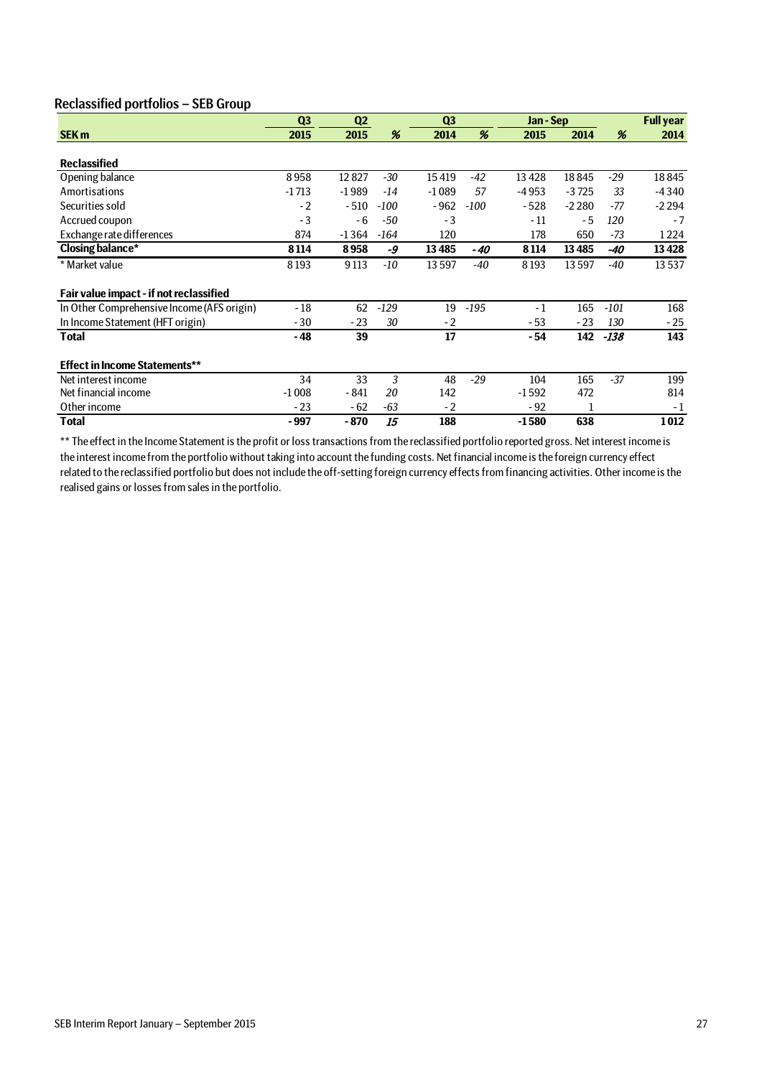### Reclassified portfolios – SEB Group

|                                            | Q <sub>3</sub> | Q2      |        | Q <sub>3</sub> |        | Jan - Sep |         |        | <b>Full year</b> |
|--------------------------------------------|----------------|---------|--------|----------------|--------|-----------|---------|--------|------------------|
| SEK <sub>m</sub>                           | 2015           | 2015    | %      | 2014           | %      | 2015      | 2014    | %      | 2014             |
|                                            |                |         |        |                |        |           |         |        |                  |
| <b>Reclassified</b>                        |                |         |        |                |        |           |         |        |                  |
| Opening balance                            | 8958           | 12827   | $-30$  | 15419          | $-42$  | 13428     | 18845   | $-29$  | 18845            |
| Amortisations                              | $-1713$        | $-1989$ | -14    | $-1089$        | 57     | $-4953$   | $-3725$ | 33     | $-4340$          |
| Securities sold                            | $-2$           | $-510$  | $-100$ | $-962$         | $-100$ | $-528$    | $-2280$ | -77    | $-2294$          |
| Accrued coupon                             | $-3$           | $-6$    | -50    | $-3$           |        | $-11$     | $-5$    | 120    | $-7$             |
| Exchange rate differences                  | 874            | $-1364$ | $-164$ | 120            |        | 178       | 650     | -73    | 1224             |
| Closing balance*                           | 8 1 1 4        | 8958    | -9     | 13485          | $-40$  | 8114      | 13485   | -40    | 13428            |
| * Market value                             | 8193           | 9 1 13  | -10    | 13597          | -40    | 8193      | 13597   | -40    | 13537            |
| Fair value impact - if not reclassified    |                |         |        |                |        |           |         |        |                  |
| In Other Comprehensive Income (AFS origin) | $-18$          | 62      | $-129$ | 19             | $-195$ | $-1$      | 165     | $-101$ | 168              |
| In Income Statement (HFT origin)           | $-30$          | $-23$   | 30     | $-2$           |        | - 53      | $-23$   | 130    | $-25$            |
| <b>Total</b>                               | - 48           | 39      |        | 17             |        | $-54$     | 142     | -138   | 143              |
| <b>Effect in Income Statements**</b>       |                |         |        |                |        |           |         |        |                  |
| Net interest income                        | 34             | 33      | 3      | 48             | $-29$  | 104       | 165     | $-37$  | 199              |
| Net financial income                       | $-1008$        | - 841   | 20     | 142            |        | $-1592$   | 472     |        | 814              |
| Other income                               | $-23$          | $-62$   | $-63$  | $-2$           |        | - 92      | 1       |        | $-1$             |
| <b>Total</b>                               | - 997          | - 870   | 15     | 188            |        | $-1580$   | 638     |        | 1012             |

\*\* The effect in the Income Statement is the profit or loss transactions from the reclassified portfolio reported gross. Net interest income is the interest income from the portfolio without taking into account the funding costs. Net financial income is the foreign currency effect related to the reclassified portfolio but does not include the off-setting foreign currency effects from financing activities. Other income is the realised gains or losses from sales in the portfolio.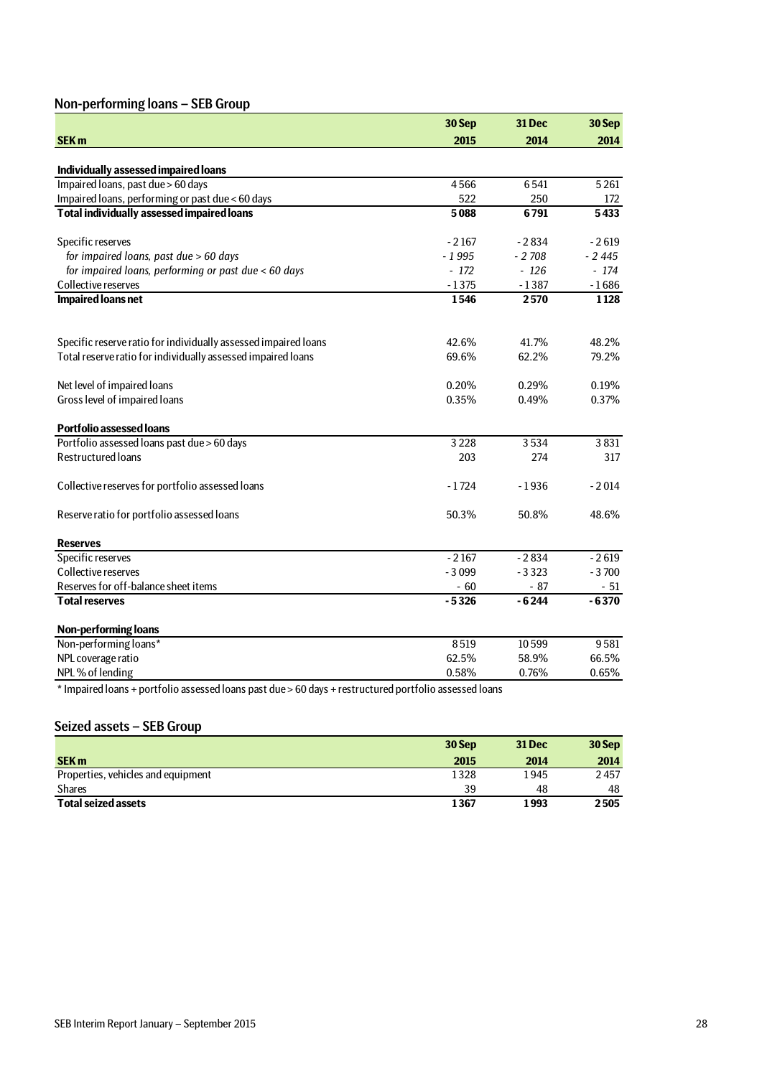## Non-performing loans – SEB Group

|                                                                                                        | 30 Sep         | 31 Dec  | 30 Sep  |
|--------------------------------------------------------------------------------------------------------|----------------|---------|---------|
| <b>SEK m</b>                                                                                           | 2015           | 2014    | 2014    |
|                                                                                                        |                |         |         |
| Individually assessed impaired loans                                                                   |                |         |         |
| Impaired loans, past due > 60 days                                                                     | 4566           | 6541    | 5261    |
| Impaired loans, performing or past due < 60 days                                                       | 522            | 250     | 172     |
| <b>Total individually assessed impaired loans</b>                                                      | 5088           | 6791    | 5433    |
| Specific reserves                                                                                      | $-2167$        | $-2834$ | $-2619$ |
| for impaired loans, past due > 60 days                                                                 | $-1995$        | $-2708$ | $-2445$ |
| for impaired loans, performing or past due < 60 days                                                   | $-172$         | $-126$  | $-174$  |
| Collective reserves                                                                                    | $-1375$        | $-1387$ | $-1686$ |
| <b>Impaired loans net</b>                                                                              | 1546           | 2570    | 1128    |
| Specific reserve ratio for individually assessed impaired loans                                        | 42.6%          | 41.7%   | 48.2%   |
| Total reserve ratio for individually assessed impaired loans                                           | 69.6%          | 62.2%   | 79.2%   |
| Net level of impaired loans                                                                            | 0.20%          | 0.29%   | 0.19%   |
| Gross level of impaired loans                                                                          | 0.35%          | 0.49%   | 0.37%   |
| <b>Portfolio assessed loans</b>                                                                        |                |         |         |
| Portfolio assessed loans past due > 60 days                                                            | 3228           | 3534    | 3831    |
| <b>Restructured loans</b>                                                                              | 203            | 274     | 317     |
| Collective reserves for portfolio assessed loans                                                       | $-1724$        | $-1936$ | $-2014$ |
| Reserve ratio for portfolio assessed loans                                                             | 50.3%          | 50.8%   | 48.6%   |
| <b>Reserves</b>                                                                                        |                |         |         |
| Specific reserves                                                                                      | $-2167$        | $-2834$ | $-2619$ |
| Collective reserves                                                                                    | $-3099$        | $-3323$ | $-3700$ |
| Reserves for off-balance sheet items                                                                   | $-60$          | $-87$   | - 51    |
| <b>Total reserves</b>                                                                                  | $-5326$        | $-6244$ | $-6370$ |
| Non-performing loans                                                                                   |                |         |         |
| Non-performing loans*                                                                                  | 8519           | 10599   | 9581    |
| NPL coverage ratio                                                                                     | 62.5%          | 58.9%   | 66.5%   |
| NPL% of lending                                                                                        | 0.58%          | 0.76%   | 0.65%   |
| ومحموله بالمكشوم المستنقيسية ويستحدث وبالمساد والمتحول فمجروح المحمد ومحموله والمكسوس وسمحها المستوسسا | المسالف المساب |         |         |

\* Impaired loans + portfolio assessed loans past due > 60 days + restructured portfolio assessed loans

### Seized assets – SEB Group

|                                    | 30 Sep | <b>31 Dec</b> | 30 Sep |
|------------------------------------|--------|---------------|--------|
| <b>SEK m</b>                       | 2015   | 2014          | 2014   |
| Properties, vehicles and equipment | 1328   | 1945          | 2457   |
| <b>Shares</b>                      | 39     | 48            | 48     |
| <b>Total seized assets</b>         | 1367   | 1993          | 2505   |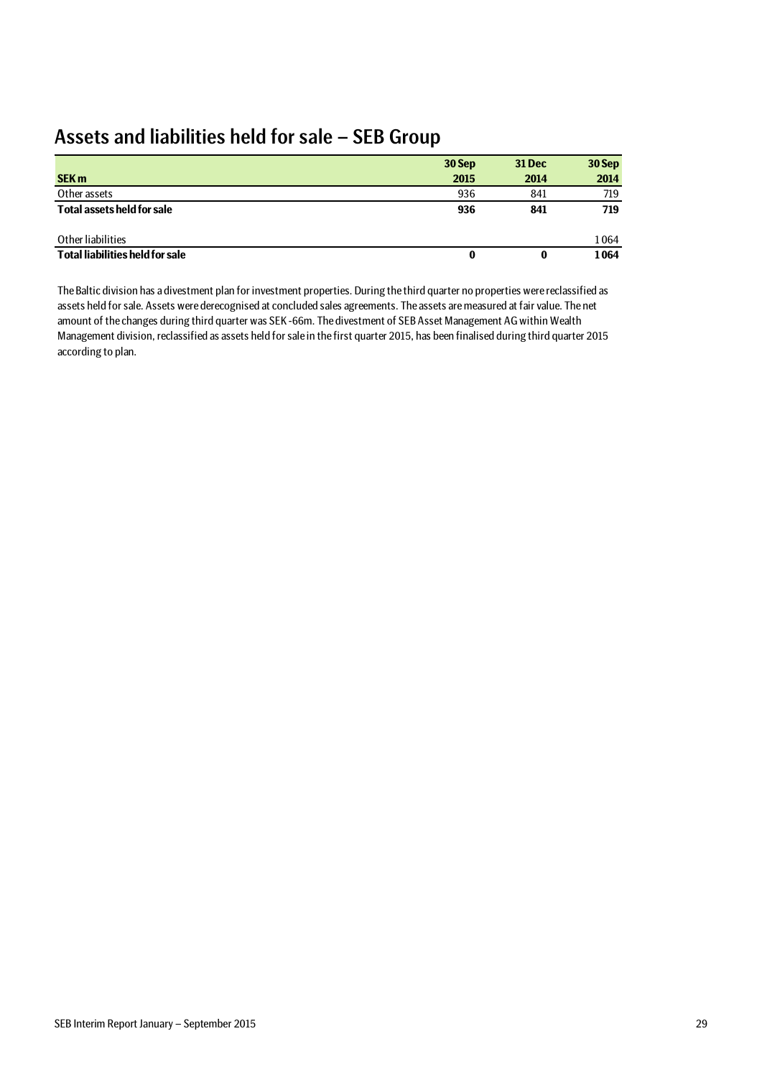## Assets and liabilities held for sale – SEB Group

|                                        | 30 Sep | <b>31 Dec</b> | 30 Sep |
|----------------------------------------|--------|---------------|--------|
| <b>SEK m</b>                           | 2015   | 2014          | 2014   |
| Other assets                           | 936    | 841           | 719    |
| <b>Total assets held for sale</b>      | 936    | 841           | 719    |
| Other liabilities                      |        |               | 1064   |
| <b>Total liabilities held for sale</b> |        | 0             | 1064   |

The Baltic division has a divestment plan for investment properties. During the third quarter no properties were reclassified as assets held for sale. Assets were derecognised at concluded sales agreements. The assets are measured at fair value. The net amount of the changes during third quarter was SEK -66m. The divestment of SEB Asset Management AG within Wealth Management division, reclassified as assets held for sale in the first quarter 2015, has been finalised during third quarter 2015 according to plan.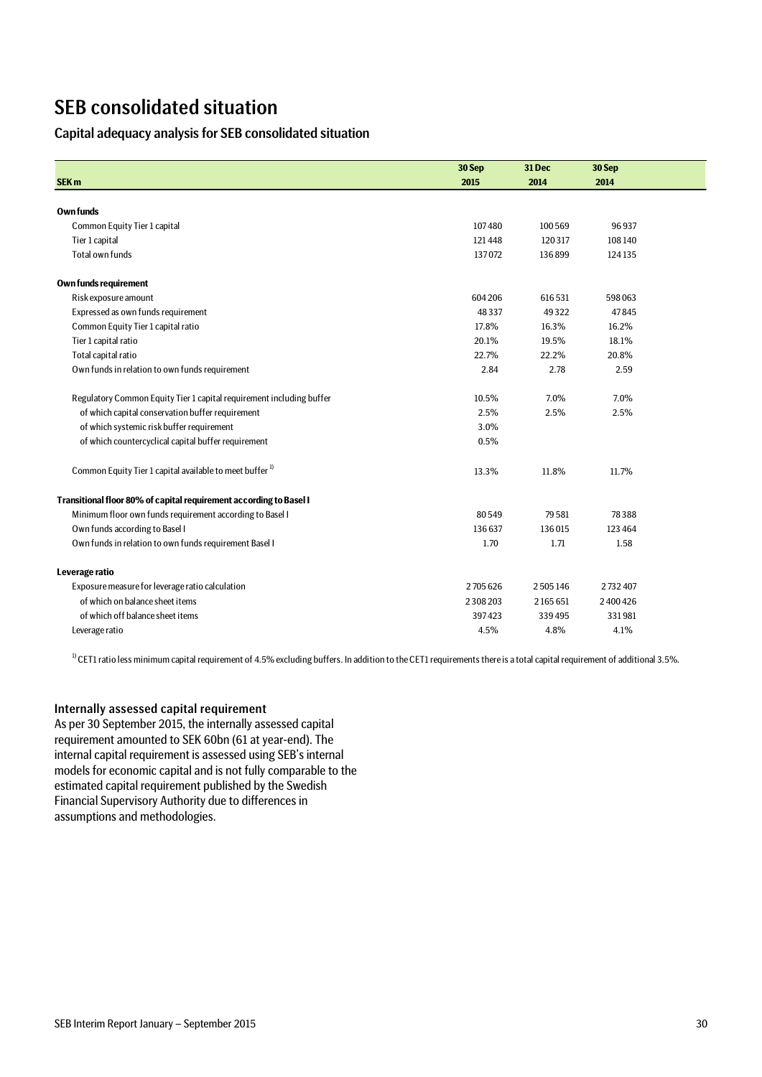## SEB consolidated situation

## Capital adequacy analysis for SEB consolidated situation

|                                                                      | 30 Sep  | 31 Dec  | 30 Sep    |  |
|----------------------------------------------------------------------|---------|---------|-----------|--|
| SEK <sub>m</sub>                                                     | 2015    | 2014    | 2014      |  |
|                                                                      |         |         |           |  |
| Own funds                                                            |         |         |           |  |
| Common Equity Tier 1 capital                                         | 107480  | 100569  | 96937     |  |
| Tier 1 capital                                                       | 121448  | 120317  | 108 140   |  |
| Total own funds                                                      | 137072  | 136899  | 124135    |  |
| Own funds requirement                                                |         |         |           |  |
| Risk exposure amount                                                 | 604 206 | 616531  | 598063    |  |
| Expressed as own funds requirement                                   | 48337   | 49322   | 47845     |  |
| Common Equity Tier 1 capital ratio                                   | 17.8%   | 16.3%   | 16.2%     |  |
| Tier 1 capital ratio                                                 | 20.1%   | 19.5%   | 18.1%     |  |
| Total capital ratio                                                  | 22.7%   | 22.2%   | 20.8%     |  |
| Own funds in relation to own funds requirement                       | 2.84    | 2.78    | 2.59      |  |
| Regulatory Common Equity Tier 1 capital requirement including buffer | 10.5%   | 7.0%    | 7.0%      |  |
| of which capital conservation buffer requirement                     | 2.5%    | 2.5%    | 2.5%      |  |
| of which systemic risk buffer requirement                            | 3.0%    |         |           |  |
| of which countercyclical capital buffer requirement                  | 0.5%    |         |           |  |
| Common Equity Tier 1 capital available to meet buffer <sup>1)</sup>  | 13.3%   | 11.8%   | 11.7%     |  |
| Transitional floor 80% of capital requirement according to Basel I   |         |         |           |  |
| Minimum floor own funds requirement according to Basel I             | 80549   | 79581   | 78388     |  |
| Own funds according to Basel I                                       | 136637  | 136015  | 123 464   |  |
| Own funds in relation to own funds requirement Basel I               | 1.70    | 1.71    | 1.58      |  |
| Leverage ratio                                                       |         |         |           |  |
| Exposure measure for leverage ratio calculation                      | 2705626 | 2505146 | 2732407   |  |
| of which on balance sheet items                                      | 2308203 | 2165651 | 2 400 426 |  |
| of which off balance sheet items                                     | 397423  | 339495  | 331981    |  |
| Leverage ratio                                                       | 4.5%    | 4.8%    | 4.1%      |  |
|                                                                      |         |         |           |  |

<sup>1)</sup> CET1 ratio less minimum capital requirement of 4.5% excluding buffers. In addition to the CET1 requirements there is a total capital requirement of additional 3.5%.

#### Internally assessed capital requirement

As per 30 September 2015, the internally assessed capital requirement amounted to SEK 60bn (61 at year-end). The internal capital requirement is assessed using SEB's internal models for economic capital and is not fully comparable to the estimated capital requirement published by the Swedish Financial Supervisory Authority due to differences in assumptions and methodologies.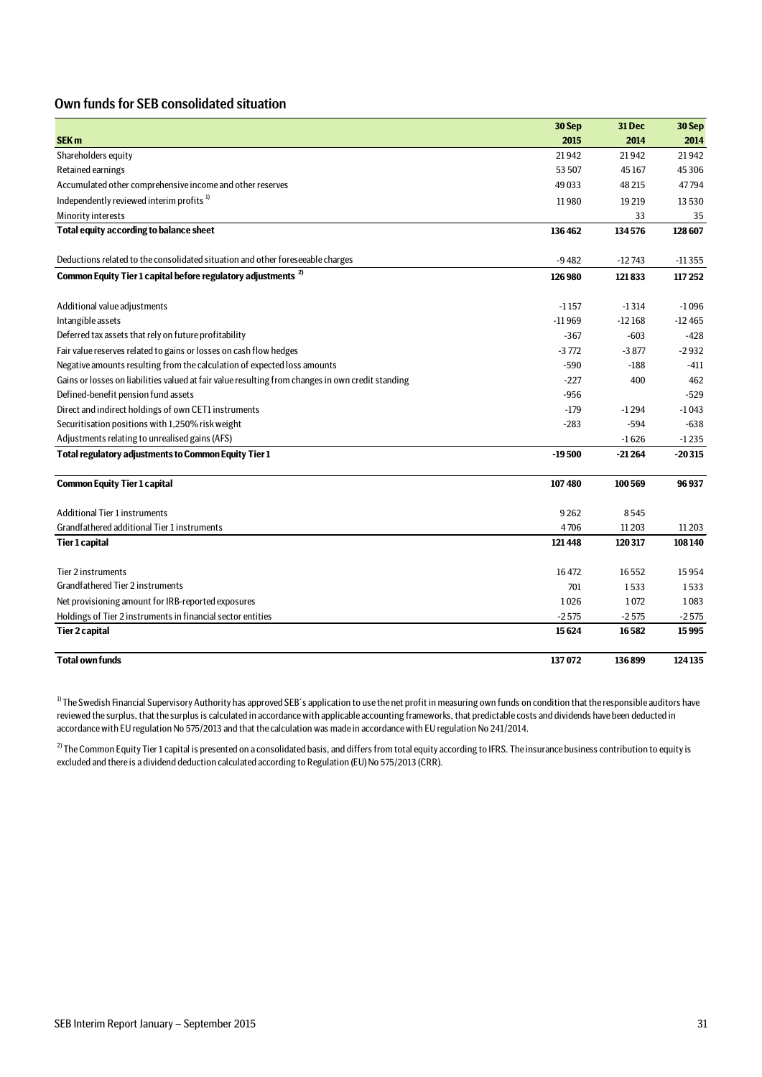### Own funds for SEB consolidated situation

|                                                                                                   | 30 Sep   | 31 Dec   | 30 Sep   |
|---------------------------------------------------------------------------------------------------|----------|----------|----------|
| SEK <sub>m</sub>                                                                                  | 2015     | 2014     | 2014     |
| Shareholders equity                                                                               | 21942    | 21942    | 21942    |
| Retained earnings                                                                                 | 53 507   | 45167    | 45306    |
| Accumulated other comprehensive income and other reserves                                         | 49033    | 48215    | 47794    |
| Independently reviewed interim profits <sup>1)</sup>                                              | 11980    | 19219    | 13530    |
| Minority interests                                                                                |          | 33       | 35       |
| Total equity according to balance sheet                                                           | 136462   | 134576   | 128 607  |
| Deductions related to the consolidated situation and other foreseeable charges                    | $-9482$  | $-12743$ | $-11355$ |
| Common Equity Tier 1 capital before regulatory adjustments <sup>2)</sup>                          | 126 980  | 121833   | 117 252  |
|                                                                                                   |          |          |          |
| Additional value adjustments                                                                      | $-1157$  | $-1314$  | $-1096$  |
| Intangible assets                                                                                 | $-11969$ | $-12168$ | $-12465$ |
| Deferred tax assets that rely on future profitability                                             | $-367$   | $-603$   | $-428$   |
| Fair value reserves related to gains or losses on cash flow hedges                                | $-3772$  | $-3877$  | $-2932$  |
| Negative amounts resulting from the calculation of expected loss amounts                          | $-590$   | $-188$   | $-411$   |
| Gains or losses on liabilities valued at fair value resulting from changes in own credit standing | $-227$   | 400      | 462      |
| Defined-benefit pension fund assets                                                               | $-956$   |          | $-529$   |
| Direct and indirect holdings of own CET1 instruments                                              | $-179$   | $-1294$  | $-1043$  |
| Securitisation positions with 1,250% risk weight                                                  | $-283$   | $-594$   | $-638$   |
| Adjustments relating to unrealised gains (AFS)                                                    |          | $-1626$  | $-1235$  |
| Total regulatory adjustments to Common Equity Tier 1                                              | $-19500$ | $-21264$ | $-20315$ |
| <b>Common Equity Tier 1 capital</b>                                                               | 107480   | 100569   | 96937    |
| <b>Additional Tier 1 instruments</b>                                                              | 9262     | 8545     |          |
| Grandfathered additional Tier 1 instruments                                                       | 4706     | 11 20 3  | 11 20 3  |
| <b>Tier 1 capital</b>                                                                             | 121448   | 120317   | 108 140  |
| Tier 2 instruments                                                                                | 16472    | 16552    | 15954    |
| Grandfathered Tier 2 instruments                                                                  | 701      | 1533     | 1533     |
| Net provisioning amount for IRB-reported exposures                                                | 1026     | 1072     | 1083     |
| Holdings of Tier 2 instruments in financial sector entities                                       | $-2575$  | $-2575$  | $-2575$  |
| <b>Tier 2 capital</b>                                                                             | 15624    | 16582    | 15995    |
| <b>Total own funds</b>                                                                            | 137072   | 136899   | 124135   |

<sup>1)</sup> The Swedish Financial Supervisory Authority has approved SEB´s application to use the net profit in measuring own funds on condition that the responsible auditors have reviewed the surplus, that the surplus is calculated in accordance with applicable accounting frameworks, that predictable costs and dividends have been deducted in accordance with EU regulation No 575/2013 and that the calculation was made in accordance with EU regulation No 241/2014.

 $^{2)}$ The Common Equity Tier 1 capital is presented on a consolidated basis, and differs from total equity according to IFRS. The insurance business contribution to equity is excluded and there is a dividend deduction calculated according to Regulation (EU) No 575/2013 (CRR).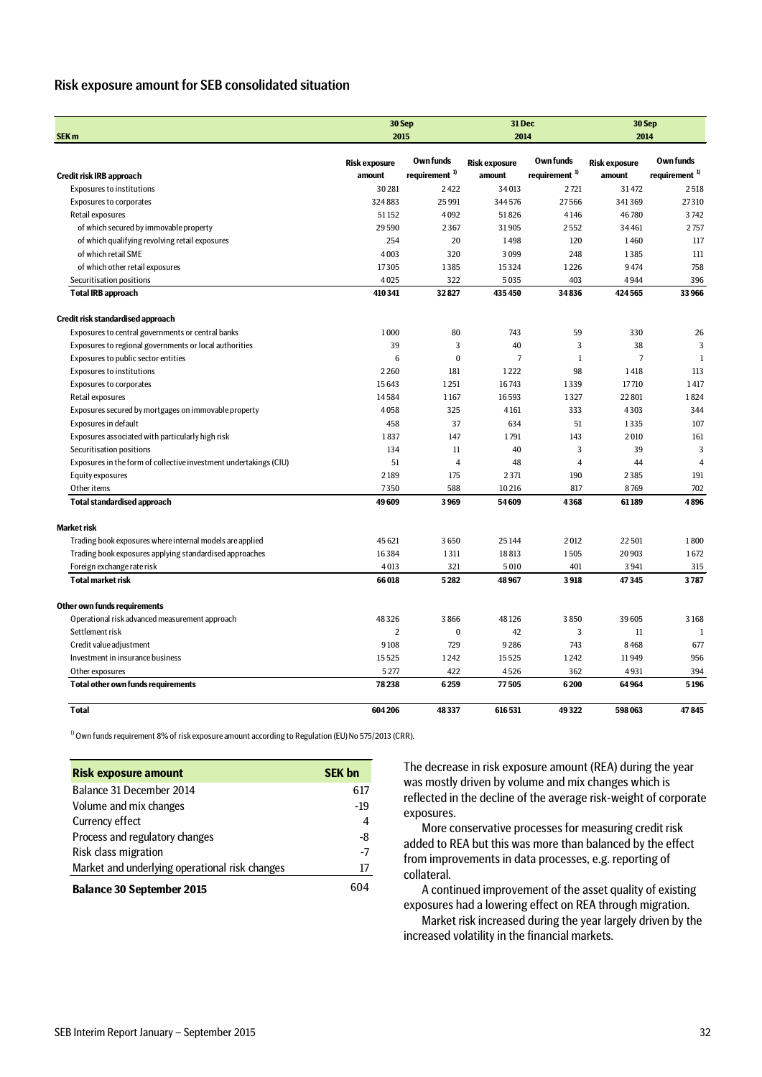### Risk exposure amount for SEB consolidated situation

| SEK <sub>m</sub>                                                  | 30 Sep<br>2015                 |                                  | 31Dec<br>2014                  |                                        | 30 Sep<br>2014                 |                                  |  |
|-------------------------------------------------------------------|--------------------------------|----------------------------------|--------------------------------|----------------------------------------|--------------------------------|----------------------------------|--|
| Credit risk IRB approach                                          | <b>Risk exposure</b><br>amount | Own funds<br>requirement $^{1)}$ | <b>Risk exposure</b><br>amount | Own funds<br>requirement <sup>1)</sup> | <b>Risk exposure</b><br>amount | Own funds<br>requirement $^{1)}$ |  |
| <b>Exposures to institutions</b>                                  | 30281                          | 2422                             | 34013                          | 2721                                   | 31472                          | 2518                             |  |
| <b>Exposures to corporates</b>                                    | 324883                         | 25 9 9 1                         | 344576                         | 27566                                  | 341369                         | 27310                            |  |
| Retail exposures                                                  | 51152                          | 4092                             | 51826                          | 4146                                   | 46780                          | 3742                             |  |
| of which secured by immovable property                            | 29590                          | 2367                             | 31905                          | 2552                                   | 34461                          | 2757                             |  |
| of which qualifying revolving retail exposures                    | 254                            | 20                               | 1498                           | 120                                    | 1460                           | 117                              |  |
| of which retail SME                                               | 4003                           | 320                              | 3099                           | 248                                    | 1385                           | 111                              |  |
| of which other retail exposures                                   | 17305                          | 1385                             | 15324                          | 1226                                   | 9474                           | 758                              |  |
| Securitisation positions                                          | 4025                           | 322                              | 5035                           | 403                                    | 4944                           | 396                              |  |
| <b>Total IRB approach</b>                                         | 410341                         | 32827                            | 435450                         | 34836                                  | 424 565                        | 33966                            |  |
| Credit risk standardised approach                                 |                                |                                  |                                |                                        |                                |                                  |  |
| Exposures to central governments or central banks                 | 1000                           | 80                               | 743                            | 59                                     | 330                            | 26                               |  |
| Exposures to regional governments or local authorities            | 39                             | 3                                | 40                             | $\overline{3}$                         | 38                             | 3                                |  |
| Exposures to public sector entities                               | 6                              | $\mathbf{0}$                     | $\overline{7}$                 | $\mathbf{1}$                           | $\overline{7}$                 | $\mathbf{1}$                     |  |
| <b>Exposures to institutions</b>                                  | 2 2 6 0                        | 181                              | 1222                           | 98                                     | 1418                           | 113                              |  |
| <b>Exposures to corporates</b>                                    | 15 6 43                        | 1251                             | 16743                          | 1339                                   | 17710                          | 1417                             |  |
| Retail exposures                                                  | 14584                          | 1167                             | 16593                          | 1327                                   | 22 801                         | 1824                             |  |
| Exposures secured by mortgages on immovable property              | 4058                           | 325                              | 4161                           | 333                                    | 4303                           | 344                              |  |
| Exposures in default                                              | 458                            | 37                               | 634                            | 51                                     | 1335                           | 107                              |  |
| Exposures associated with particularly high risk                  | 1837                           | 147                              | 1791                           | 143                                    | 2010                           | 161                              |  |
| Securitisation positions                                          | 134                            | 11                               | 40                             | 3                                      | 39                             | $\overline{3}$                   |  |
| Exposures in the form of collective investment undertakings (CIU) | 51                             | $\overline{4}$                   | 48                             | $\overline{4}$                         | 44                             | $\overline{4}$                   |  |
| Equity exposures                                                  | 2189                           | 175                              | 2371                           | 190                                    | 2385                           | 191                              |  |
| Other items                                                       | 7350                           | 588                              | 10216                          | 817                                    | 8769                           | 702                              |  |
| <b>Total standardised approach</b>                                | 49609                          | 3969                             | 54609                          | 4368                                   | 61189                          | 4896                             |  |
| <b>Market risk</b>                                                |                                |                                  |                                |                                        |                                |                                  |  |
| Trading book exposures where internal models are applied          | 45 6 21                        | 3650                             | 25 144                         | 2012                                   | 22501                          | 1800                             |  |
| Trading book exposures applying standardised approaches           | 16384                          | 1311                             | 18813                          | 1505                                   | 20 903                         | 1672                             |  |
| Foreign exchange rate risk                                        | 4013                           | 321                              | 5010                           | 401                                    | 3941                           | 315                              |  |
| <b>Total market risk</b>                                          | 66018                          | 5282                             | 48967                          | 3918                                   | 47345                          | 3787                             |  |
| Other own funds requirements                                      |                                |                                  |                                |                                        |                                |                                  |  |
| Operational risk advanced measurement approach                    | 48326                          | 3866                             | 48126                          | 3850                                   | 39 605                         | 3168                             |  |
| Settlement risk                                                   | $\overline{2}$                 | $\bf{0}$                         | 42                             | 3                                      | 11                             | $\mathbf{1}$                     |  |
| Credit value adjustment                                           | 9108                           | 729                              | 9286                           | 743                                    | 8468                           | 677                              |  |
| Investment in insurance business                                  | 15525                          | 1242                             | 15525                          | 1242                                   | 11949                          | 956                              |  |
| Other exposures                                                   | 5277                           | 422                              | 4526                           | 362                                    | 4931                           | 394                              |  |
| <b>Total other own funds requirements</b>                         | 78238                          | 6259                             | 77505                          | 6200                                   | 64964                          | 5196                             |  |
| <b>Total</b>                                                      | 604 206                        | 48337                            | 616531                         | 49322                                  | 598 063                        | 47845                            |  |

<sup>1)</sup> Own funds requirement 8% of risk exposure amount according to Regulation (EU) No 575/2013 (CRR).

| <b>Risk exposure amount</b>                    | <b>SEK bn</b> |
|------------------------------------------------|---------------|
| Balance 31 December 2014                       | 617           |
| Volume and mix changes                         | $-19$         |
| Currency effect                                | 4             |
| Process and regulatory changes                 | -8            |
| Risk class migration                           | $-7$          |
| Market and underlying operational risk changes | 17            |
| <b>Balance 30 September 2015</b>               |               |

The decrease in risk exposure amount (REA) during the year was mostly driven by volume and mix changes which is reflected in the decline of the average risk-weight of corporate exposures.

More conservative processes for measuring credit risk added to REA but this was more than balanced by the effect from improvements in data processes, e.g. reporting of collateral.

A continued improvement of the asset quality of existing exposures had a lowering effect on REA through migration.

Market risk increased during the year largely driven by the increased volatility in the financial markets.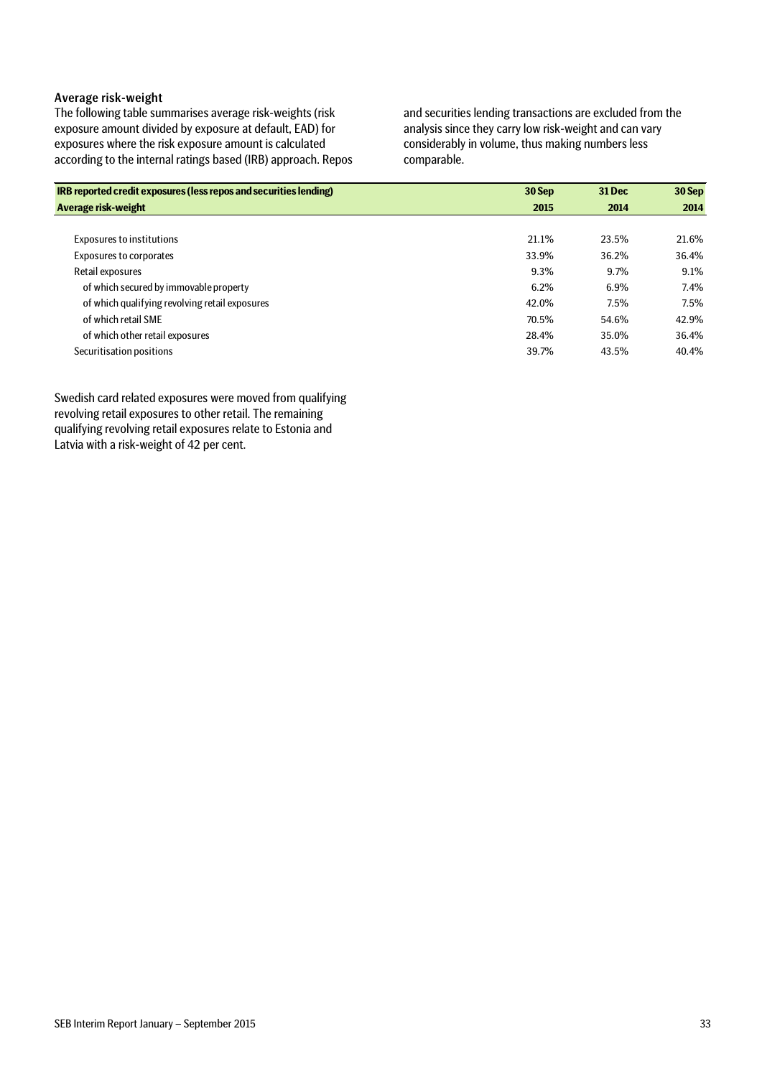### Average risk-weight

The following table summarises average risk-weights (risk exposure amount divided by exposure at default, EAD) for exposures where the risk exposure amount is calculated according to the internal ratings based (IRB) approach. Repos and securities lending transactions are excluded from the analysis since they carry low risk-weight and can vary considerably in volume, thus making numbers less comparable.

| <b>IRB reported credit exposures (less repos and securities lending)</b> | 30 Sep  | <b>31 Dec</b> | 30 Sep |
|--------------------------------------------------------------------------|---------|---------------|--------|
| Average risk-weight                                                      | 2015    | 2014          | 2014   |
|                                                                          |         |               |        |
| <b>Exposures to institutions</b>                                         | 21.1%   | 23.5%         | 21.6%  |
| <b>Exposures to corporates</b>                                           | 33.9%   | 36.2%         | 36.4%  |
| Retail exposures                                                         | 9.3%    | 9.7%          | 9.1%   |
| of which secured by immovable property                                   | $6.2\%$ | 6.9%          | 7.4%   |
| of which qualifying revolving retail exposures                           | 42.0%   | 7.5%          | 7.5%   |
| of which retail SME                                                      | 70.5%   | 54.6%         | 42.9%  |
| of which other retail exposures                                          | 28.4%   | 35.0%         | 36.4%  |
| Securitisation positions                                                 | 39.7%   | 43.5%         | 40.4%  |

Swedish card related exposures were moved from qualifying revolving retail exposures to other retail. The remaining qualifying revolving retail exposures relate to Estonia and Latvia with a risk-weight of 42 per cent.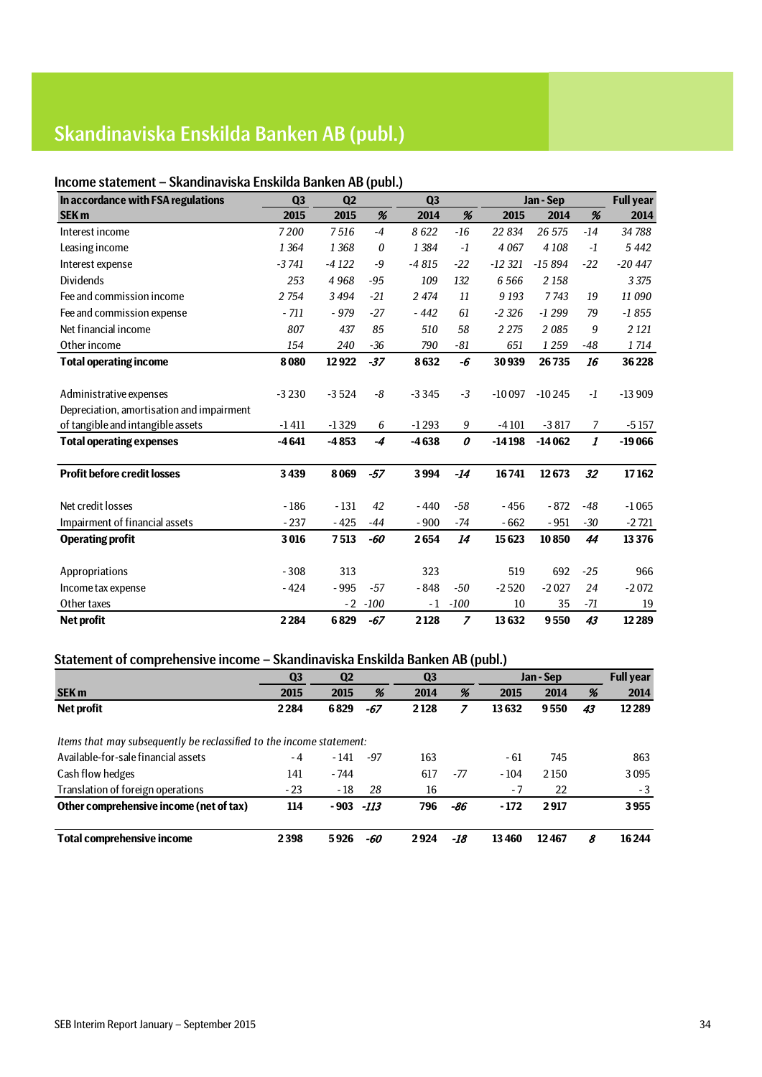## Skandinaviska Enskilda Banken AB (publ.)

### Income statement – Skandinaviska Enskilda Banken AB (publ.)

| In accordance with FSA regulations        | Q <sub>3</sub> | Q <sub>2</sub> |                  | Q3      |                |          | Jan - Sep |                           | <b>Full year</b> |
|-------------------------------------------|----------------|----------------|------------------|---------|----------------|----------|-----------|---------------------------|------------------|
| <b>SEK m</b>                              | 2015           | 2015           | %                | 2014    | %              | 2015     | 2014      | %                         | 2014             |
| Interest income                           | 7200           | 7516           | $-4$             | 8622    | $-16$          | 22 834   | 26 575    | $-14$                     | 34 788           |
| Leasing income                            | 1 3 6 4        | 1 3 6 8        | $\boldsymbol{0}$ | 1 3 8 4 | $-1$           | 4 0 6 7  | 4 1 0 8   | $-1$                      | 5 4 4 2          |
| Interest expense                          | $-3741$        | $-4122$        | $-9$             | $-4815$ | $-22$          | $-12321$ | $-15894$  | $-22$                     | $-20447$         |
| <b>Dividends</b>                          | 253            | 4968           | $-95$            | 109     | 132            | 6 5 6 6  | 2 1 5 8   |                           | 3 3 7 5          |
| Fee and commission income                 | 2754           | 3494           | $-21$            | 2 4 7 4 | 11             | 9 1 9 3  | 7743      | 19                        | 11 090           |
| Fee and commission expense                | $-711$         | $-979$         | $-27$            | $-442$  | 61             | $-2326$  | $-1299$   | 79                        | $-1855$          |
| Net financial income                      | 807            | 437            | 85               | 510     | 58             | 2 2 7 5  | 2085      | 9                         | 2 1 2 1          |
| Other income                              | 154            | 240            | $-36$            | 790     | $-81$          | 651      | 1259      | -48                       | 1714             |
| <b>Total operating income</b>             | 8080           | 12922          | $-37$            | 8632    | -6             | 30939    | 26735     | 16                        | 36228            |
|                                           |                |                |                  |         |                |          |           |                           |                  |
| Administrative expenses                   | $-3230$        | $-3524$        | -8               | $-3345$ | $-3$           | $-10097$ | $-10245$  | $-1$                      | $-13909$         |
| Depreciation, amortisation and impairment |                |                |                  |         |                |          |           |                           |                  |
| of tangible and intangible assets         | $-1411$        | $-1329$        | 6                | $-1293$ | 9              | $-4101$  | $-3817$   | 7                         | $-5157$          |
| <b>Total operating expenses</b>           | $-4641$        | $-4853$        | -4               | $-4638$ | 0              | $-14198$ | $-14062$  | $\boldsymbol{\mathit{1}}$ | $-19066$         |
|                                           |                |                |                  |         |                |          |           |                           |                  |
| <b>Profit before credit losses</b>        | 3439           | 8069           | $-57$            | 3994    | $-14$          | 16741    | 12673     | 32                        | 17162            |
|                                           |                |                |                  |         |                |          |           |                           |                  |
| Net credit losses                         | $-186$         | $-131$         | 42               | $-440$  | $-58$          | $-456$   | $-872$    | -48                       | $-1065$          |
| Impairment of financial assets            | $-237$         | $-425$         | $-44$            | $-900$  | $-74$          | $-662$   | $-951$    | $-30$                     | $-2721$          |
| <b>Operating profit</b>                   | 3016           | 7513           | -60              | 2654    | 14             | 15623    | 10850     | 44                        | 13376            |
|                                           |                |                |                  |         |                |          |           |                           |                  |
| Appropriations                            | $-308$         | 313            |                  | 323     |                | 519      | 692       | $-25$                     | 966              |
| Income tax expense                        | $-424$         | $-995$         | $-57$            | $-848$  | -50            | $-2520$  | $-2027$   | 24                        | $-2072$          |
| Other taxes                               |                | $-2$           | $-100$           | $-1$    | $-100$         | 10       | 35        | $-71$                     | 19               |
| <b>Net profit</b>                         | 2284           | 6829           | $-67$            | 2128    | $\overline{z}$ | 13632    | 9550      | 43                        | 12289            |

### Statement of comprehensive income – Skandinaviska Enskilda Banken AB (publ.)

|                                                                      | Q <sub>3</sub> | Q <sub>2</sub> |      | Q <sub>3</sub> |     |        | Jan - Sep |    | <b>Full year</b> |
|----------------------------------------------------------------------|----------------|----------------|------|----------------|-----|--------|-----------|----|------------------|
| <b>SEK m</b>                                                         | 2015           | 2015           | %    | 2014           | %   | 2015   | 2014      | %  | 2014             |
| Net profit                                                           | 2284           | 6829           | -67  | 2128           |     | 13632  | 9550      | 43 | 12 2 8 9         |
|                                                                      |                |                |      |                |     |        |           |    |                  |
| Items that may subsequently be reclassified to the income statement: |                |                |      |                |     |        |           |    |                  |
| Available-for-sale financial assets                                  | $-4$           | $-141$         | -97  | 163            |     | - 61   | 745       |    | 863              |
| Cash flow hedges                                                     | 141            | - 744          |      | 617            | -77 | $-104$ | 2 1 5 0   |    | 3095             |
| Translation of foreign operations                                    | $-23$          | $-18$          | 28   | 16             |     | $-7$   | 22        |    | - 3              |
| Other comprehensive income (net of tax)                              | 114            | $-903$         | -113 | 796            | -86 | $-172$ | 2917      |    | 3955             |
| <b>Total comprehensive income</b>                                    | 2398           | 5926           | -60  | 2924           | -18 | 13460  | 12467     | 8  | 16 244           |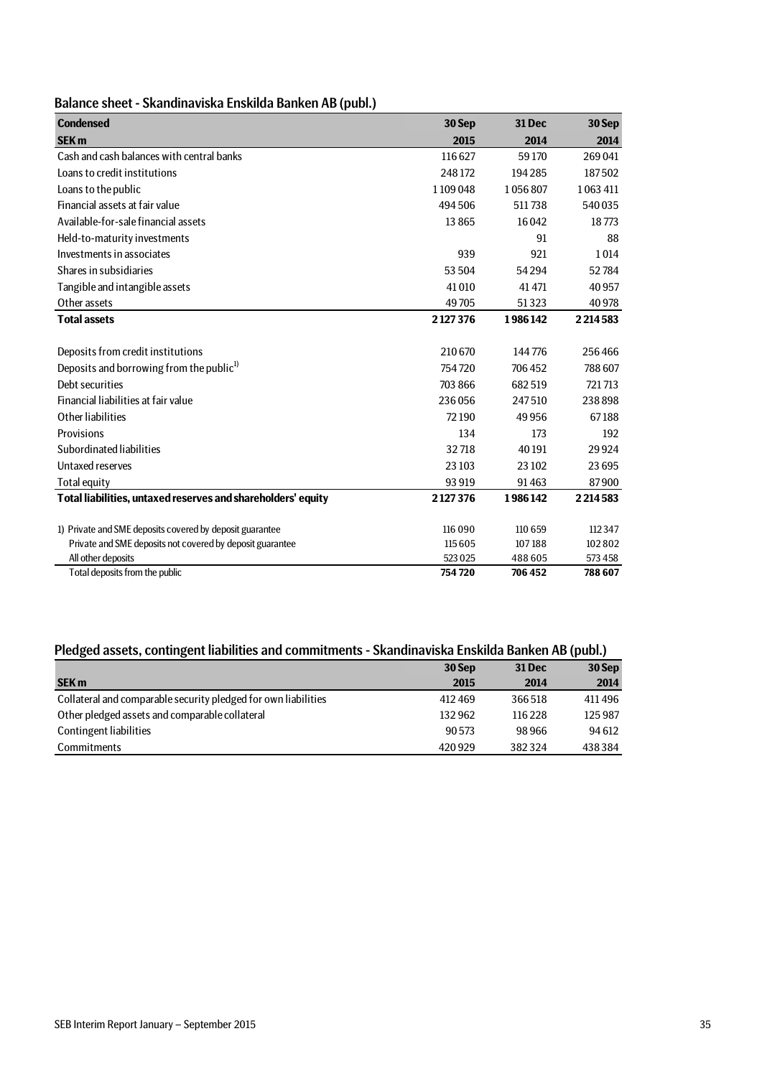|  | Balance sheet - Skandinaviska Enskilda Banken AB (publ.) |  |  |  |
|--|----------------------------------------------------------|--|--|--|
|--|----------------------------------------------------------|--|--|--|

| <b>Condensed</b>                                             | 30 Sep  | <b>31 Dec</b> | 30 Sep        |
|--------------------------------------------------------------|---------|---------------|---------------|
| <b>SEK m</b>                                                 | 2015    | 2014          | 2014          |
| Cash and cash balances with central banks                    | 116627  | 59170         | 269041        |
| Loans to credit institutions                                 | 248 172 | 194 285       | 187502        |
| Loans to the public                                          | 1109048 | 1056807       | 1063411       |
| Financial assets at fair value                               | 494506  | 511738        | 540035        |
| Available-for-sale financial assets                          | 13865   | 16042         | 18773         |
| Held-to-maturity investments                                 |         | 91            | 88            |
| Investments in associates                                    | 939     | 921           | 1014          |
| Shares in subsidiaries                                       | 53504   | 54294         | 52784         |
| Tangible and intangible assets                               | 41010   | 41 471        | 40 957        |
| Other assets                                                 | 49705   | 51323         | 40 978        |
| <b>Total assets</b>                                          | 2127376 | 1986142       | 2 2 1 4 5 8 3 |
|                                                              |         |               |               |
| Deposits from credit institutions                            | 210 670 | 144776        | 256466        |
| Deposits and borrowing from the public <sup>1)</sup>         | 754720  | 706452        | 788607        |
| Debt securities                                              | 703 866 | 682519        | 721713        |
| Financial liabilities at fair value                          | 236056  | 247510        | 238898        |
| Other liabilities                                            | 72190   | 49956         | 67188         |
| Provisions                                                   | 134     | 173           | 192           |
| Subordinated liabilities                                     | 32718   | 40 191        | 29924         |
| Untaxed reserves                                             | 23 10 3 | 23 10 2       | 23 6 95       |
| <b>Total equity</b>                                          | 93 919  | 91463         | 87900         |
| Total liabilities, untaxed reserves and shareholders' equity | 2127376 | 1986142       | 2 2 1 4 5 8 3 |
|                                                              |         |               |               |
| 1) Private and SME deposits covered by deposit guarantee     | 116 090 | 110 659       | 112347        |
| Private and SME deposits not covered by deposit guarantee    | 115605  | 107188        | 102802        |
| All other deposits                                           | 523025  | 488 605       | 573458        |
| Total deposits from the public                               | 754720  | 706 452       | 788 607       |

## Pledged assets, contingent liabilities and commitments - Skandinaviska Enskilda Banken AB (publ.)

|                                                                | 30 Sep | <b>31 Dec</b> | 30 Sep  |
|----------------------------------------------------------------|--------|---------------|---------|
| <b>SEK m</b>                                                   | 2015   | 2014          | 2014    |
| Collateral and comparable security pledged for own liabilities | 412469 | 366518        | 411496  |
| Other pledged assets and comparable collateral                 | 132962 | 116228        | 125 987 |
| Contingent liabilities                                         | 90 573 | 98966         | 94 612  |
| Commitments                                                    | 420929 | 382324        | 438384  |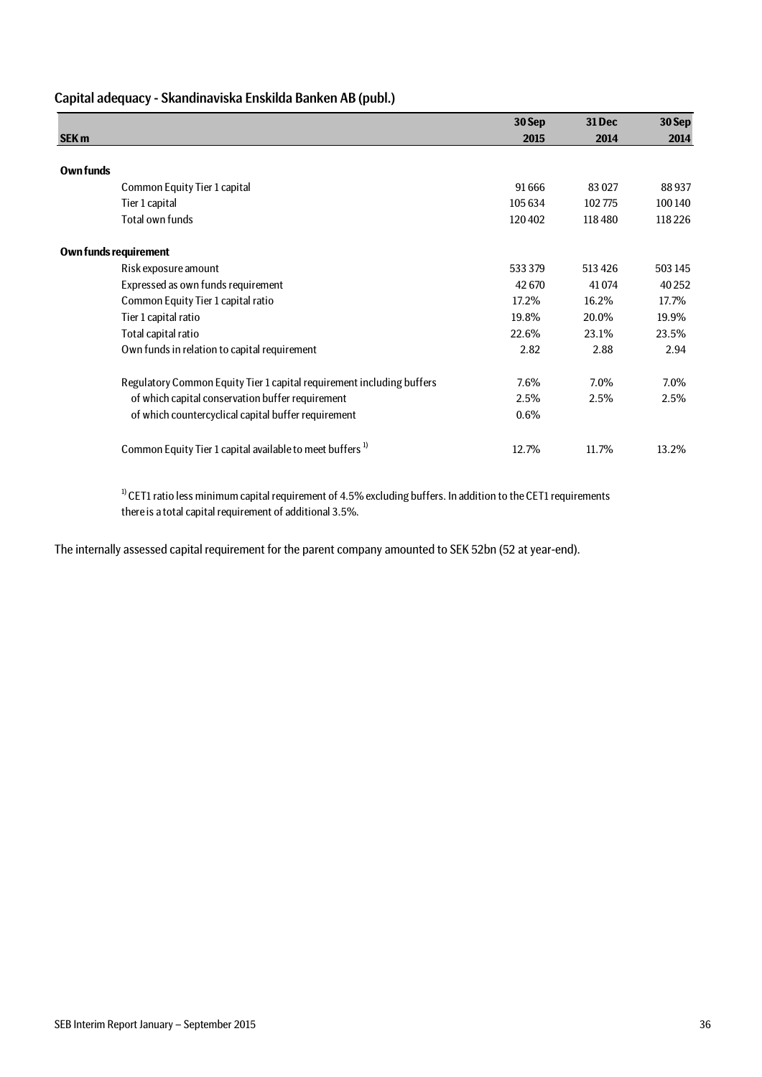## Capital adequacy - Skandinaviska Enskilda Banken AB (publ.)

|                       |                                                                       | 30 Sep  | 31 Dec  | 30 Sep  |
|-----------------------|-----------------------------------------------------------------------|---------|---------|---------|
| <b>SEK m</b>          |                                                                       | 2015    | 2014    | 2014    |
|                       |                                                                       |         |         |         |
| Own funds             |                                                                       |         |         |         |
|                       | Common Equity Tier 1 capital                                          | 91666   | 83 0 27 | 88937   |
|                       | Tier 1 capital                                                        | 105634  | 102775  | 100140  |
|                       | Total own funds                                                       | 120402  | 118480  | 118226  |
| Own funds requirement |                                                                       |         |         |         |
|                       | Risk exposure amount                                                  | 533 379 | 513 426 | 503 145 |
|                       | Expressed as own funds requirement                                    | 42 670  | 41074   | 40252   |
|                       | Common Equity Tier 1 capital ratio                                    | 17.2%   | 16.2%   | 17.7%   |
|                       | Tier 1 capital ratio                                                  | 19.8%   | 20.0%   | 19.9%   |
|                       | Total capital ratio                                                   | 22.6%   | 23.1%   | 23.5%   |
|                       | Own funds in relation to capital requirement                          | 2.82    | 2.88    | 2.94    |
|                       | Regulatory Common Equity Tier 1 capital requirement including buffers | 7.6%    | $7.0\%$ | $7.0\%$ |
|                       | of which capital conservation buffer requirement                      | 2.5%    | 2.5%    | 2.5%    |
|                       | of which countercyclical capital buffer requirement                   | 0.6%    |         |         |
|                       | Common Equity Tier 1 capital available to meet buffers <sup>1)</sup>  | 12.7%   | 11.7%   | 13.2%   |

 $1)$  CET1 ratio less minimum capital requirement of 4.5% excluding buffers. In addition to the CET1 requirements there is a total capital requirement of additional 3.5%.

The internally assessed capital requirement for the parent company amounted to SEK 52bn (52 at year-end).